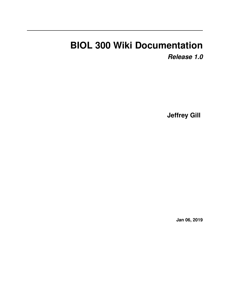## **BIOL 300 Wiki Documentation** *Release 1.0*

**Jeffrey Gill**

**Jan 06, 2019**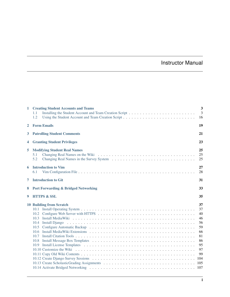### Instructor Manual

| $\mathbf{1}$ | <b>Creating Student Accounts and Teams</b><br>1.1<br>1.2                                                                            | 3<br>3<br>16                                                                              |  |  |
|--------------|-------------------------------------------------------------------------------------------------------------------------------------|-------------------------------------------------------------------------------------------|--|--|
| $\mathbf{2}$ | <b>Form Emails</b><br>19                                                                                                            |                                                                                           |  |  |
| 3            | <b>Patrolling Student Comments</b>                                                                                                  | 21                                                                                        |  |  |
| 4            | 23<br><b>Granting Student Privileges</b>                                                                                            |                                                                                           |  |  |
| 5            | <b>Modifying Student Real Names</b><br>5.1<br>5.2                                                                                   | 25<br>25<br>25                                                                            |  |  |
| 6            | <b>Introduction to Vim</b><br>6.1                                                                                                   | 27<br>28                                                                                  |  |  |
| 7            | <b>Introduction to Git</b>                                                                                                          | 31                                                                                        |  |  |
| 8            | <b>Port Forwarding &amp; Bridged Networking</b>                                                                                     | 33                                                                                        |  |  |
| 9            | <b>HTTPS &amp; SSL</b>                                                                                                              | 35                                                                                        |  |  |
|              | <b>10 Building from Scratch</b><br>10.1<br>10.2<br>10.3<br>10.4<br>Install Diango<br>10.5<br>$10.6^{\circ}$<br>10.7<br>10.8<br>10.9 | 37<br>37<br>40<br>46<br>56<br>59<br>66<br>81<br>86<br>95<br>97<br>99<br>104<br>105<br>107 |  |  |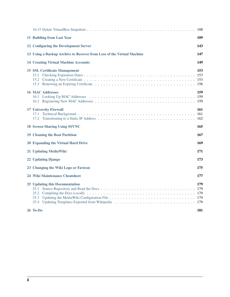|                                                                                                                  | 108               |
|------------------------------------------------------------------------------------------------------------------|-------------------|
| 11 Building from Last Year                                                                                       | 109               |
| 12 Configuring the Development Server                                                                            | 143               |
| 13 Using a Backup Archive to Recover from Loss of the Virtual Machine                                            | 147               |
| <b>14 Creating Virtual Machine Accounts</b>                                                                      | 149               |
| <b>15 SSL Certificate Management</b>                                                                             | 153<br>153        |
| <b>16 MAC Addresses</b>                                                                                          | 159               |
| <b>17 University Firewall</b><br>17.1<br>17.2                                                                    | 161<br>161<br>162 |
| <b>18 Screen Sharing Using SSVNC</b>                                                                             | 165               |
| <b>19 Cleaning the Boot Partition</b>                                                                            | 167               |
| 20 Expanding the Virtual Hard Drive                                                                              | 169               |
| 21 Updating MediaWiki                                                                                            | 171               |
| 22 Updating Django                                                                                               | 173               |
| 23 Changing the Wiki Logo or Favicon                                                                             | 175               |
| 24 Wiki Maintenance Cheatsheet                                                                                   | 177               |
| <b>25 Updating this Documentation</b><br>25.1<br>25.2<br>25.3<br>25.4 Updating Templates Exported from Wikipedia | 179<br>179<br>179 |
| $26$ To-Do                                                                                                       | 181               |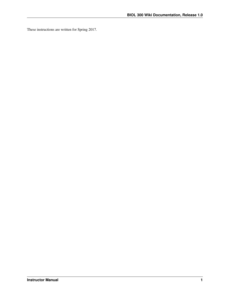These instructions are written for Spring 2017.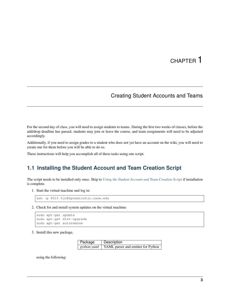### Creating Student Accounts and Teams

<span id="page-6-0"></span>For the second day of class, you will need to assign students to teams. During the first two weeks of classes, before the add/drop deadline has passed, students may join or leave the course, and team assignments will need to be adjusted accordingly.

Additionally, if you need to assign grades to a student who does not yet have an account on the wiki, you will need to create one for them before you will be able to do so.

These instructions will help you accomplish all of these tasks using one script.

#### <span id="page-6-1"></span>**1.1 Installing the Student Account and Team Creation Script**

The script needs to be installed only once. Skip to *[Using the Student Account and Team Creation Script](#page-19-0)* if installation is complete.

1. Start the virtual machine and log in:

```
ssh -p 8015 hjc@dynamicshjc.case.edu
```
2. Check for and install system updates on the virtual machine:

```
sudo apt-get update
sudo apt-get dist-upgrade
sudo apt-get autoremove
```
3. Install this new package,

| Package | Description                                             |
|---------|---------------------------------------------------------|
|         | <i>python-yaml</i>   YAML parser and emitter for Python |

using the following: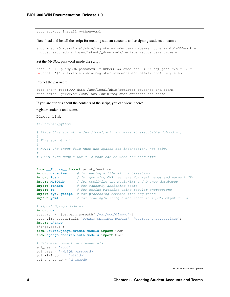sudo apt-get install python-yaml

4. Download and install the script for creating student accounts and assigning students to teams:

```
sudo wget -O /usr/local/sbin/register-students-and-teams https://biol-300-wiki-
˓→docs.readthedocs.io/en/latest/_downloads/register-students-and-teams
```
Set the MySQL password inside the script:

```
read -s -r -p "MySQL password: " DBPASS && sudo sed -i "/^sql_pass =/s|= \cdot*|= '
˓→$DBPASS'|" /usr/local/sbin/register-students-and-teams; DBPASS= ; echo
```
Protect the password:

```
sudo chown root:www-data /usr/local/sbin/register-students-and-teams
sudo chmod ug=rwx,o= /usr/local/sbin/register-students-and-teams
```
If you are curious about the contents of the script, you can view it here:

register-students-and-teams

Direct link

```
#!/usr/bin/python
```

```
# Place this script in /usr/local/sbin and make it executable (chmod +x).
#
# This script will ...
#
# NOTE: The input file must use spaces for indentation, not tabs.
#
# TODO: also dump a CSV file that can be used for checkoffs
from __future__ import print_function
import datetime # for naming a file with a timestamp
import ldap # for querying CWRU servers for real names and network IDs
import MySQLdb # for modifying the MediaWiki and Django databases
import random # for randomly assigning teams
import re # for string matching using regular expressions
import sys, getopt # for processing command line arguments
import yaml # for reading/writing human-readable input/output files
# import Django modules
import os
sys.path += [os.path.abspath('/var/www/django')]
os.environ.setdefault('DJANGO_SETTINGS_MODULE', 'CourseDjango.settings')
import django
django.setup()
from CourseDjango.credit.models import Team
from django.contrib.auth.models import User
# database connection credentials
sql_user = 'root'
sql_pass = '<MySQL password>'
sql_wiki_db = 'wikidb'
sql_django_db = 'djangodb'
```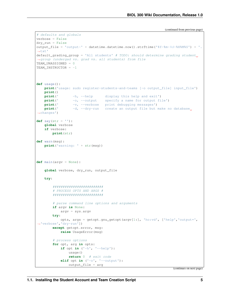```
(continued from previous page)
```

```
# defaults and globals
verbose = False
dry_run = False
output_file = 'output-' + datetime.datetime.now().strftime('%Y-%m-%d-%H%M%S') + '.
˓→txt'
default_grading_group = 'All students' # TODO: should determine grading student.
˓→group (undergad vs. grad vs. all students) from file
TEAM_UNASSIGNED = 0
TEAM_INSTRUCTOR = -1def usage():
   print('usage: sudo register-students-and-teams [-o output_file] input_file')
   print()
   print(' -h, --help display this help and exit')
   print (' -o, --output specify a name for output file')
   print (' -v, --verbose print debugging messages')
   print (' -d, --dry-run create an output file but make no database
˓→changes')
def say(str = ''):
   global verbose
   if verbose:
       print(str)
def warn(msg):
   print('warning: ' + str(msg))
def main(argv = None):
   global verbose, dry_run, output_file
   try:
       #########################
        # PROCESS OPTS AND ARGS #
       #########################
       # parse command line options and arguments
       if argv is None:
           argv = sys.argv
       try:
           opts, args = getopt.gnu_getopt(argv[1:], 'ho:vd', ['help','output=',
˓→'verbose','dry-run'])
       except getopt.error, msg:
           raise UsageError(msg)
       # process options
       for opt, arg in opts:
           if opt in ('-h', '--help'):
               usage()
               return 0 # exit code
           elif opt in ('-o', '--output'):
               output_file = arg
```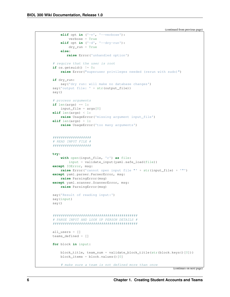```
elif opt in ('-v', '--verpose'):
       verbose = True
    elif opt in ('-d', '--dry-run'):
       dry_run = True
    else:
       raise Error('unhandled option')
# require that the user is root
if os.geteuid() := 0:
   raise Error("superuser privileges needed (rerun with sudo)")
if dry_run:
    say('dry run: will make no database changes')
say('output file: ' + str(output_file))
say()
# process arguments
if len(args) == 1:
    input\_file = args[0]elif len(args) < 1:
    raise UsageError('missing argument input_file')
elif len(args) > 1:
    raise UsageError('too many arguments')
###################
# READ INPUT FILE #
###################
try:
    with open(input_file, 'r') as file:
       input = validate_input(yaml.safe_load(file))
except IOError, msg:
   raise Error('cannot open input file "' + str(input_file) + '"')
except yaml.parser.ParserError, msg:
   raise ParsingError(msg)
except yaml.scanner.ScannerError, msg:
   raise ParsingError(msg)
say('Result of reading input:')
say(input)
say()
##########################################
# PARSE INPUT AND LOOK UP PERSON DETAILS #
##########################################
all users = []
teams_defined = []
for block in input:
   block title, team num = validate block title(str(block.keys()[0]))
   block_items = block.values()[0]
    # make sure a team is not defined more than once
```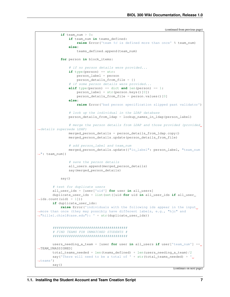```
(continued from previous page)
```

```
if team_num > 0:
               if team_num in teams_defined:
                   raise Error('team %d is defined more than once' % team_num)
               else:
                   teams_defined.append(team_num)
           for person in block_items:
                # if no person details were provided...
               if type(person) == str:
                   person_label = person
                   person_details_from_file = {}
                # if some person details were provided...
               elif type(person) == dict and len(person) == 1:
                   person label = str(person.keys()[0])person_details_from_file = person.values()[0]
               else:
                   raise Error('bad person specification slipped past validator')
                # look up the individual in the LDAP database
               person_details_from_ldap = lookup_names_in_ldap(person_label)
               # merge the person details from LDAP and those provided (provided
˓→details supersede LDAP)
               merged_person_details = person_details_from_ldap.copy()
               merged_person_details.update(person_details_from_file)
               # add person label and team num
               merged_person_details.update({"io_label": person_label, "team_num
˓→": team_num})
               # save the person details
               all_users.append(merged_person_details)
               say(merged_person_details)
           say()
       # test for duplicate users
       all_user_ids = [user['uid'] for user in all_users]
       duplicate_user_ids = list(set([uid for uid in all_user_ids if all_user_
\rightarrowids.count(uid) > 1]))
       if duplicate_user_ids:
           raise Error('individuals with the following ids appear in the input
˓→more than once (they may possibly have different labels, e.g., "hjc" and
˓→"hillel.chiel@case.edu"): ' + str(duplicate_user_ids))
       #####################################
       # FIND TEAMS FOR UNMATCHED STUDENTS #
       #####################################
       users_needing_a_team = [user for user in all_users if user['team_num'] ==
˓→TEAM_UNASSIGNED]
       total teams needed = len(teams defined) + len(users needing a team)/2
       say('There will need to be a total of ' + str(total_teams_needed) + '\rightarrowteams')
       say()
```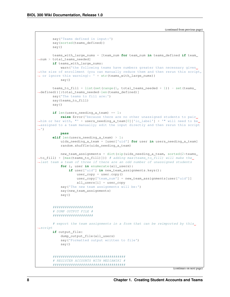```
say('Teams defined in input:')
       say(sorted(teams_defined))
       say()
       teams_with_large_nums = [team_num for team_num in teams_defined if team_
˓→num > total_teams_needed]
       if teams_with_large_nums:
           warn ('the following teams have numbers greater than necessary given
˓→the size of enrollment (you can manually reduce them and then rerun this script,
˓→ or ignore this warning): ' + str(teams_with_large_nums))
           say()
       teams_to_fill = list(set(range(1, total_teams_needed + 1)) - set(teams_
→defined))[:total teams needed-len(teams defined)]
       say('The teams to fill are:')
       say(teams_to_fill)
       say()
       if len(users_needing_a_team) == 1:
           raise Error('because there are no other unassigned students to pair.
˓→him or her with, "' + users_needing_a_team[0]['io_label'] + '" will need to be
˓→assigned to a team manually; edit the input directly and then rerun this script
\leftrightarrow')
           pass
       elif len(users_needing_a_team) > 1:
           uids_needing_a_team = [user['uid'] for user in users_needing_a_team]
           random.shuffle(uids_needing_a_team)
           new_team_assignments = dict(zip(uids_needing_a_team, sorted(2*teams_
˓→to_fill) + [max(teams_to_fill)])) # adding max(teams_to_fill) will make the
˓→last team a team of three if there are an odd number of unassigned students
           for i, user in enumerate(all users):
               if user['uid'] in new_team_assignments.keys():
                   user\_copy = user.copy()user_copy['team_num'] = new_team_assignments[user['uid']]
                   all_users[i] = user_copy
           say('The new team assignments will be:')
           say(new_team_assignments)
           say()
       ####################
        # DUMP OUTPUT FILE #
       ####################
       # export the team assignments in a form that can be reimported by this.
\rightarrowscript
       if output file:
           dump_output_file(all_users)
           say('Formatted output written to file')
           say()
        ####################################
        # REGISTER ACCOUNTS WITH MEDIAWIKI #
        ####################################
```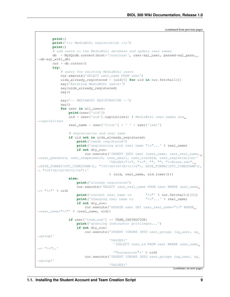```
print()
       print('*** MediaWiki registration ***')
       print()
        # add users to the MediaWiki database and update real names
       db = MySQLdb.connect(host='localhost', user=sql_user, passwd=sql_pass,
˓→db=sql_wiki_db)
       cur = db.cursor()try:
            # query for existing MediaWiki users
            cur.execute('SELECT user_name FROM user')
           uids_already_registered = [uid[0] for uid in cur.fetchall()]
            say('Existing MediaWiki users:')
            say(uids_already_registered)
            say()
            say('-- MEDIAWIKI REGISTRATION --')
            say()
            for user in all_users:
                print(user['uid'])
                uid = user['uid'].capitalize() # MediaWiki user names are
˓→capitalized
                real name = user['first'] + ' ' + user['last']
                # registration and real name
                if uid not in uids_already_registered:
                    print('needs registered')
                    print ('registering with real name "%s"...' % real name)
                    if not dry_run:
                        cur.execute('INSERT INTO user (user_name, user_real_name, 
˓→user_password, user_newpassword, user_email, user_touched, user_registration)'
                                     'VALUES("%s", "%s", "", "", "%s@case.edu",
˓→DATE_FORMAT(UTC_TIMESTAMP(), "%%Y%%m%%d%%H%%i%%s"), DATE_FORMAT(UTC_TIMESTAMP(),
˓→ "%%Y%%m%%d%%H%%i%%s"))'
                                     % (uid, real_name, uid.lower()))
                else:
                    print('already registered')
                    cur.execute('SELECT user_real_name FROM user WHERE user_name
ightharpoonup = \square \s"' % uid)
                    print ('current real name is "%s"' % cur.fetchall()[0])
                    print ('changing real name to \bullet "%s"...' % real name)
                    if not dry_run:
                        cur.execute('UPDATE user SET user_real_name="%s" WHERE
˓→user_name="%s"' % (real_name, uid))
                if user['team_num'] == TEAM_INSTRUCTOR:
                    print('granting instructor privileges...')
                    if not dry_run:
                        cur.execute('INSERT IGNORE INTO user groups (ug user, ug
˓→group)'
                                     'VALUES('
                                       '(SELECT user_id FROM user WHERE user_name
ightharpoonup = \square^{\circ} \Ss\square), \square'"bureaucrat")' % uid)
                        cur.execute('INSERT IGNORE INTO user_groups (ug_user, ug_
˓→group)'
                                     'VALUES('
```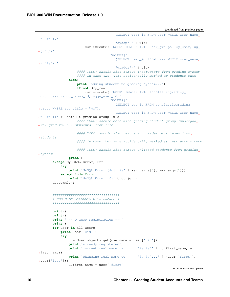```
'(SELECT user_id FROM user WHERE user_name
ightharpoonup = \square \s"), '
                                       '"sysop")' % uid)
                        cur.execute('INSERT IGNORE INTO user_groups (ug_user, ug_
˓→group)'
                                     'VALUES('
                                       '(SELECT user_id FROM user WHERE user_name
ightharpoonup = \square \s"), '
                                       '"grader")' % uid)
                    #### TODO: should also remove instructors from grading system
                    #### in case they were accidentally marked as students once
                else:
                    print('adding student to grading system...')
                    if not dry_run:
                        cur.execute('INSERT IGNORE INTO scholasticgrading_
˓→groupuser (sggu_group_id, sggu_user_id)'
                                     'VALUES('
                                       '(SELECT sgg_id FROM scholasticgrading_
˓→group WHERE sgg_title = "%s"),'
                                       '(SELECT user_id FROM user WHERE user_name
˓→= "%s"))' % (default_grading_group, uid))
                    #### TODO: should determine grading student group (undergad
˓→vs. grad vs. all students) from file
                    #### TODO: should also remove any grader privileges from
ightharpoonupstudents
                    #### in case they were accidentally marked as instructors once
                    #### TODO: should also remove unlisted students from grading.
˓→system
               print()
       except MySQLdb.Error, err:
           try:
                print('MySQL Error [%d]: %s' % (err.args[0], err.args[1]))
           except IndexError:
               print('MySQL Error: %s' % str(err))
       db.commit()
       #################################
        # REGISTER ACCOUNTS WITH DJANGO #
       #################################
       print()
       print()
       print('*** Django registration ***')
       print()
       for user in all_users:
           print(user['uid'])
           try:
                u = User.objects.get(usename = user['uid'])print('already registered')
                print('current real name is "%s %s"' % (u.first_name, u.
˓→last_name))
               print ('changing real name to "%s %s"...' % (user['first'],
˓→user['last']))
               u.first_name = user['first']
```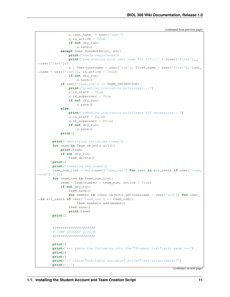```
u.last_name = user['last']
                u.is_active = True
                if not dry_run:
                    u.save()
            except User.DoesNotExist, err:
                print('needs registered')
                print ('registering with real name "%s %s"...' % (user['first'],
˓→user['last']))
                u = User(username = user['uid'], first_name = user['first]), last˓→name = user['last'], is_active = True)
                if not dry_run:
                    u.save()
            if user['team_num'] == TEAM_INSTRUCTOR:
                print('granting instructor privileges...')
                u.is staff = True
                u.is_superuser = True
                if not dry_run:
                    u.save()
            else:
                print('removing instructor privileges (if necessary)...')
                u.is_staff = False
                u.is_superuser = False
                if not dry_run:
                    u.save()
           print()
       print('destroying estisting teams')
       for team in Team.objects.all():
           print(team)
           if not dry_run:
                team.delete()
       print()
       print('creating new teams')
       team_num_list = set([user['team_num'] for user in all_users if user['team_
\rightarrownum'] > 0])
       for team_num in team_num_list:
           \text{team} = \text{Team}(\text{number} = \text{team\_num}, \text{active} = \text{True})if not dry_run:
               team.save()
                for member in [User.objects.get(username = user['uid']) for user
˓→in all_users if user['team_num'] == team_num]:
                    team.members.add(member)
                team.save()
                print(team)
       print()
       #####################
        # DUMP STUDENT LIST #
       #####################
       print()
       print('*** paste the following into the "Student list" wiki page ***')
       print()
       print()
       print('{| class="wikitable sortable" style="text-align:center"')
       print('|-')
```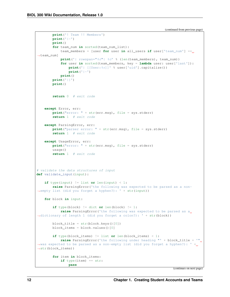```
print('! Team !! Members')
       print('|-')
       print()
        for team_num in sorted(team_num_list):
            \text{team\_members} = \text{[user for user in all\_users if user['team\_num'] ==},˓→team_num]
            print('| rowspan="%d"| %d' % (len(team_members), team_num))
            for user in sorted(team_members, key = lambda user: user['last']):
                print('| [[User:%s]]' % user['uid'].capitalize())
                print('|-')
            print()
       print('|}')
       print()
        return 0 # exit code
    except Error, err:
       print("error: " + str(err.msg), file = sys.stderr)
       return 1 # exit code
    except ParsingError, err:
       print("parser error: " + str(err.msg), file = sys.stderr)
       return 1 # exit code
   except UsageError, err:
       print("error: " + str(err.msg), file = sys.stderr)
       usanc()return 1 # exit code
# validate the data structures of input
def validate_input(input):
   if type(input) != list or len(input) < 1:
       raise ParsingError('the following was expected to be parsed as a non-
˓→empty list (did you forget a hyphen?): ' + str(input))
   for block in input:
        if type(block) != dict or len(block) != 1:
            raise ParsingError('the following was expected to be parsed as a
˓→dictionary of length 1 (did you forget a colon?): ' + str(block))
        block_title = str(block.keys()[0])block_items = block.values()[0]
        if type(block_items) != list or len(block_items) < 1:
            raise ParsingError('the following under heading "' + block_title + '"
˓→was expected to be parsed as a non-empty list (did you forget a hyphen?): ' +
˓→str(block_items))
        for item in block_items:
            if type(item) == str:
                pass
```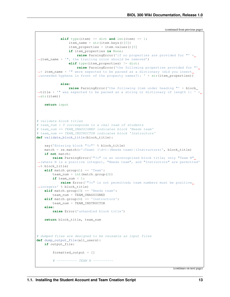```
elif type(item) == dict and len(item) == 1:
               item_name = str(item.keys()[0])
                item_properties = item.values()[0]
                if item_properties is None:
                   raise ParsingError('if no properties are provided for "' +
˓→item_name + '", the trailing colon should be removed')
               elif type(item_properties) != dict:
                   raise ParsingError('the following properties provided for "'
→+ item_name + '" were expected to be parsed as a dictionary (did you insert.
˓→unneeded hyphens in front of the property names?): ' + str(item_properties))
           else:
               raise ParsingError('the following item under heading "' + block_
→title + '" was expected to be parsed as a string or dictionary of length 1: ' +
˓→str(item))
   return input
# validate block titles
# team_num > 0 corresponds to a real team of students
# team_num == TEAM_UNASSIGNED indicates block 'Needs team'
# team_num == TEAM_INSTRUCTOR indicates block 'Instructors'
def validate_block_title(block_title):
   say('Entering block "%s"' % block title)
   match = re.match(r'(Team) (\dagger)|(Needs team)|(Instructors)', block_title)
   if not match:
       raise ParsingError('"%s" is an unrecognized block title; only "Team N".
˓→(where N is a positive integer), "Needs team", and "Instructors" are permitted'
˓→% block_title)
   elif match.group(1) == 'Team':team_num = int(match.qroup(2))if team_num < 1:
           raise Error('"%s" is not permitted; team numbers must be positive.
˓→integers' % block_title)
   elif match.group(3) == 'Needs team':
       team_num = TEAM_UNASSIGNED
   elif match.group(4) == 'Instructors':
       team_num = TEAM_INSTRUCTOR
   else:
       raise Error('unhandled block title')
   return block_title, team_num
# dumped files are designed to be reusable as input files
def dump_output_file(all_users):
   if output_file:
        formatted output = []
        # ---------- TEAM N ----------
```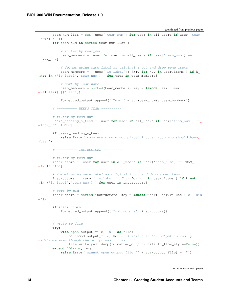```
team_num_list = set([user['team_num'] for user in all_users if user['team_
\rightarrownum'] > 0])
       for team_num in sorted(team_num_list):
           # filter by team_num
           team_members = [user for user in all_users if user['team_num'] ==
˓→team_num]
           # format using same label as original input and drop some items
           team_members = [{user['io_label']: {k:v for k,v in user.items() if k
˓→not in ('io_label','team_num')}} for user in team_members]
           # sort by last name
           team_members = sorted(team_members, key = lambda user: user.
˓→values()[0]['last'])
           formatted_output.append({'Team ' + str(team_num): team_members})
        # ---------- NEEDS TEAM ----------
       # filter by team_num
       users_needing_a_team = [user for user in all_users if user['team_num'] ==
˓→TEAM_UNASSIGNED]
       if users_needing_a_team:
           raise Error('some users were not placed into a group who should have..
˓→been')
        # ---------- INSTRUCTORS ----------
       # filter by team_num
       instructors = [user for user in all_users if user['team_num'] == TEAM_
˓→INSTRUCTOR]
       # format using same label as original input and drop some items
       instructors = [{user['io_label']: {k:v for k,v in user.items() if k not
˓→in ('io_label','team_num')}} for user in instructors]
       # sort by uid
       instructors = sorted(instructors, key = lambda user: user.values()[0]['uid
ightharpoonup'])
       if instructors:
           formatted_output.append({'Instructors': instructors})
       # write to file
       try:
           with open(output_file, 'w') as file:
               os.chmod(output_file, 0o666) # make sure the output is easily
˓→editable even though the script was run as root
               file.write(yaml.dump(formatted_output, default_flow_style=False))
       except IOError, msg:
           raise Error('cannot open output file "' + str(output_file) + '"')
```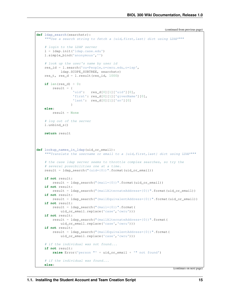```
def ldap_search(searchstr):
    """Use a search string to fetch a {uid,first,last} dict using LDAP"""
    # login to the LDAP server
    l = ldap.init('ldap.case.edu')
    l.simple_bind('anonymous','')
    # look up the user's name by user id
    res_id = l.search('ou=People,o=cwru.edu,o=isp',
            ldap.SCOPE_SUBTREE, searchstr)
    res_t, res_d = 1. result (res_id, 1000)
    if len(res_d) > 0:result = {
                  'uid': res d[0][1]['uid'][0],
                  'first': res_d[0][1]['givenName'][0],
                  'last': res_d[0][1]['sn'][0]
                 }
    else:
       result = None
    # log out of the server
    l.unbind_s()
    return result
def lookup_names_in_ldap(uid_or_email):
    """Translate the username or email to a {uid,first,last} dict using LDAP"""
    # the case ldap server seems to throttle complex searches, so try the
    # several possibilities one at a time.
    result = ldap\_search("uid={0})".format(uid_or_email))
    if not result:
        result = ldap_search("(mail={0})".format(uid_or_email))
    if not result:
       result = ldap\_search("(\text{mailAlternateAddress}=\{0\})".format(\text{uid or\_email}))if not result:
        result = ldap search("(mailEquivalentAddress={0})".format(uid or email))
    if not result:
        result = ldap\_search("mail={0})".format(uid_or_email.replace('case','cwru')))
    if not result:
        result = ldap search("(mailAlternateAddress={0})".format(
            uid_or_email.replace('case','cwru')))
    if not result:
        result = ldap_search("(mailEquivalentAddress={0})".format(
            uid_or_email.replace('case','cwru')))
    # if the individual was not found...
    if not result:
        raise Error('person "' + uid_or_email + '" not found')
    # if the individual was found...
    else:
```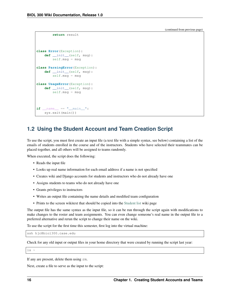```
return result
class Error(Exception):
    def __init__(self, msg):
       self.msg = msg
class ParsingError(Exception):
    def __init__(self, msg):
       self.msg = msg
class UsageError(Exception):
    def __init__(self, msg):
        self.msg = msg
if __name__ == "__main__":
    sys.exit(main())
```
### <span id="page-19-0"></span>**1.2 Using the Student Account and Team Creation Script**

To use the script, you must first create an input file (a text file with a simple syntax, see below) containing a list of the emails of students enrolled in the course and of the instructors. Students who have selected their teammates can be placed together, and all others will be assigned to teams randomly.

When executed, the script does the following:

- Reads the input file
- Looks up real name information for each email address if a name is not specified
- Creates wiki and Django accounts for students and instructors who do not already have one
- Assigns students to teams who do not already have one
- Grants privileges to instructors
- Writes an output file containing the name details and modified team configuration
- Prints to the screen wikitext that should be copied into the [Student list](https://biol300.case.edu/wiki/Student_list) wiki page

The output file has the same syntax as the input file, so it can be run through the script again with modifications to make changes to the roster and team assignments. You can even change someone's real name in the output file to a preferred alternative and rerun the script to change their name on the wiki.

To use the script for the first time this semester, first log into the virtual machine:

ssh hjc@biol300.case.edu

Check for any old input or output files in your home directory that were created by running the script last year:

 $ls \sim$ 

If any are present, delete them using rm.

Next, create a file to serve as the input to the script: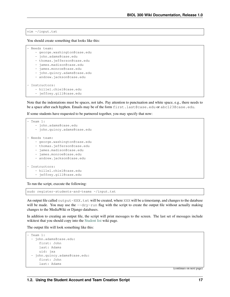#### vim ~/input.txt

You should create something that looks like this:

```
- Needs team:
```
- george.washington@case.edu
- john.adams@case.edu
- thomas.jefferson@case.edu
- james.madison@case.edu
- james.monroe@case.edu
- john.quincy.adams@case.edu
- andrew.jackson@case.edu

```
- Instructors:
   - hillel.chiel@case.edu
```
- jeffrey.gill@case.edu

Note that the indentations must be spaces, not tabs. Pay attention to punctuation and white space, e.g., there needs to be a space after each hyphen. Emails may be of the form first.last@case.edu or abc123@case.edu.

If some students have requested to be partnered together, you may specify that now:

```
- Team 1:- john.adams@case.edu
   - john.quincy.adams@case.edu
- Needs team:
   - george.washington@case.edu
   - thomas.jefferson@case.edu
   - james.madison@case.edu
   - james.monroe@case.edu
   - andrew.jackson@case.edu
- Instructors:
   - hillel.chiel@case.edu
   - jeffrey.gill@case.edu
```
To run the script, execute the following:

sudo register-students-and-teams ~/input.txt

An output file called output-XXX.txt will be created, where XXX will be a timestamp, and changes to the database will be made. You may use the  $-\text{dry-run flag}$  with the script to create the output file without actually making changes to the MediaWiki or Django databases.

In addition to creating an output file, the script will print messages to the screen. The last set of messages include wikitext that you should copy into the [Student list](https://biol300.case.edu/wiki/Student_list) wiki page.

The output file will look something like this:

```
- Team 1:
 - john.adams@case.edu:
     first: John
     last: Adams
     uid: jxa
 - john.quincy.adams@case.edu:
     first: John
      last: Adams
```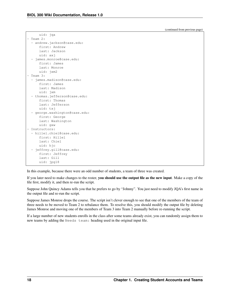uid: jaa

(continued from previous page)

| $4 + 4$<br>Jyu                |
|-------------------------------|
| Team 2:                       |
| andrew.jackson@case.edu:      |
| first: Andrew                 |
| last: Jackson                 |
| uid: axj                      |
| - james.monroe@case.edu:      |
| first: James                  |
| last: Monroe                  |
| uid: jxm2                     |
| Team 3:                       |
| james.madison@case.edu:       |
| first: James                  |
| last: Madison                 |
| uid: jxm                      |
| - thomas.jefferson@case.edu:  |
| first: Thomas                 |
| last: Jefferson               |
| uid: txj                      |
| - george.washington@case.edu: |
| first: George                 |
| last: Washington              |
| uid: qxw<br>Instructors:      |
| hillel.chiel@case.edu:        |
| first: Hillel                 |
| last: Chiel                   |
| uid: hjc                      |
| jeffrey.gill@case.edu:        |
| first: Jeffrey                |
| last: Gill                    |
| uid: jpg18                    |
|                               |

In this example, because there were an odd number of students, a team of three was created.

If you later need to make changes to the roster, you should use the output file as the new input. Make a copy of the file first, modify it, and then re-run the script.

Suppose John Quincy Adams tells you that he prefers to go by "Johnny". You just need to modify JQA's first name in the output file and re-run the script.

Suppose James Monroe drops the course. The script isn't clever enough to see that one of the members of the team of three needs to be moved to Team 2 to rebalance them. To resolve this, you should modify the output file by deleting James Monroe and moving one of the members of Team 3 into Team 2 manually before re-running the script.

If a large number of new students enrolls in the class after some teams already exist, you can randomly assign them to new teams by adding the Needs team: heading used in the original input file.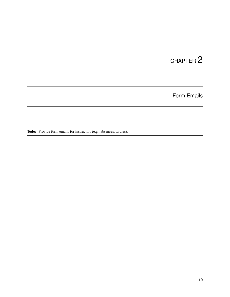Form Emails

<span id="page-22-0"></span>Todo: Provide form emails for instructors (e.g., absences, tardies).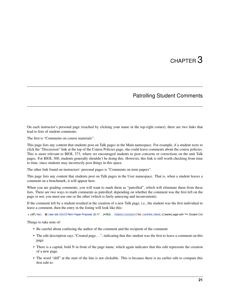### Patrolling Student Comments

<span id="page-24-0"></span>On each instructor's personal page (reached by clicking your name in the top-right corner), there are two links that lead to lists of student comments.

The first is "Comments on course materials".

This page lists any content that students post on Talk pages in the Main namespace. For example, if a student were to click the "Discussion" link at the top of the Course Policies page, she could leave comments about the course policies. This is more relevant to BIOL 373, where we encouraged students to post concerns or corrections on the unit Talk pages. For BIOL 300, students generally shouldn't be doing this. However, this link is still worth checking from time to time, since students may incorrectly post things in this space.

The other link found on instructors' personal pages is "Comments on term papers".

This page lists any content that students post on Talk pages in the User namespace. That is, when a student leaves a comment on a benchmark, it will appear here.

When you are grading comments, you will want to mark them as "patrolled", which will eliminate them from these lists. There are two ways to mark comments as patrolled; depending on whether the comment was the first left on the page or not, you must use one or the other (which is fairly annoying and inconvenient).

If the comment left by a student resulted in the creation of a new Talk page, i.e., the student was the first individual to leave a comment, then the entry in the listing will look like this:

• (diff | hist) . . N! User talk: //Term Paper Proposal; 20:17 . . (+782) . . (Talk | contribs | block) (Created page with "== Student Con

Things to take note of:

- Be careful about confusing the author of the comment and the recipient of the comment.
- The edit description says "Created page. . . ", indicating that this student was the first to leave a comment on this page.
- There is a capital, bold N in front of the page name, which again indicates that this edit represents the creation of a new page.
- The word "diff" at the start of the line is not clickable. This is because there is no earlier edit to compare this first edit to.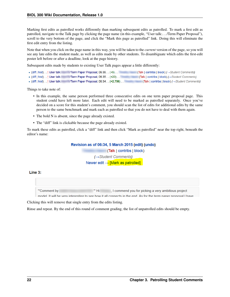Marking first edits as patrolled works differently than marking subsequent edits as patrolled. To mark a first edit as patrolled, navigate to the Talk page by clicking the page name (in this example, "User talk:. . . /Term Paper Proposal"), scroll to the very bottom of the page, and click the "Mark this page as patrolled" link. Doing this will eliminate the first edit entry from the listing.

Note that when you click on the page name in this way, you will be taken to the *current* version of the page, so you will see any late edits the student made, as well as edits made by other students. To disambiguate which edits the first-edit poster left before or after a deadline, look at the page history.

Subsequent edits made by students to existing User Talk pages appear a little differently:

- (diff | hist) . . ! User talk: Term Paper Proposal; 06:36 . . (+5) . . (Talk | contribs | block) (→ Student Comments) • (diff | hist) . . ! User talk: Term Paper Proposal; 06:35 . .  $(+20)$  . . (Talk | contribs | block) ( $\rightarrow$  Student Comments)
- (diff | hist) . .! User talk: // Term Paper Proposal; 06:34 . . (+2,706) . . (Talk | contribs | block) ( -> Student Comments)

Things to take note of:

- In this example, the same person performed three consecutive edits on one term paper proposal page. This student could have left more later. Each edit will need to be marked as patrolled separately. Once you've decided on a score for this student's comment, you should scan the list of edits for additional edits by the same person to the same benchmark and mark each as patrolled so that you do not have to deal with them again.
- The bold N is absent, since the page already existed.
- The "diff" link is clickable because the page already existed.

To mark these edits as patrolled, click a "diff" link and then click "Mark as patrolled" near the top right, beneath the editor's name:

#### Revision as of 06:34, 5 March 2015 (edit) (undo)

(→Student Comments) Newer edit  $\rightarrow$  [Mark as patrolled]

(Talk | contribs | block)

#### Line 3:

"Comment by  $\mathbb{C}^m$  Hi  $\equiv$ I commend you for picking a very ambitious project

model. If will be very interesting to see how if all connects in the end. As for the term naner proposal I have

Clicking this will remove that single entry from the edits listing.

Rinse and repeat. By the end of this round of comment grading, the list of unpatrolled edits should be empty.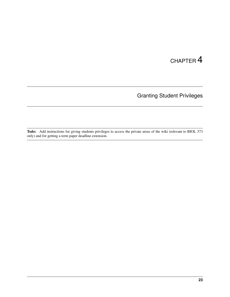Granting Student Privileges

<span id="page-26-0"></span>Todo: Add instructions for giving students privileges to access the private areas of the wiki (relevant to BIOL 373 only) and for getting a term paper deadline extension.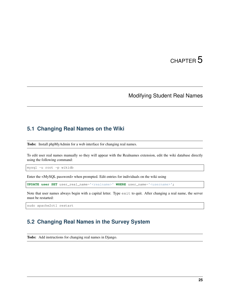### Modifying Student Real Names

### <span id="page-28-1"></span><span id="page-28-0"></span>**5.1 Changing Real Names on the Wiki**

Todo: Install phpMyAdmin for a web interface for changing real names.

To edit user real names manually so they will appear with the Realnames extension, edit the wiki database directly using the following command:

mysql -u root -p wikidb

Enter the <MySQL password> when prompted. Edit entries for individuals on the wiki using

**UPDATE** user SET user\_real\_name='<realname>' WHERE user\_name='<username>';

Note that user names always begin with a capital letter. Type exit to quit. After changing a real name, the server must be restarted:

sudo apache2ctl restart

#### <span id="page-28-2"></span>**5.2 Changing Real Names in the Survey System**

Todo: Add instructions for changing real names in Django.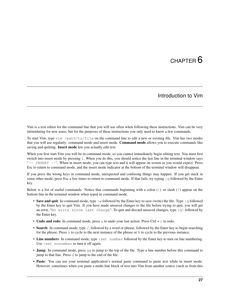#### Introduction to Vim

<span id="page-30-0"></span>Vim is a text editor for the command line that you will use often when following these instructions. Vim can be very intimidating for new users, but for the purposes of these instructions you only need to know a few commands.

To start Vim, type vim /path/to/file on the command line to edit a new or existing file. Vim has two modes that you will use regularly: command mode and insert mode. Command mode allows you to execute commands like saving and quitting. **Insert mode** lets you actually edit text.

When you first start Vim you will be in command mode, so you cannot immediately begin editing text. You must first switch into insert mode by pressing i. When you do this, you should notice the last line in the terminal window says "-- INSERT --". When in insert mode, you can type text and it will appear on screen as you would expect. Press Esc to return to command mode, and the insert mode indicator at the bottom of the terminal window will disappear.

If you press the wrong keys in command mode, unexpected and confusing things may happen. If you get stuck in some other mode, press Esc a few times to return to command mode. If that fails, try typing : q followed by the Enter key.

Below is a list of useful commands. Notice that commands beginning with a colon (:) or slash (/) appear on the bottom line in the terminal window when typed in command mode.

- Save and quit: In command mode, type : w followed by the Enter key to save (write) the file. Type : q followed by the Enter key to quit Vim. If you have made unsaved changes to the file before trying to quit, you will get an error, "No write since last change". To quit and discard unsaved changes, type :q! followed by the Enter key.
- Undo and redo: In command mode, press u to undo your last action. Press Ctrl  $+ x$  to redo.
- Search: In command mode, type /, followed by a word or phrase, followed by the Enter key to begin searching for the phrase. Press n to cycle to the next instance of the phrase or N to cycle to the previous instance.
- Line numbers: In command mode, type : set number followed by the Enter key to turn on line numbering. Use :set nonumber to turn it off again.
- Jump: In command mode, press  $q\bar{q}$  to jump to the top of the file. Type a line number before this command to jump to that line. Press G to jump to the end of the file.
- Paste: You can use your terminal application's normal paste command to paste text while in insert mode. However, sometimes when you paste a multi-line block of text into Vim from another source (such as from this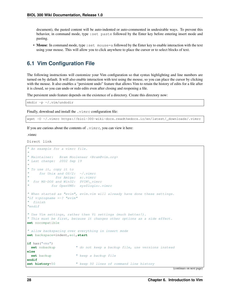document), the pasted content will be auto-indented or auto-commented in undesirable ways. To prevent this behavior, in command mode, type :set paste followed by the Enter key before entering insert mode and pasting.

• Mouse: In command mode, type : set mouse=a followed by the Enter key to enable interaction with the text using your mouse. This will allow you to click anywhere to place the cursor or to select blocks of text.

#### <span id="page-31-0"></span>**6.1 Vim Configuration File**

The following instructions will customize your Vim configuration so that syntax highlighting and line numbers are turned on by default. It will also enable interaction with text using the mouse, so you can place the cursor by clicking with the mouse. It also enables a "persistent undo" feature that allows Vim to retain the history of edits for a file after it is closed, so you can undo or redo edits even after closing and reopening a file.

The persistent undo feature depends on the existence of a directory. Create this directory now:

```
mkdir -p ~/.vim/undodir
```
Finally, download and install the . vimrc configuration file:

wget -O ~/.vimrc https://biol-300-wiki-docs.readthedocs.io/en/latest/ downloads/.vimrc

If you are curious about the contents of . vimrc, you can view it here:

.vimrc

Direct link

```
" An example for a vimrc file.
"
" Maintainer: Bram Moolenaar <Bram@vim.org>
" Last change: 2002 Sep 19
"
" To use it, copy it to
    for Unix and OS/2: \sim/. vimrc
            for Amiga: s:.vimrc
  for MS-DOS and Win32: $VIM\_vimrc
          for OpenVMS: sys$login:.vimrc
" When started as "evim", evim.vim will already have done these settings.
"if v: progname =\sim? "evim"
 finish
"endif
" Use Vim settings, rather then Vi settings (much better!).
" This must be first, because it changes other options as a side effect.
set nocompatible
" allow backspacing over everything in insert mode
set backspace=indent,eol,start
if has("vms")
 set nobackup " do not keep a backup file, use versions instead
else
 set backup " keep a backup file
endif
set history=50 " keep 50 lines of command line history
```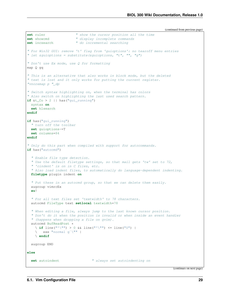```
set ruler " show the cursor position all the time
set showcmd " display incomplete commands
set incsearch " do incremental searching
" For Win32 GUI: remove 't' flag from 'guioptions': no tearoff menu entries
" let \&guioptions = substitute(\&guioptions, "t", "", "q")
" Don't use Ex mode, use Q for formatting
map Q gq
" This is an alternative that also works in block mode, but the deleted
" text is lost and it only works for putting the current register.
"vnoremap p "_dp
" Switch syntax highlighting on, when the terminal has colors
" Also switch on highlighting the last used search pattern.
if \&t_{\text{C}} > 2 || has ("gui_running")
 syntax on
  set hlsearch
endif
if has("gui_running")
  " turn off the toolbar
  set guioptions-=T
  set columns=84
endif
" Only do this part when compiled with support for autocommands.
if has("autocmd")
  " Enable file type detection.
  " Use the default filetype settings, so that mail gets 'tw' set to 72,
  " 'cindent' is on in C files, etc.
  " Also load indent files, to automatically do language-dependent indenting.
  filetype plugin indent on
  " Put these in an autocmd group, so that we can delete them easily.
  augroup vimrcEx
  au!
  " For all text files set 'textwidth' to 78 characters.
  autocmd FileType text setlocal textwidth=78
  " When editing a file, always jump to the last known cursor position.
  " Don't do it when the position is invalid or when inside an event handler
  " (happens when dropping a file on gvim).
  autocmd BufReadPost *
    \setminus if line("'\"") > 0 && line("'\"") <= line("$") |
       \overline{e} exe "normal g`\"" |
    \ endif
  augroup END
else
  set autoindent \qquad \qquad \qquad \qquad \qquad \qquad \qquad \qquad \qquad \qquad \qquad \qquad \qquad \qquad \qquad \qquad \qquad \qquad \qquad \qquad \qquad \qquad \qquad \qquad \qquad \qquad \qquad \qquad \qquad \qquad \qquad \qquad \qquad \qquad \q
```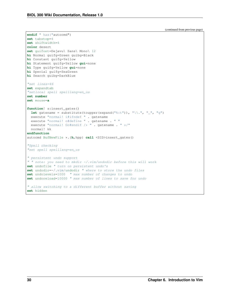```
endif " has("autocmd")
set tabstop=4
set shiftwidth=4
color desert
set guifont=Dejavu\ Sans\ Mono\ 12
hi Normal guifg=Green guibg=Black
hi Constant guifg=Yellow
hi Statement guifg=Yellow gui=none
hi Type guifg=Yellow gui=none
hi Special guifg=SeaGreen
hi Search guibg=DarkBlue
"set lines=46
set expandtab
"setlocal spell spelllang=en_us
set number
set mouse=a
function! s:insert_gates()
 let gatename = substitute(toupper(expand("%:t")), "\\.", "_", "g")
 execute "normal! i#ifndef " . gatename
 execute "normal! o#define " . gatename . " "
 execute "normal! Go#endif /* " . gatename . " */"
 normal! kk
endfunction
autocmd BufNewFile *.{h,hpp} call <SID>insert_gates()
"Spell checking
"set spell spelllang=en_us
" persistent undo support
" " note: you need to mkdir ~/.vim/undodir before this will work
set undofile " turn on persistent undo's
set undodir=~/.vim/undodir " where to store the undo files
set undolevels=1000 " max number of changes to undo
set undoreload=10000 " max number of lines to save for undo
" allow switching to a different buffer without saving
set hidden
```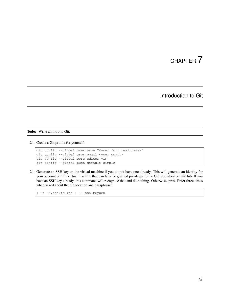### Introduction to Git

<span id="page-34-0"></span>Todo: Write an intro to Git.

24. Create a Git profile for yourself:

```
git config --global user.name "<your full real name>"
git config --global user.email <your email>
git config --global core.editor vim
git config --global push.default simple
```
24. Generate an SSH key on the virtual machine if you do not have one already. This will generate an identity for your account on this virtual machine that can later be granted privileges to the Git repository on GitHub. If you have an SSH key already, this command will recognize that and do nothing. Otherwise, press Enter three times when asked about the file location and passphrase:

[ -e ~/.ssh/id\_rsa ] || ssh-keygen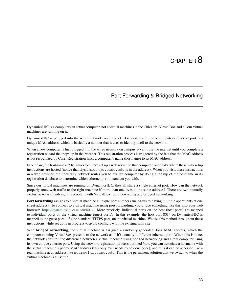# CHAPTER<sup>8</sup>

# Port Forwarding & Bridged Networking

<span id="page-36-0"></span>DynamicsHJC is a computer (an actual computer, not a virtual machine) in the Chiel lab. VirtualBox and all our virtual machines are running on it.

DynamicsHJC is plugged into the wired network via ethernet. Associated with every computer's ethernet port is a unique MAC address, which is basically a number that it uses to identify itself to the network.

When a new computer is first plugged into the wired network on campus, it can't use the internet until you complete a registration wizard that pops up in the browser. This registration process is triggered by the fact that the MAC address is not recognized by Case. Registration links a computer's name (hostname) to its MAC address.

In our case, the hostname is "dynamicshjc". I've set up a web server on that computer, and that's where these wiki setup instructions are hosted (notice that dynamicshic.case.edu is in the address). When you visit these instructions in a web browser, the university network routes you to our lab computer by doing a lookup of the hostname in its registration database to determine which ethernet port to connect you with.

Since our virtual machines are running on DynamicsHJC, they all share a single ethernet port. How can the network properly route web traffic to the right machine if more than one lives at the same address? There are two mutually exclusive ways of solving this problem with VirtualBox: port forwarding and bridged networking.

Port forwarding assigns to a virtual machine a unique port number (analogous to having multiple apartments at one street address). To connect to a virtual machine using port forwarding, you'd type something like this into your web browser: [https://dynamicshjc.case.edu:8014.](https://dynamicshjc.case.edu:8014) More precisely, individual ports on the host (host ports) are mapped to individual ports on the virtual machine (guest ports). In this example, the host port 8014 on DynamicsHJC is mapped to the guest port 443 (the standard HTTPS port) on the virtual machine. We use this method throughout these instructions while set up is in progress to avoid conflicts with the existing wiki site.

With **bridged networking**, the virtual machine is assigned a randomly generated, faux MAC address, which the computer running VirtualBox presents to the network as if it's actually a different ethernet port. When this is done, the network can't tell the difference between a virtual machine using bridged networking and a real computer using its own unique ethernet port. Using the network registration process outlined *[here](#page-162-0)*, you can associate a hostname with the virtual machine's phony MAC address (this only ever needs to be done once), and thus it can be accessed like a real machine at an address like neurowiki.case.edu. This is the permanent solution that we switch to when the virtual machine is all set up.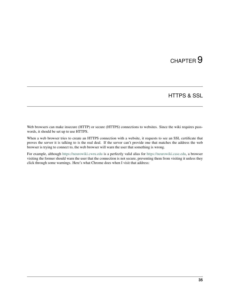# CHAPTER 9

# HTTPS & SSL

Web browsers can make insecure (HTTP) or secure (HTTPS) connections to websites. Since the wiki requires passwords, it should be set up to use HTTPS.

When a web browser tries to create an HTTPS connection with a website, it requests to see an SSL certificate that proves the server it is talking to is the real deal. If the server can't provide one that matches the address the web browser is trying to connect to, the web browser will warn the user that something is wrong.

For example, although <https://neurowiki.cwru.edu> is a perfectly valid alias for [https://neurowiki.case.edu,](https://neurowiki.case.edu) a browser visiting the former should warn the user that the connection is not secure, preventing them from visiting it unless they click through some warnings. Here's what Chrome does when I visit that address: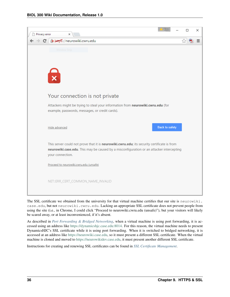

The SSL certificate we obtained from the university for that virtual machine certifies that our site is neurowiki. case.edu, but not neurowiki.cwru.edu. Lacking an appropriate SSL certificate does not prevent people from using the site (i.e., in Chrome, I could click "Proceed to neurowiki.cwru.edu (unsafe)"), but your visitors will likely be scared away, or at least inconvenienced, if it's absent.

As described in *[Port Forwarding & Bridged Networking](#page-36-0)*, when a virtual machine is using port forwarding, it is accessed using an address like [https://dynamicshjc.case.edu:8014.](https://dynamicshjc.case.edu:8014) For this reason, the virtual machine needs to present DynamicsHJC's SSL certificate while it is using port forwarding. When it is switched to bridged networking, it is accessed at an address like [https://neurowiki.case.edu,](https://neurowiki.case.edu) so it must present a different SSL certificate. When the virtual machine is cloned and moved to [https://neurowikidev.case.edu,](https://neurowikidev.case.edu) it must present another different SSL certificate.

Instructions for creating and renewing SSL certificates can be found in *[SSL Certificate Management](#page-156-0)*.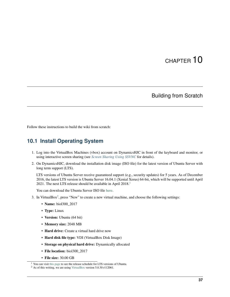# CHAPTER 10

## Building from Scratch

Follow these instructions to build the wiki from scratch:

## **10.1 Install Operating System**

- 1. Log into the VirtualBox Machines (vbox) account on DynamicsHJC in front of the keyboard and monitor, or using interactive screen sharing (see *[Screen Sharing Using SSVNC](#page-168-0)* for details).
- 2. On DynamicsHJC, download the installation disk image (ISO file) for the latest version of Ubuntu Server with long term support (LTS).

LTS versions of Ubuntu Server receive guaranteed support (e.g., security updates) for 5 years. As of December 2016, the latest LTS version is Ubuntu Server 16.04.1 (Xenial Xerus) 64-bit, which will be supported until April 202[1](#page-40-0). The next LTS release should be available in April 2018.<sup>1</sup>

You can download the Ubuntu Server ISO file [here.](http://www.ubuntu.com/download/server)

- 3. In VirtualBox<sup>[2](#page-40-1)</sup>, press "New" to create a new virtual machine, and choose the following settings:
	- Name: biol300 2017
	- Type: Linux
	- Version: Ubuntu (64 bit)
	- Memory size: 2048 MB
	- Hard drive: Create a virtual hard drive now
	- Hard disk file type: VDI (VirtualBox Disk Image)
	- Storage on physical hard drive: Dynamically allocated
	- File location: biol300 2017
	- File size: 30.00 GB

<span id="page-40-0"></span><sup>&</sup>lt;sup>1</sup> You can visit [this page](https://wiki.ubuntu.com/LTS) to see the release schedule for LTS versions of Ubuntu.

<span id="page-40-1"></span> $2$  As of this writing, we are using [VirtualBox](http://www.virtualbox.org) version 5.0.30 r112061.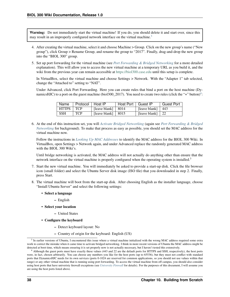Warning: Do not immediately start the virtual machine! If you do, you should delete it and start over, since this may result in an improperly configured network interface on the virtual machine.<sup>[3](#page-41-0)</sup>

- 4. After creating the virtual machine, select it and choose Machine > Group. Click on the new group's name ("New group"), click Group > Rename Group, and rename the group to "2017". Finally, drag-and-drop the new group into the "BIOL 300" group.
- 5. Set up port forwarding for the virtual machine (see *[Port Forwarding & Bridged Networking](#page-36-0)* for a more detailed explanation). This will allow you to access the new virtual machine at a temporary URL as you build it, and the wiki from the previous year can remain accessible at <https://biol300.case.edu> until this setup is complete.

In VirtualBox, select the virtual machine and choose Settings > Network. With the "Adapter 1" tab selected, change the "Attached to" setting to "NAT".

Under Advanced, click Port Forwarding. Here you can create rules that bind a port on the host machine (Dy-namicsHJC) to a port on the guest machine (biol300\_2017). You need to create two rules (click the "+" button)<sup>[4](#page-41-1)</sup>:

| Name         | Protocol   Host IP |                            | Host Port   Guest IP |                          | Guest Port |
|--------------|--------------------|----------------------------|----------------------|--------------------------|------------|
| <b>HTTPS</b> | TCP                | [leave blank] $  8014$     |                      | [leave blank] $ 443$     |            |
| <b>SSH</b>   | <b>TCP</b>         | [leave blank] $\vert$ 8015 |                      | [leave blank] $\vert$ 22 |            |

6. At the end of this instruction set, you will *[Activate Bridged Networking](#page-110-0)* (again see *[Port Forwarding & Bridged](#page-36-0) [Networking](#page-36-0)* for background). To make that process as easy as possible, you should set the MAC address for the virtual machine now.

Follow the instructions in *[Looking Up MAC Addresses](#page-162-1)* to identify the MAC address for the BIOL 300 Wiki. In VirtualBox, open Settings > Network again, and under Advanced replace the randomly generated MAC address with the BIOL 300 Wiki's.

Until bridge networking is activated, the MAC address will not actually do anything other than ensure that the network interface on the virtual machine is properly configured when the operating system is installed.<sup>3</sup>

- 7. Start the new virtual machine. You will immediately be asked to provide a start-up disk. Click the file browser icon (small folder) and select the Ubuntu Server disk image (ISO file) that you downloaded in step 2. Finally, press Start.
- 8. The virtual machine will boot from the start-up disk. After choosing English as the installer language, choose "Install Ubuntu Server" and select the following settings:
	- Select a language
		- English
	- Select your location
		- United States
	- Configure the keyboard
		- Detect keyboard layout: No
		- Country of origin for the keyboard: English (US)

<span id="page-41-0"></span><sup>&</sup>lt;sup>3</sup> In earlier versions of Ubuntu, I encountered this issue where a virtual machine initialized with the wrong MAC address required some extra work to correct the mistake when it came time to activate bridged networking. I think in more recent versions of Ubuntu the MAC address might be detected at boot time, which means ensuring it is set properly now is not actually necessary, but I haven't tested this extensively.

<span id="page-41-1"></span><sup>4</sup> Although the guest ports must have exactly these values (443 and 22 are the default ports for HTTPS and SSH, respectively), the host ports were, in fact, chosen arbitrarily. You can choose any numbers you like for the host ports (up to 65536), but they must not conflict with standard ports that DynamicsHJC needs for its own services (ports 0-1024 are reserved for common applications, so you should not use values within that range) or any other virtual machine that is running using port forwarding. To access the virtual machine from off campus, you should also consider using host ports that have univeristy firewall exceptions (see *[University Firewall](#page-164-0)* for details). For the purposes of this document, I will assume you are using the host ports listed above.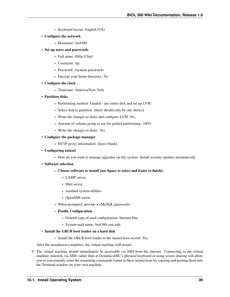- Keyboard layout: English (US)
- Configure the network
	- Hostname: biol300
- Set up users and passwords
	- Full name: Hillel Chiel
	- Username: hjc
	- Password: <system password>
	- Encrypt your home directory: No
- Configure the clock
	- Timezone: America/New York
- Partition disks
	- Partitioning method: Guided use entire disk and set up LVM
	- Select disk to partition: [there should only be one choice]
	- Write the changes to disks and configure LVM: Yes
	- Amount of volume group to use for guided partitioning: 100%
	- Write the changes to disks: Yes

#### • Configure the package manager

- HTTP proxy information: [leave blank]
- Configuring tasksel
	- How do you want to manage upgrades on this system: Install security updates automatically
- Software selection
	- Choose software to install [use Space to select and Enter to finish]:
		- \* LAMP server
		- \* Mail server
		- \* standard system utilities
		- \* OpenSSH server
	- When prompted, provide a <MySQL password>
	- Postfix Configuration
		- \* General type of mail configuration: Internet Site
		- \* System mail name: biol300.case.edu
- Install the GRUB boot loader on a hard disk
	- Install the GRUB boot loader to the master boot record: Yes

After the installation completes, the virtual machine will restart.

9. The virtual machine should immediately be accessible via SSH from the internet. Connecting to the virtual machine remotely via SSH, rather than at DynamicsHJC's physical keyboard or using screen sharing will allow you to conveniently enter the remaining commands found in these instructions by copying and pasting them into the Terminal window on your own machine.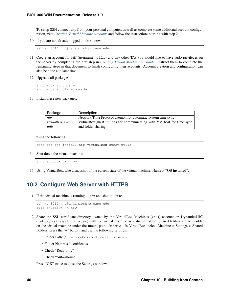To setup SSH connectivity from your personal computer, as well as complete some additional account configuration, visit *[Creating Virtual Machine Accounts](#page-152-0)* and follow the instructions starting with step 2.

10. If you are not already logged in, do so now:

```
ssh -p 8015 hjc@dynamicshjc.case.edu
```
- 11. Create an account for Jeff (username: gill) and any other TAs you would like to have sudo privileges on the server by completing the first step in *[Creating Virtual Machine Accounts](#page-152-0)*. Instruct them to complete the remaining steps in that document to finish configuring their accounts. Account creation and configuration can also be done at a later time.
- 12. Upgrade all packages:

```
sudo apt-get update
sudo apt-get dist-upgrade
```
13. Install these new packages,

| Package           | Description                                                             |
|-------------------|-------------------------------------------------------------------------|
| ntp               | Network Time Protocol daemon for automatic system time sync             |
| virtualbox-guest- | VirtualBox guest utilities for communicating with VM host for time sync |
| utils             | and folder sharing                                                      |

using the following:

```
sudo apt-get install ntp virtualbox-guest-utils
```
14. Shut down the virtual machine:

sudo shutdown -h now

15. Using VirtualBox, take a snapshot of the current state of the virtual machine. Name it "OS installed".

## **10.2 Configure Web Server with HTTPS**

1. If the virtual machine is running, log in and shut it down:

```
ssh -p 8015 hjc@dynamicshjc.case.edu
sudo shutdown -h now
```
- 2. Share the SSL certificate directory owned by the VirtualBox Machines (vbox) account on DynamicsHJC (~vbox/ssl-certificates) with the virtual machine as a shared folder. Shared folders are accessible on the virtual machine under the mount point /media. In VirtualBox, select Machine > Settings > Shared Folders, press the "+" button, and use the following settings:
	- Folder Path: /Users/vbox/ssl-certificates
	- Folder Name: ssl-certificates
	- Check "Read-only"
	- Check "Auto-mount"

Press "OK" twice to close the Settings windows.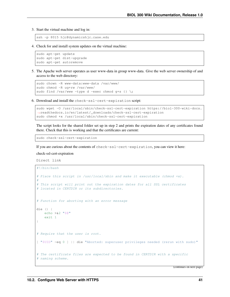3. Start the virtual machine and log in:

ssh -p 8015 hjc@dynamicshjc.case.edu

4. Check for and install system updates on the virtual machine:

```
sudo apt-get update
sudo apt-get dist-upgrade
sudo apt-get autoremove
```
5. The Apache web server operates as user www-data in group www-data. Give the web server ownership of and access to the web directory:

```
sudo chown -R www-data:www-data /var/www/
sudo chmod -R ug+rw /var/www/
sudo find /var/www -type d -exec chmod q+s {} \;
```
6. Download and install the check-ssl-cert-expiration script:

```
sudo wget -O /usr/local/sbin/check-ssl-cert-expiration https://biol-300-wiki-docs.
˓→readthedocs.io/en/latest/_downloads/check-ssl-cert-expiration
sudo chmod +x /usr/local/sbin/check-ssl-cert-expiration
```
The script looks for the shared folder set up in step 2 and prints the expiration dates of any certificates found there. Check that this is working and that the certificates are current:

sudo check-ssl-cert-expiration

If you are curious about the contents of check-ssl-cert-expiration, you can view it here:

check-ssl-cert-expiration

Direct link

```
#!/bin/bash
# Place this script in /usr/local/sbin and make it executable (chmod +x).
#
# This script will print out the expiration dates for all SSL certificates
# located in CERTDIR or its subdirectories.
# Function for aborting with an error message
die () {
   echo >&2 "$@"
   exit 1
}
# Require that the user is root.
[ "$UID" -eq 0 ] || die "Aborted: superuser privileges needed (rerun with sudo)"
# The certificate files are expected to be found in CERTDIR with a specific
# naming scheme.
```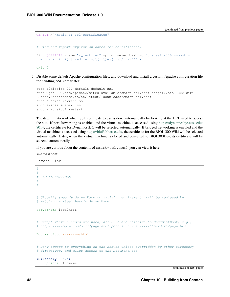```
CERTDIR="/media/sf_ssl-certificates"
# Find and report expiration dates for certificates.
find $CERTDIR -name "*_cert.cer" -print -exec bash -c "openssl x509 -noout -
\rightarrowenddate -in {} | sed -e 's/\(.*\)=\(.*\)/ \2/'" \;
exit 0
```
7. Disable some default Apache configuration files, and download and install a custom Apache configuration file for handling SSL certificates:

```
sudo a2dissite 000-default default-ssl
sudo wget -O /etc/apache2/sites-available/smart-ssl.conf https://biol-300-wiki-
˓→docs.readthedocs.io/en/latest/_downloads/smart-ssl.conf
sudo a2enmod rewrite ssl
sudo a2ensite smart-ssl
sudo apache2ctl restart
```
The determination of which SSL certificate to use is done automatically by looking at the URL used to access the site. If port forwarding is enabled and the virtual machine is accessed using [https://dynamicshjc.case.edu:](https://dynamicshjc.case.edu:8014) [8014,](https://dynamicshjc.case.edu:8014) the certificate for DynamicsHJC will be selected automatically. If bridged networking is enabled and the virtual machine is accessed using [https://biol300.case.edu,](https://biol300.case.edu) the certificate for the BIOL 300 Wiki will be selected automatically. Later, when the virtual machine is cloned and converted to BIOL300Dev, its certificate will be selected automatically.

If you are curious about the contents of smart-ssl.conf, you can view it here:

smart-ssl.conf

Direct link

```
#
#
# GLOBAL SETTINGS
#
#
# Globally specify ServerName to satisfy requirement, will be replaced by
# matching virtual host's ServerName
ServerName localhost
# Except where aliases are used, all URLs are relative to DocumentRoot, e.g.,
# https://example.com/dir1/page.html points to /var/www/html/dir1/page.html
DocumentRoot /var/www/html
# Deny access to everything on the server unless overridden by other Directory
# directives, and allow access to the DocumentRoot
<Directory ~ "/">
    Options -Indexes
```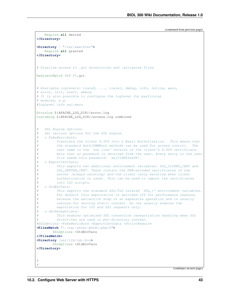```
Require all denied
</Directory>
<Directory ~ "/var/www/html">
   Require all granted
</Directory>
# Disallow access to .git directories and .gitignore files
RedirectMatch 404 /\.git
# Available loglevels: trace8, ..., trace1, debug, info, notice, warn,
# error, crit, alert, emerg.
# It is also possible to configure the loglevel for particular
# modules, e.g.
#LogLevel info ssl:warn
ErrorLog ${APACHE_LOG_DIR}/error.log
CustomLog ${APACHE_LOG_DIR}/access.log combined
# SSL Engine Options:
   Set various options for the SSL engine.
# o FakeBasicAuth:
         Translate the client X.509 into a Basic Authorisation. This means that
         the standard Auth/DBMAuth methods can be used for access control. The
# user name is the `one line' version of the client's X.509 certificate.
         Note that no password is obtained from the user. Every entry in the user
         file needs this password: `xxj31ZMTZzkVA'.
# o ExportCertData:
         This exports two additional environment variables: SSL CLIENT CERT and
         SSL_SERVER_CERT. These contain the PEM-encoded certificates of the
         server (always existing) and the client (only existing when client
         authentication is used). This can be used to import the certificates
         into CGI scripts.
# o StdEnvVars:
         This exports the standard SSL/TLS related `SSL_*' environment variables.
         Per default this exportation is switched off for performance reasons,
# because the extraction step is an expensive operation and is usually
# useless for serving static content. So one usually enables the
# exportation for CGI and SSI requests only.
# o OptRenegotiate:
# This enables optimized SSL connection renegotiation handling when SSL
         directives are used in per-directory context.
#SSLOptions +FakeBasicAuth +ExportCertData +StrictRequire
<FilesMatch "\.(cgi|shtml|phtml|php)$">
       SSLOptions +StdEnvVars
</FilesMatch>
<Directory /usr/lib/cgi-bin>
       SSLOptions +StdEnvVars
</Directory>
#
#
```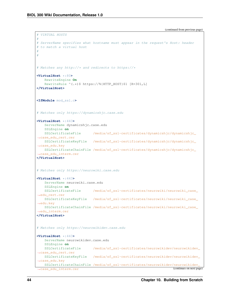```
# VIRTUAL HOSTS
#
# ServerName specifies what hostname must appear in the request's Host: header
# to match a virtual host
#
#
# Matches any http://* and redirects to https://*
<VirtualHost *:80>
   RewriteEngine On
   RewriteRule ^(.*)$ https://%{HTTP_HOST}$1 [R=301,L]
</VirtualHost>
<IfModule mod_ssl.c>
# Matches only https://dynamicshjc.case.edu
<VirtualHost *:443>
   ServerName dynamicshjc.case.edu
   SSLEngine on
   SSLCertificateFile /media/sf_ssl-certificates/dynamicshjc/dynamicshjc_
˓→case_edu_cert.cer
   SSLCertificateKeyFile /media/sf_ssl-certificates/dynamicshjc/dynamicshjc_
˓→case_edu.key
   SSLCertificateChainFile /media/sf_ssl-certificates/dynamicshjc/dynamicshjc_
˓→case_edu_interm.cer
</VirtualHost>
# Matches only https://neurowiki.case.edu
<VirtualHost *:443>
   ServerName neurowiki.case.edu
   SSLEngine on
   SSLCertificateFile /media/sf_ssl-certificates/neurowiki/neurowiki_case_
˓→edu_cert.cer
   SSLCertificateKeyFile /media/sf_ssl-certificates/neurowiki/neurowiki_case_
˓→edu.key
   SSLCertificateChainFile /media/sf_ssl-certificates/neurowiki/neurowiki_case_
˓→edu_interm.cer
</VirtualHost>
# Matches only https://neurowikidev.case.edu
<VirtualHost *:443>
   ServerName neurowikidev.case.edu
   SSLEngine on
   SSLCertificateFile /media/sf_ssl-certificates/neurowikidev/neurowikidev_
˓→case_edu_cert.cer
   SSLCertificateKeyFile /media/sf_ssl-certificates/neurowikidev/neurowikidev_
˓→case_edu.key
   SSLCertificateChainFile /media/sf_ssl-certificates/neurowikidev/neurowikidev_
 ˓→case_edu_interm.cer (continues on next page)
```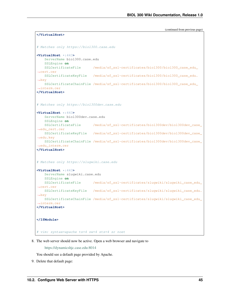```
</VirtualHost>
# Matches only https://biol300.case.edu
<VirtualHost *:443>
   ServerName biol300.case.edu
   SSLEngine on
   SSLCertificateFile /media/sf_ssl-certificates/biol300/biol300_case_edu_
˓→cert.cer
   SSLCertificateKeyFile /media/sf_ssl-certificates/biol300/biol300_case_edu.
\rightarrowkey
   SSLCertificateChainFile /media/sf_ssl-certificates/biol300/biol300_case_edu_
˓→interm.cer
</VirtualHost>
# Matches only https://biol300dev.case.edu
<VirtualHost *:443>
   ServerName biol300dev.case.edu
   SSLEngine on
   SSLCertificateFile /media/sf_ssl-certificates/biol300dev/biol300dev_case_
˓→edu_cert.cer
   SSLCertificateKeyFile /media/sf_ssl-certificates/biol300dev/biol300dev_case_
˓→edu.key
   SSLCertificateChainFile /media/sf_ssl-certificates/biol300dev/biol300dev_case_
˓→edu_interm.cer
</VirtualHost>
# Matches only https://slugwiki.case.edu
<VirtualHost *:443>
   ServerName slugwiki.case.edu
   SSLEngine on
   SSLCertificateFile /media/sf_ssl-certificates/slugwiki/slugwiki_case_edu_
˓→cert.cer
   SSLCertificateKeyFile /media/sf_ssl-certificates/slugwiki/slugwiki_case_edu.
\rightarrow k e vSSLCertificateChainFile /media/sf_ssl-certificates/slugwiki/slugwiki_case_edu_
˓→interm.cer
</VirtualHost>
</IfModule>
# vim: syntax=apache ts=4 sw=4 sts=4 sr noet
```
8. The web server should now be active. Open a web browser and navigate to

<https://dynamicshjc.case.edu:8014>

You should see a default page provided by Apache.

9. Delete that default page: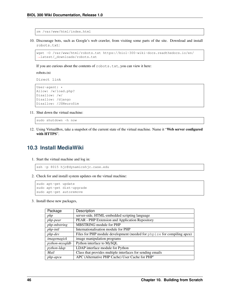```
rm /var/www/html/index.html
```
10. Discourage bots, such as Google's web crawler, from visiting some parts of the site. Download and install robots.txt:

```
wget -O /var/www/html/robots.txt https://biol-300-wiki-docs.readthedocs.io/en/
˓→latest/_downloads/robots.txt
```
If you are curious about the contents of robots.txt, you can view it here:

robots.txt

Direct link

```
User-agent: *
Allow: /w/load.php?
Disallow: /w/
Disallow: /django
Disallow: /JSNeuroSim
```
11. Shut down the virtual machine:

sudo shutdown -h now

12. Using VirtualBox, take a snapshot of the current state of the virtual machine. Name it "Web server configured with HTTPS".

### **10.3 Install MediaWiki**

1. Start the virtual machine and log in:

```
ssh -p 8015 hjc@dynamicshjc.case.edu
```
2. Check for and install system updates on the virtual machine:

```
sudo apt-get update
sudo apt-get dist-upgrade
sudo apt-get autoremove
```
3. Install these new packages,

| Package               | Description                                                             |
|-----------------------|-------------------------------------------------------------------------|
| php                   | server-side, HTML-embedded scripting language                           |
| <i>php-pear</i>       | PEAR - PHP Extension and Application Repository                         |
| php-mbstring          | <b>MBSTRING</b> module for PHP                                          |
| php-intl              | Internationalisation module for PHP                                     |
| $php$ -dev            | Files for PHP module development (needed for phpize for compiling apcu) |
| imagemagick           | image manipulation programs                                             |
| <i>python-mysqldb</i> | Python interface to MySQL                                               |
| <i>python-ldap</i>    | LDAP interface module for Python                                        |
| Mail                  | Class that provides multiple interfaces for sending emails              |
| php-apcu              | APC (Alternative PHP Cache) User Cache for PHP                          |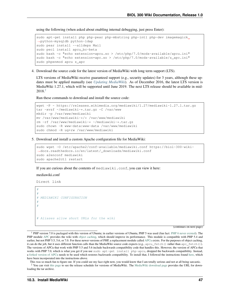using the following (when asked about enabling internal debugging, just press Enter):

```
sudo apt-get install php php-pear php-mbstring php-intl php-dev imagemagick
˓→python-mysqldb python-ldap
sudo pear install --alldeps Mail
sudo pecl install apcu_bc-beta
sudo bash -c "echo extension=apcu.so > /etc/php/7.0/mods-available/apcu.ini"
sudo bash -c "echo extension=apc.so > /etc/php/7.0/mods-available/z_apc.ini"
sudo phpenmod apcu z_apc
```
4. Download the source code for the latest version of MediaWiki with long term support (LTS).

LTS versions of MediaWiki receive guaranteed support (e.g., security updates) for 3 years, although these updates must be applied manually (see *[Updating MediaWiki](#page-174-0)*). As of December 2016, the latest LTS version is MediaWiki 1.27.1, which will be supported until June 2019. The next LTS release should be available in mid-2018.[2](#page-50-1)

Run these commands to download and install the source code:

```
wget -P ~ https://releases.wikimedia.org/mediawiki/1.27/mediawiki-1.27.1.tar.gz
tar -xvzf ~/mediawiki-*.tar.gz -C /var/www
mkdir -p /var/www/mediawiki
mv /var/www/mediawiki-*/* /var/www/mediawiki
rm -rf /var/www/mediawiki-* ~/mediawiki-*.tar.gz
sudo chown -R www-data:www-data /var/www/mediawiki
sudo chmod -R ug+rw /var/www/mediawiki
```
5. Download and install a custom Apache configuration file for MediaWiki:

```
sudo wget -O /etc/apache2/conf-available/mediawiki.conf https://biol-300-wiki-
˓→docs.readthedocs.io/en/latest/_downloads/mediawiki.conf
sudo a2enconf mediawiki
sudo apache2ctl restart
```
If you are curious about the contents of mediawiki.conf, you can view it here:

#### mediawiki.conf

Direct link

```
#
#
# MEDIAWIKI CONFIGURATION
#
#
# Aliases allow short URLs for the wiki
```
(continues on next page)

<span id="page-50-0"></span> $1$  PHP version 7.0 is packaged with this version of Ubuntu; in earlier versions of Ubuntu, PHP 5 was used (fun fact: [PHP 6 never existed\)](https://wiki.php.net/rfc/php6). The PHP module [APC](http://php.net/manual/en/book.apc.php) provides the wiki with [object caching,](https://www.mediawiki.org/wiki/Manual:Cache) which should improve its performance. This module is compatible with PHP 5.4 and earlier, but not PHP 5.5, 5.6, or 7.0. For these newer versions of PHP, a replacement module called [APCu](http://php.net/manual/en/book.apcu.php) exists. For the purposes of object caching, it can do the job, but it uses different function calls than the MediaWiki source code expects (e.g., apcu\_fetch() rather than apc\_fetch()). The versions of APCu that work with PHP 5.5 and 5.6 include backwards compatibility code that handles this. However, the version of APCu that works with PHP 7.0, which is what you get if you use sudo apt-get install php-apcu, dropped the backwards compatibility. Instead, a [forked version of APCu](https://pecl.php.net/package/apcu_bc) needs to be used which restores backwards compatibility. To install that, I followed the instructions found [here,](https://serverpilot.io/community/articles/how-to-install-the-php-apcu-bc-extension.html) which have been incorporated into the instructions above.

<span id="page-50-1"></span>This was so much fun to figure out. If you could see my face right now, you would know that I am totally serious and not at all being sarcastic. <sup>2</sup> You can visit [this page](https://www.mediawiki.org/wiki/Version_lifecycle) to see the release schedule for versions of MediaWiki. The [MediaWiki download page](https://www.mediawiki.org/wiki/Download) provides the URL for downloading the tar archive.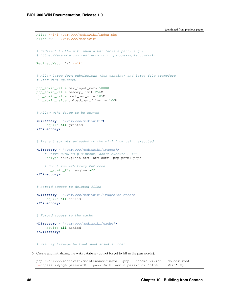```
Alias /wiki /var/www/mediawiki/index.php
Alias /w /var/www/mediawiki
# Redirect to the wiki when a URL lacks a path, e.g.,
# https://example.com redirects to https://example.com/wiki
RedirectMatch ^/$ /wiki
# Allow large form submissions (for grading) and large file transfers
# (for wiki uploads)
php_admin_value max_input_vars 50000
php_admin_value memory_limit 256M
php_admin_value post_max_size 105M
php_admin_value upload_max_filesize 100M
# Allow wiki files to be served
<Directory ~ "/var/www/mediawiki">
   Require all granted
</Directory>
# Prevent scripts uploaded to the wiki from being executed
<Directory ~ "/var/www/mediawiki/images">
    # Serve HTML as plaintext, don't execute SHTML
   AddType text/plain html htm shtml php phtml php5
    # Don't run arbitrary PHP code
    php_admin_flag engine off
</Directory>
# Forbid access to deleted files
<Directory ~ "/var/www/mediawiki/images/deleted">
   Require all denied
</Directory>
# Forbid access to the cache
<Directory ~ "/var/www/mediawiki/cache">
   Require all denied
</Directory>
# vim: syntax=apache ts=4 sw=4 sts=4 sr noet
```
6. Create and initializing the wiki database (do not forget to fill in the passwords):

```
php /var/www/mediawiki/maintenance/install.php --dbname wikidb --dbuser root --
˓→dbpass <MySQL password> --pass <wiki admin password> "BIOL 300 Wiki" Hjc
```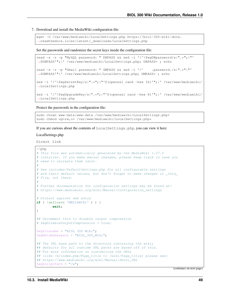#### 7. Download and install the MediaWiki configuration file:

```
wget -O /var/www/mediawiki/LocalSettings.php https://biol-300-wiki-docs.
˓→readthedocs.io/en/latest/_downloads/LocalSettings.php
```
Set the passwords and randomize the secret keys inside the configuration file:

```
read -s -r -p "MySQL password: " DBPASS && sed -i '/^\$wgDBpassword/s|".*";|"'
˓→$DBPASS'";|' /var/www/mediawiki/LocalSettings.php; DBPASS= ; echo
read -s -r -p "Gmail password: " GMPASS && sed -i '/^ .password./s|".*"|"'
˓→$GMPASS'"|' /var/www/mediawiki/LocalSettings.php; GMPASS= ; echo
sed -i '/^\$wgSecretKey/s|".*";|"'$(openssl rand -hex 32)'";|' /var/www/mediawiki/
˓→LocalSettings.php
sed -i '/^\$wqUpgradeKey/s|".*";|"'$(openssl rand -hex 8)'";|' /var/www/mediawiki/
˓→LocalSettings.php
```
Protect the passwords in the configuration file:

```
sudo chown www-data:www-data /var/www/mediawiki/LocalSettings.php*
sudo chmod ug=rw, o= /var/www/mediawiki/LocalSettings.php*
```
If you are curious about the contents of LocalSettings.php, you can view it here:

#### LocalSettings.php

Direct link

```
<?php
# This file was automatically generated by the MediaWiki 1.27.0
# installer. If you make manual changes, please keep track in case you
# need to recreate them later.
#
# See includes/DefaultSettings.php for all configurable settings
# and their default values, but don't forget to make changes in _this_
# file, not there.
#
# Further documentation for configuration settings may be found at:
# https://www.mediawiki.org/wiki/Manual:Configuration_settings
# Protect against web entry
if ( !defined( 'MEDIAWIKI' ) ) {
       exit;
}
## Uncomment this to disable output compression
# $wgDisableOutputCompression = true;
$wgSitename = "BIOL 300 Wiki";
$wgMetaNamespace = "BIOL_300_Wiki";
## The URL base path to the directory containing the wiki;
## defaults for all runtime URL paths are based off of this.
## For more information on customizing the URLs
## (like /w/index.php/Page_title to /wiki/Page_title) please see:
## https://www.mediawiki.org/wiki/Manual:Short_URL
$wgScriptPath = "/w";
```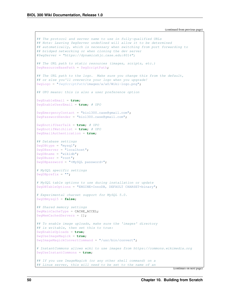```
## The protocol and server name to use in fully-qualified URLs
## Note: Leaving $wgServer undefined will allow it to be determined
## automatically, which is necessary when switching from port forwarding to
## bridged networking or when cloning the dev server
#$wgServer = "https://dynamicshjc.case.edu:8014";
## The URL path to static resources (images, scripts, etc.)
$wgResourceBasePath = $wgScriptPath;
## The URL path to the logo. Make sure you change this from the default,
## or else you'll overwrite your logo when you upgrade!
$wgLogo = "$wgScriptPath/images/a/a0/Wiki-logo.png";
## UPO means: this is also a user preference option
$wgEnableEmail = true;
$wgEnableUserEmail = true; # UPO
$wgEmergencyContact = "biol300.case@gmail.com";
$wgPasswordSender = "biol300.case@gmail.com";
$wgEnotifUserTalk = true; # UPO
$wgEnotifWatchlist = true; # UPO
$wgEmailAuthentication = true;
## Database settings
$wgDBtype = "mysql";
$wgDBserver = "localhost";
$wgDBname = "wikidb";
$wgDBuser = "root";
$wgDBpassword = "<MySQL password>";
# MySQL specific settings
$wgDBprefix = "";
# MySQL table options to use during installation or update
$wgDBTableOptions = "ENGINE=InnoDB, DEFAULT CHARSET=binary";
# Experimental charset support for MySQL 5.0.
$wgDBmysql5 = false;
## Shared memory settings
$wgMainCacheType = CACHE_ACCEL;
$wgMemCachedServers = [];
## To enable image uploads, make sure the 'images' directory
## is writable, then set this to true:
$wgEnableUploads = true;
$wgUseImageMagick = true;
$wgImageMagickConvertCommand = "/usr/bin/convert";
# InstantCommons allows wiki to use images from https://commons.wikimedia.org
$wgUseInstantCommons = true;
## If you use ImageMagick (or any other shell command) on a
## Linux server, this will need to be set to the name of an
```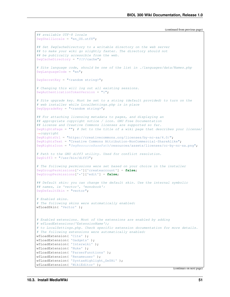```
## available UTF-8 locale
$wgShellLocale = "en_US.utf8";
## Set $wgCacheDirectory to a writable directory on the web server
## to make your wiki go slightly faster. The directory should not
## be publically accessible from the web.
$wgCacheDirectory = "$IP/cache";
# Site language code, should be one of the list in ./languages/data/Names.php
$wgLanguageCode = "en";
$wgSecretKey = "<random string>";
# Changing this will log out all existing sessions.
$wgAuthenticationTokenVersion = "1";
# Site upgrade key. Must be set to a string (default provided) to turn on the
# web installer while LocalSettings.php is in place
$wgUpgradeKey = "<random string>";
## For attaching licensing metadata to pages, and displaying an
## appropriate copyright notice / icon. GNU Free Documentation
## License and Creative Commons licenses are supported so far.
$wgRightsPage = " " ; # Set to the title of a wiki page that describes your license/\leftrightarrowcopyright
$wgRightsUrl = "https://creativecommons.org/licenses/by-nc-sa/4.0/";
$wgRightsText = "Creative Commons Attribution-NonCommercial-ShareAlike";
$wgRightsIcon = "$wgResourceBasePath/resources/assets/licenses/cc-by-nc-sa.png";
# Path to the GNU diff3 utility. Used for conflict resolution.
$wqDiff3 = "/usr/bin/diff3";# The following permissions were set based on your choice in the installer
$wgGroupPermissions['*']['createaccount'] = false;
$wgGroupPermissions['*']['edit'] = false;
## Default skin: you can change the default skin. Use the internal symbolic
## names, ie 'vector', 'monobook':
$wgDefaultSkin = "vector";
# Enabled skins.
# The following skins were automatically enabled:
wfLoadSkin( 'Vector' );
# Enabled extensions. Most of the extensions are enabled by adding
# wfLoadExtensions('ExtensionName');
# to LocalSettings.php. Check specific extension documentation for more details.
# The following extensions were automatically enabled:
wfLoadExtension( 'Cite' );
wfLoadExtension( 'Gadgets' );
wfLoadExtension( 'Interwiki' );
wfLoadExtension( 'Nuke' );
wfLoadExtension( 'ParserFunctions' );
wfLoadExtension( 'Renameuser' );
wfLoadExtension( 'SyntaxHighlight_GeSHi' );
wfLoadExtension( 'WikiEditor' );
```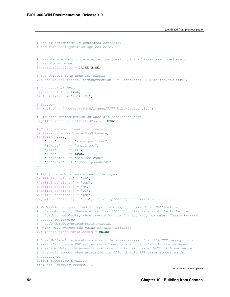```
# End of automatically generated settings.
# Add more configuration options below.
# Disable one form of caching so that newly uploaded files are immediately
# visible on pages
$wgParserCacheType = CACHE_NONE;
# Set default time zone for display
$wgDefaultUserOptions['timecorrection'] = 'ZoneInfo|-240|America/New_York';
# Enable short URLs
$wgUsePathInfo = true;
$wgArticlePath = "/wiki/$1";
# Favicon
$wgFavicon = "$wgScriptPath/images/7/77/Wiki-favicon.ico";
# Fix site customization on Special:Preferences page
$wgAllowSiteCSSOnRestrictedPages = true;
# Configure email sent from the wiki
$wgPasswordSenderName = $wgSitename;
$wgSMTP = array(
   'host' => "smtp.gmail.com",
   'IDHost' => "gmail.com",
   'port' \Rightarrow 587,
   'auth' => true,
    'username' => "biol300.case",
    'password' => "<gmail password>"
);
# Allow uploads of additional file types
$wgFileExtensions[] = "nb";
$wgFileExtensions[] = "cdf";
$wgFileExtensions[] = "m";
$wgFileExtensions[] = "wl";
$wgFileExtensions[] = "pdf";
\texttt{SwqFileExtensions[]} = \texttt{rico}; # for uploading the wiki favicon
# MediaWiki is suspicious of Import and Export commands in Mathematica
# notebooks, e.g., Chapter02.nb from BIOL 300. Disable script checks before
# uploading notebooks, then re-enable them for security purposes. Toggle between
# states by running
# sudo disable-upload-script-checks
# which will change the value of this variable.
$wgDisableUploadScriptChecks = false;
# Some Mathematica notebooks with file sizes smaller than the PHP memory limit
# will still cause PHP to run out of memory when the notebooks are uploaded
# (perhaps data compressed in the notebook is being expanded?). A blank white
# page will appear when uploading the file. Enable PHP error reporting for
# debugging.
#error_reporting(E_ALL);
#ini_set('display_errors', 1);
```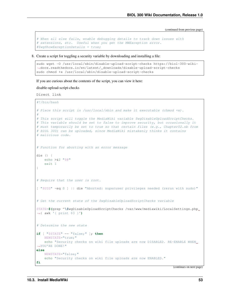```
# When all else fails, enable debugging details to track down issues with
# extensions, etc. Useful when you get the MWException error.
#$wgShowExceptionDetails = true;
```
8. Create a script for toggling a security variable by downloading and installing a file:

```
sudo wget -O /usr/local/sbin/disable-upload-script-checks https://biol-300-wiki-
˓→docs.readthedocs.io/en/latest/_downloads/disable-upload-script-checks
sudo chmod +x /usr/local/sbin/disable-upload-script-checks
```
If you are curious about the contents of the script, you can view it here:

disable-upload-script-checks

Direct link

```
#!/bin/bash
# Place this script in /usr/local/sbin and make it executable (chmod +x).
#
# This script will toggle the MediaWiki variable $wgDisableUploadScriptChecks.
# This variable should be set to false to improve security, but occasionally it
# must temporarily be set to true so that certain files (e.g., Chapter02.nb from
# BIOL 300) can be uploaded, since MediaWiki mistakenly thinks it contains
# malicious code.
# Function for aborting with an error message
die () {
   echo >&2 "$@"
   exit 1
}
# Require that the user is root.
[ "$UID" -eq 0 ] || die "Aborted: superuser privileges needed (rerun with sudo)"
# Get the current state of the $wgDisableUploadScriptChecks variable
STATE=$(grep ^\$wgDisableUploadScriptChecks /var/www/mediawiki/LocalSettings.php
˓→| awk '{ print $3 }')
# Determine the new state
if [ "$STATE" == "false;" ]; then
   NEWSTATE="true;"
   echo "Security checks on wiki file uploads are now DISABLED. RE-ENABLE WHEN
˓→YOU'RE DONE!"
else
   NEWSTATE="false;"
   echo "Security checks on wiki file uploads are now ENABLED."
fi
```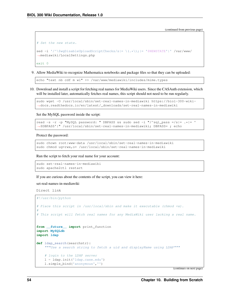```
# Set the new state.
sed -i '/^\$wqDisableUploadScriptChecks/s|= \(.*\);|= '$NEWSTATE'|' /var/www/
˓→mediawiki/LocalSettings.php
exit 0
```
9. Allow MediaWiki to recognize Mathematica notebooks and package files so that they can be uploaded:

echo "text nb cdf m wl" >> /var/www/mediawiki/includes/mime.types

10. Download and install a script for fetching real names for MediaWiki users. Since the CASAuth extension, which will be installed later, automatically fetches real names, this script should not need to be run regularly.

```
sudo wget -O /usr/local/sbin/set-real-names-in-mediawiki https://biol-300-wiki-
˓→docs.readthedocs.io/en/latest/_downloads/set-real-names-in-mediawiki
```
Set the MySQL password inside the script:

```
read -s -r -p "MySQL password: " DBPASS && sudo sed -i "/^sql_pass =/s|= \cdot*|= '
˓→$DBPASS'|" /usr/local/sbin/set-real-names-in-mediawiki; DBPASS= ; echo
```
Protect the password:

```
sudo chown root:www-data /usr/local/sbin/set-real-names-in-mediawiki
sudo chmod ug=rwx,o= /usr/local/sbin/set-real-names-in-mediawiki
```
Run the script to fetch your real name for your account:

```
sudo set-real-names-in-mediawiki
sudo apache2ctl restart
```
If you are curious about the contents of the script, you can view it here:

set-real-names-in-mediawiki

Direct link

```
#!/usr/bin/python
# Place this script in /usr/local/sbin and make it executable (chmod +x).
#
# This script will fetch real names for any MediaWiki user lacking a real name.
from __future__ import print_function
import MySQLdb
import ldap
def ldap_search(searchstr):
    """Use a search string to fetch a uid and displayName using LDAP"""
    # login to the LDAP server
    l = ldap.init('ldap.case.edu')
    l.simple_bind('anonymous','')
```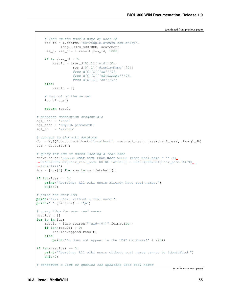```
# look up the user's name by user id
    res_id = l.search('ou=People,o=cwru.edu,o=isp',
            ldap.SCOPE_SUBTREE, searchstr)
    res_t, res_d = 1. result(res_id, 1000)
    if len(res_d) > 0:result = [res_d[0][1]['uid'][0],res_d[0][1]['displayName'][0]]
                  #res_d[0][1]['cn'][0],
                  #res_d[0][1]['givenName'][0],
                  #res_d[0][1]['sn'][0]]
    else:
       result = \lceil]
    # log out of the server
    l.unbind_s()
    return result
# database connection credentials
sql_user = 'root'
sql_pass = '<MySQL password>'
sgl_db = 'wikidd'# connect to the wiki database
db = MySQLdb.connect(host='localhost', user=sql_user, passwd=sql_pass, db=sql_db)
cur = db.cursor()# query for ids of users lacking a real name
cur.execute('SELECT user_name FROM user WHERE (user_real_name = " OR,
˓→LOWER(CONVERT(user_real_name USING latin1)) = LOWER(CONVERT(user_name USING
\rightarrowlatin1)))')
ids = [row[0] for row in cur. fetchall()]
if len(ids) == 0:print("Aborting: All wiki users already have real names.")
    exit(0)
# print the user ids
print("Wiki users without a real name:")
print(' '.join(ids) + '\n')
# query ldap for user real names
results = \lceil]
for id in ids:
    result = ldap\_search("uid={0}) ".format(id))
    if len(result) > 0:
        results.append(result)
    else:
        print('%s does not appear in the LDAP database!' % (id))
if len(results) == 0:
   print("Aborting: All wiki users without real names cannot be identified.")
    exit(0)
# construct a list of queries for updating user real names
```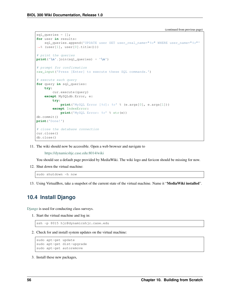```
sql_queries = [];
for user in results:
   sql_queries.append('UPDATE user SET user_real_name="%s" WHERE user_name="%s"'
\rightarrow (user[1], user[0].title()))
# print the queries
print('\n'.join(sql_queries) + '\n')
# prompt for confirmation
raw_input('Press [Enter] to execute these SQL commands.')
# execute each query
for query in sql_queries:
   try:
        cur.execute(query)
    except MySQLdb.Error, e:
        try:
            print('MySQL Error [%d]: %s' % (e.args[0], e.args[1]))
        except IndexError:
            print('MySQL Error: %s' % str(e))
db.commit()
print('Done!')
# close the database connection
cur.close()
db.close()
```
11. The wiki should now be accessible. Open a web browser and navigate to

<https://dynamicshjc.case.edu:8014/wiki>

You should see a default page provided by MediaWiki. The wiki logo and favicon should be missing for now.

12. Shut down the virtual machine:

sudo shutdown -h now

13. Using VirtualBox, take a snapshot of the current state of the virtual machine. Name it "MediaWiki installed".

### **10.4 Install Django**

[Django](https://www.djangoproject.com/) is used for conducting class surveys.

1. Start the virtual machine and log in:

ssh -p 8015 hjc@dynamicshjc.case.edu

2. Check for and install system updates on the virtual machine:

```
sudo apt-get update
sudo apt-get dist-upgrade
sudo apt-get autoremove
```
3. Install these new packages,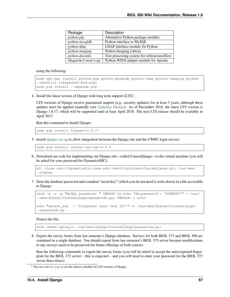| Package             | Description                                 |
|---------------------|---------------------------------------------|
| python-pip          | Alternative Python package installer        |
| python-mysqldb      | Python interface to MySQL                   |
| python-ldap         | LDAP interface module for Python            |
| python-imaging      | Python Imaging Library                      |
| python-docutils     | Text processing system for reStructuredText |
| libapache2-mod-wsgi | Python WSGI adapter module for Apache       |

using the following:

```
sudo apt-get install python-pip python-mysqldb python-ldap python-imaging python-
˓→docutils libapache2-mod-wsgi
sudo pip install --upgrade pip
```
4. Install the latest version of Django with long term support  $(LTS)^1$  $(LTS)^1$ .

LTS versions of Django receive guaranteed support (e.g., security updates) for at least 3 years, although these updates must be applied manually (see *[Updating Django](#page-176-0)*). As of December 2016, the latest LTS version is Django 1.8.17, which will be supported until at least April 2018. The next LTS release should be available in April 2017.

Run this command to install Django:

sudo pip install Django==1.8.17

5. Install [django-cas-ng](https://pypi.python.org/pypi/django-cas-ng) to allow integration between the Django site and the CWRU login servers:

sudo pip install django-cas-ng==3.5.6

6. Download our code for implementing our Django site—called CourseDjango—to the virtual machine (you will be asked for your password for DynamicsHJC):

```
git clone ssh://dynamicshjc.case.edu/~kms15/gitshare/CourseDjango.git /var/www/
˓→django
```
7. Store the database password and a random "secret key" (which you do not need to write down) in a file accessible to Django:

```
read -s -r -p "MySQL password: " DBPASS && echo "db_password = '$DBPASS'" > /var/
˓→www/django/CourseDjango/passwords.py; DBPASS= ; echo
echo "secret_key = '$(openssl rand -hex 32)'" >> /var/www/django/CourseDjango/
˓→passwords.py
```
Protect the file:

sudo chmod ug=rw, o= /var/www/django/CourseDjango/passwords.py\*

8. Export the survey forms from last semester's Django database. Surveys for both BIOL 373 and BIOL 300 are contained in a single database. You should export from last semester's BIOL 373 server because modifications to any surveys need to be preserved for future offerings of both courses.

Run the following commands to export the survey forms (you will be asked to accept the unrecognized fingerprint for the BIOL 373 server – this is expected – and you will need to enter your password for the BIOL 373 server three times):

<span id="page-60-0"></span><sup>&</sup>lt;sup>1</sup> You can visit [this page](https://www.djangoproject.com/download/) to see the release schedule for LTS versions of Django.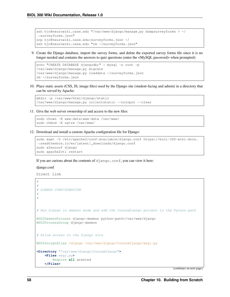```
ssh hjc@neurowiki.case.edu "/var/www/django/manage.py dumpsurveyforms > ~/
˓→surveyforms.json"
scp hjc@neurowiki.case.edu:surveyforms.json ~/
ssh hjc@neurowiki.case.edu "rm ~/surveyforms.json"
```
9. Create the Django database, import the survey forms, and delete the exported survey forms file since it is no longer needed and contains the answers to quiz questions (enter the  $\langle \text{MySQL} \rangle$  password> when prompted):

```
echo "CREATE DATABASE djangodb; " | mysql -u root -p
/var/www/django/manage.py migrate
/var/www/django/manage.py loaddata ~/surveyforms.json
rm ~/surveyforms.json
```
10. Place static assets (CSS, JS, image files) used by the Django site (student-facing and admin) in a directory that can be served by Apache:

```
mkdir -p /var/www/html/django/static
/var/www/django/manage.py collectstatic --noinput --clear
```
11. Give the web server ownership of and access to the new files:

```
sudo chown -R www-data:www-data /var/www/
sudo chmod -R ug+rw /var/www/
```
12. Download and install a custom Apache configuration file for Django:

```
sudo wget -O /etc/apache2/conf-available/django.conf https://biol-300-wiki-docs.
˓→readthedocs.io/en/latest/_downloads/django.conf
sudo a2enconf django
sudo apache2ctl restart
```
If you are curious about the contents of django.conf, you can view it here:

#### django.conf

Direct link

```
#
#
# DJANGO CONFIGURATION
#
#
# Run Django in daemon mode and add the CourseDjango project to the Python path
WSGIDaemonProcess django-daemon python-path=/var/www/django
WSGIProcessGroup django-daemon
# Allow access to the Django site
WSGIScriptAlias /django /var/www/django/CourseDjango/wsgi.py
<Directory "/var/www/django/CourseDjango">
    <Files wsgi.py>
        Require all granted
    </Files>
```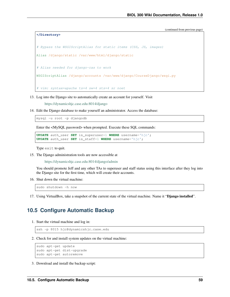```
</Directory>
# Bypass the WSGIScriptAlias for static items (CSS, JS, images)
Alias /django/static /var/www/html/django/static
# Alias needed for django-cas to work
WSGIScriptAlias /django/accounts /var/www/django/CourseDjango/wsgi.py
# vim: syntax=apache ts=4 sw=4 sts=4 sr noet
```
13. Log into the Django site to automatically create an account for yourself. Visit

<https://dynamicshjc.case.edu:8014/django>

14. Edit the Django database to make yourself an administrator. Access the database:

mysql -u root -p djangodb

Enter the <MySQL password> when prompted. Execute these SQL commands:

```
UPDATE auth_user SET is_superuser=1 WHERE username='hjc';
UPDATE auth_user SET is_staff=1 WHERE username='hjc';
```
Type exit to quit.

15. The Django administration tools are now accessible at

<https://dynamicshjc.case.edu:8014/django/admin>

You should promote Jeff and any other TAs to superuser and staff status using this interface after they log into the Django site for the first time, which will create their accounts.

16. Shut down the virtual machine:

sudo shutdown -h now

17. Using VirtualBox, take a snapshot of the current state of the virtual machine. Name it "Django installed".

## **10.5 Configure Automatic Backup**

1. Start the virtual machine and log in:

ssh -p 8015 hjc@dynamicshjc.case.edu

2. Check for and install system updates on the virtual machine:

```
sudo apt-get update
sudo apt-get dist-upgrade
sudo apt-get autoremove
```
3. Download and install the backup script: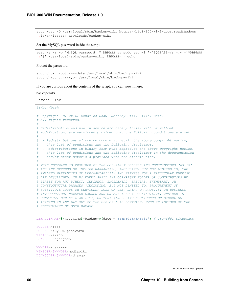sudo wget -O /usr/local/sbin/backup-wiki https://biol-300-wiki-docs.readthedocs. ˓<sup>→</sup>io/en/latest/\_downloads/backup-wiki

#### Set the MySQL password inside the script:

```
read -s -r -p "MySQL password: " DBPASS && sudo sed -i '/^SQLPASS=/s|=.*|='$DBPASS
˓→'|' /usr/local/sbin/backup-wiki; DBPASS= ; echo
```
#### Protect the password:

```
sudo chown root:www-data /usr/local/sbin/backup-wiki
sudo chmod ug=rwx,o= /usr/local/sbin/backup-wiki
```
If you are curious about the contents of the script, you can view it here:

#### backup-wiki

Direct link

```
#!/bin/bash
# Copyright (c) 2016, Kendrick Shaw, Jeffrey Gill, Hillel Chiel
# All rights reserved.
#
# Redistribution and use in source and binary forms, with or without
# modification, are permitted provided that the following conditions are met:
#
# * Redistributions of source code must retain the above copyright notice,
# this list of conditions and the following disclaimer.
# * Redistributions in binary form must reproduce the above copyright notice,
# this list of conditions and the following disclaimer in the documentation
    and/or other materials provided with the distribution.
#
# THIS SOFTWARE IS PROVIDED BY THE COPYRIGHT HOLDERS AND CONTRIBUTORS "AS IS"
# AND ANY EXPRESS OR IMPLIED WARRANTIES, INCLUDING, BUT NOT LIMITED TO, THE
# IMPLIED WARRANTIES OF MERCHANTABILITY AND FITNESS FOR A PARTICULAR PURPOSE
# ARE DISCLAIMED. IN NO EVENT SHALL THE COPYRIGHT HOLDER OR CONTRIBUTORS BE
# LIABLE FOR ANY DIRECT, INDIRECT, INCIDENTAL, SPECIAL, EXEMPLARY, OR
# CONSEQUENTIAL DAMAGES (INCLUDING, BUT NOT LIMITED TO, PROCUREMENT OF
# SUBSTITUTE GOODS OR SERVICES; LOSS OF USE, DATA, OR PROFITS; OR BUSINESS
# INTERRUPTION) HOWEVER CAUSED AND ON ANY THEORY OF LIABILITY, WHETHER IN
# CONTRACT, STRICT LIABILITY, OR TORT (INCLUDING NEGLIGENCE OR OTHERWISE)
# ARISING IN ANY WAY OUT OF THE USE OF THIS SOFTWARE, EVEN IF ADVISED OF THE
# POSSIBILITY OF SUCH DAMAGE.
DEFAULTNAME=$(hostname)-backup-$(date +'%Y%m%dT%H%M%S%z') # ISO-8601 timestamp
SQLUSER=root
SQLPASS=<MySQL password>
WIKIDB=wikidb
DJANGODB=djangodb
WWWDIR=/var/www
WIKIDIR=$WWWDIR/mediawiki
DJANGODIR=$WWWDIR/django
```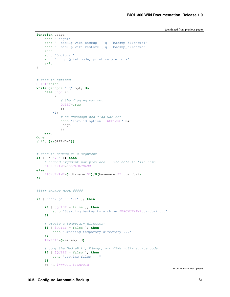```
function usage {
   echo "Usage:"
   echo " backup-wiki backup [-q] [backup_filename]"
   echo " backup-wiki restore [-q] backup_filename"
   echo
   echo "Options:"
   echo " -q Quiet mode, print only errors"
   exit
}
# read in options
QUIET=false
while getopts ":q" opt; do
   case $opt in
       q)
            # the flag -q was set
            QUIET=true
            ;;
        \?)
            # an unrecognized flag was set
            echo "Invalid option: - $OPTARG" > & 2
            usage
            ;;
    esac
done
shift $((OPTIND-1))
# read in backup_file argument
if [ -z "$2" ]; then
    # second argument not provided -- use default file name
   BACKUPNAME=$DEFAULTNAME
else
   BACKUPNAME=$(dirname $2)/$(basename $2 .tar.bz2)
fi
##### BACKUP MODE #####
if [ "backup" == "$1" ]; then
   if [ $QUIET = false ]; then
       echo "Starting backup to archive $BACKUPNAME.tar.bz2 ..."
   fi
    # create a temporary directory
   if [ $QUIET = false ]; then
       echo "Creating temporary directory ..."
   fi
   TEMPDIR=$(mktemp -d)
    # copy the MediaWiki, Django, and JSNeuroSim source code
   if [ $QUIET = false ]; then
       echo "Copying files ..."
    fi
    cp -R $WWWDIR $TEMPDIR
```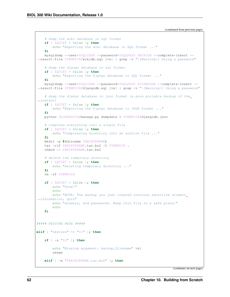```
# dump the wiki database in sql format
   if [ $QUIET = false ]; then
       echo "Exporting the wiki database in SQL format ..."
    fi
   mysqldump --user=$SQLUSER --password=$SQLPASS $WIKIDB --complete-insert --
˓→result-file $TEMPDIR/wikidb.sql 2>&1 | grep -v "\[Warning\] Using a password"
    # dump the django database in sql format
   if [ $QUIET = false ]; then
       echo "Exporting the Django database in SQL format ..."
   fi
   mysqldump --user=$SQLUSER --password=$SQLPASS $DJANGODB --complete-insert --
˓→result-file $TEMPDIR/djangodb.sql 2>&1 | grep -v "\[Warning\] Using a password"
    # dump the django database in json format (a more portable backup of the
˓→content)
   if [ $QUIET = false ]; then
        echo "Exporting the Django database in JSON format ..."
   fi
   python $DJANGODIR/manage.py dumpdata > $TEMPDIR/djangodb.json
    # compress everything into a single file
   if [ $QUIET = false ]; then
       echo "Compressing directory into an archive file ..."
   fi
   mkdir -p $(dirname $BACKUPNAME)
   tar -cjf $BACKUPNAME.tar.bz2 -C $TEMPDIR .
   chmod o= $BACKUPNAME.tar.bz2
    # delete the temporary directory
   if [ $QUIET = false ]; then
       echo "Deleting temporary directory ..."
   fi
   rm -rf $TEMPDIR
   if [ $QUIET = false ]; then
       echo "Done!"
       echo
       echo "NOTE: The backup you just created contains sensitive student
˓→information, quiz"
       echo "answers, and passwords. Keep this file in a safe place!"
       echo
   fi
##### RESTORE MODE #####
elif [ "restore" == "$1" ]; then
   if [ -z "$2" ]; then
        echo "Missing argument: backup_filename" >&2
        usage
    elif [ -e "$BACKUPNAME.tar.bz2" ]; then
```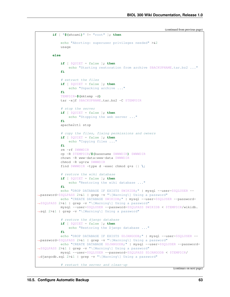```
(continued from previous page)
```

```
if [ "$(whoami)" != "root" ]; then
           echo "Aborting: superuser privileges needed" >&2
           usage
       else
           if [ $QUIET = false ]; then
               echo "Starting restoration from archive $BACKUPNAME.tar.bz2 ..."
           fi
           # extract the files
           if [ $QUIET = false ]; then
               echo "Unpacking archive ..."
           fi
           TEMPDIR=$(mktemp -d)
           tar -xjf $BACKUPNAME.tar.bz2 -C $TEMPDIR
           # stop the server
           if [ $QUIET = false ]; then
               echo "Stopping the web server ..."
           fi
           apache2ctl stop
           # copy the files, fixing permissions and owners
           if [ $QUIET = false ]; then
               echo "Copying files ..."
           fi
           rm -rf $WWWDIR
           cp -R $TEMPDIR/$(basename $WWWDIR) $WWWDIR
           chown -R www-data:www-data $WWWDIR
           chmod -R ug+rw $WWWDIR
           find $WWWDIR -type d -exec chmod g+s {} \;
           # restore the wiki database
           if [ $QUIET = false ]; then
               echo "Restoring the wiki database ..."
           fi
           echo "DROP DATABASE IF EXISTS $WIKIDB;" | mysql --user=$SQLUSER --
˓→password=$SQLPASS 2>&1 | grep -v "\[Warning\] Using a password"
           echo "CREATE DATABASE $WIKIDB;" | mysql --user=$SOLUSER --password=
˓→$SQLPASS 2>&1 | grep -v "\[Warning\] Using a password"
           mysql --user=$SQLUSER --password=$SQLPASS $WIKIDB < $TEMPDIR/wikidb.
˓→sql 2>&1 | grep -v "\[Warning\] Using a password"
           # restore the django database
           if [ $QUIET = false ]; then
               echo "Restoring the Django database ..."
           fi
           echo "DROP DATABASE IF EXISTS $DJANGODB;" | mysql --user=$SQLUSER --
˓→password=$SQLPASS 2>&1 | grep -v "\[Warning\] Using a password"
           echo "CREATE DATABASE $DJANGODB;" | mysql --user=$SQLUSER --password=
˓→$SQLPASS 2>&1 | grep -v "\[Warning\] Using a password"
           mysql --user=$SQLUSER --password=$SQLPASS $DJANGODB < $TEMPDIR/
˓→djangodb.sql 2>&1 | grep -v "\[Warning\] Using a password"
           # restart the server and clean-up
```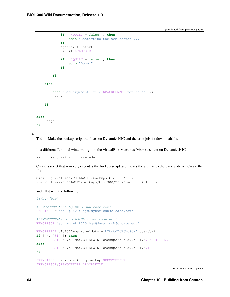```
if [ $QUIET = false ]; then
                echo "Restarting the web server ..."
            fi
            apache2ctl start
            rm -rf $TEMPDIR
            if [ $QUIET = false ]; then
                echo "Done!"
            fi
        fi
    else
        echo "Bad argument: file $BACKUPNAME not found" >&2
        usage
    fi
else
    usage
fi
```
4.

Todo: Make the backup script that lives on DynamicsHJC and the cron job list downloadable.

In a different Terminal window, log into the VirtualBox Machines (vbox) account on DynamicsHJC:

ssh vbox@dynamicshjc.case.edu

Create a script that remotely executes the backup script and moves the archive to the backup drive. Create the file

```
mkdir -p /Volumes/CHIELWIKI/backups/biol300/2017
vim /Volumes/CHIELWIKI/backups/biol300/2017/backup-biol300.sh
```
and fill it with the following:

#!/bin/bash

```
#REMOTESSH="ssh hjc@biol300.case.edu"
REMOTESSH="ssh -p 8015 hjc@dynamicshjc.case.edu"
#REMOTESCP="scp -q hjc@biol300.case.edu"
REMOTESCP="scp -q -P 8015 hjc@dynamicshjc.case.edu"
REMOTEFILE=biol300-backup-`date +'%Y%m%dT%H%M%S%z'`.tar.bz2
if [ -z "$1" ]; then
    LOCALFILE=/Volumes/CHIELWIKI/backups/biol300/2017/$REMOTEFILE
else
   LOCALFILE=/Volumes/CHIELWIKI/backups/biol300/2017/$1
fi
$REMOTESSH backup-wiki -q backup $REMOTEFILE
$REMOTESCP:$REMOTEFILE $LOCALFILE
```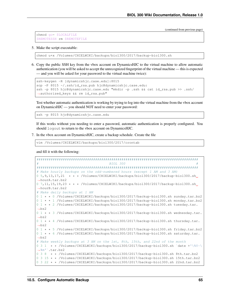```
chmod go= $LOCALFILE
$REMOTESSH rm $REMOTEFILE
```
#### 5. Make the script executable:

```
chmod u+x /Volumes/CHIELWIKI/backups/biol300/2017/backup-biol300.sh
```
6. Copy the public SSH key from the vbox account on DynamicsHJC to the virtual machine to allow automatic authentication (you will be asked to accept the unrecognized fingerprint of the virtual machine — this is expected — and you will be asked for your password to the virtual machine twice):

```
ssh-keygen -R [dynamicshjc.case.edu]:8015
scp -P 8015 ~/.ssh/id_rsa.pub hjc@dynamicshjc.case.edu:
ssh -p 8015 hjc@dynamicshjc.case.edu "mkdir -p .ssh && cat id_rsa.pub >> .ssh/
˓→authorized_keys && rm id_rsa.pub"
```
Test whether automatic authentication is working by trying to log into the virtual machine from the vbox account on DynamicsHJC — you should NOT need to enter your password:

ssh -p 8015 hjc@dynamicshjc.case.edu

If this works without you needing to enter a password, automatic authentication is properly configured. You should logout to return to the vbox account on DynamicsHJC.

7. In the vbox account on DynamicsHJC, create a backup schedule. Create the file

vim /Volumes/CHIELWIKI/backups/biol300/2017/crontab

and fill it with the following:

```
################################################################################
\# \qquad \qquad \qquad \qquad \qquad \qquad \qquad \qquad \qquad \qquad \qquad \qquad \qquad \qquad \qquad \qquad \qquad \qquad \qquad \qquad \qquad \qquad \qquad \qquad \qquad \qquad \qquad \qquad \qquad \qquad \qquad \qquad \qquad \qquad \qquad \qquad 
################################################################################
# Make hourly backups on the odd-numbered hours (except 1 AM and 3 AM)
0, 5, 9, 13, 17, 21 \star \star \star /Volumes/CHIELWIKI/backups/biol300/2017/backup-biol300.sh
˓→hourA.tar.bz2
0 7,11,15,19,23 * * * /Volumes/CHIELWIKI/backups/biol300/2017/backup-biol300.sh
˓→hourB.tar.bz2
# Make daily backups at 1 AM
0 1 * * 0 /Volumes/CHIELWIKI/backups/biol300/2017/backup-biol300.sh sunday.tar.bz2
0 1 * * 1 /Volumes/CHIELWIKI/backups/biol300/2017/backup-biol300.sh monday.tar.bz2
0 1 * * 2 /Volumes/CHIELWIKI/backups/biol300/2017/backup-biol300.sh tuesday.tar.
\rightarrowbz2
0 1 * * 3 /Volumes/CHIELWIKI/backups/biol300/2017/backup-biol300.sh wednesday.tar.
\rightarrowbz2
0 1 * * 4 /Volumes/CHIELWIKI/backups/biol300/2017/backup-biol300.sh thursday.tar.
\rightarrowbz2
0 1 * * 5 /Volumes/CHIELWIKI/backups/biol300/2017/backup-biol300.sh friday.tar.bz2
0 1 * * 6 /Volumes/CHIELWIKI/backups/biol300/2017/backup-biol300.sh saturday.tar.
\rightarrowbz2
# Make weekly backups at 3 AM on the 1st, 8th, 15th, and 22nd of the month
0 3 1 * * /Volumes/CHIELWIKI/backups/biol300/2017/backup-biol300.sh `date +'\%Y-\
˓→%m'`.tar.bz2
0 3 8 * * /Volumes/CHIELWIKI/backups/biol300/2017/backup-biol300.sh 8th.tar.bz2
0 3 15 * * /Volumes/CHIELWIKI/backups/biol300/2017/backup-biol300.sh 15th.tar.bz2
0 3 22 * * /Volumes/CHIELWIKI/backups/biol300/2017/backup-biol300.sh 22nd.tar.bz2
```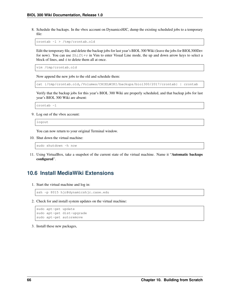8. Schedule the backups. In the vbox account on DynamicsHJC, dump the existing scheduled jobs to a temporary file:

crontab -l > /tmp/crontab.old

Edit the temporary file, and delete the backup jobs for last year's BIOL 300 Wiki (leave the jobs for BIOL300Dev for now). You can use Shift+v in Vim to enter Visual Line mode, the up and down arrow keys to select a block of lines, and d to delete them all at once.

vim /tmp/crontab.old

Now append the new jobs to the old and schedule them:

cat {/tmp/crontab.old,/Volumes/CHIELWIKI/backups/biol300/2017/crontab} | crontab

Verify that the backup jobs for this year's BIOL 300 Wiki are properly scheduled, and that backup jobs for last year's BIOL 300 Wiki are absent:

crontab -l

9. Log out of the vbox account:

logout

You can now return to your original Terminal window.

10. Shut down the virtual machine:

sudo shutdown -h now

11. Using VirtualBox, take a snapshot of the current state of the virtual machine. Name it "Automatic backups configured".

### **10.6 Install MediaWiki Extensions**

1. Start the virtual machine and log in:

ssh -p 8015 hjc@dynamicshjc.case.edu

2. Check for and install system updates on the virtual machine:

```
sudo apt-get update
sudo apt-get dist-upgrade
sudo apt-get autoremove
```
3. Install these new packages,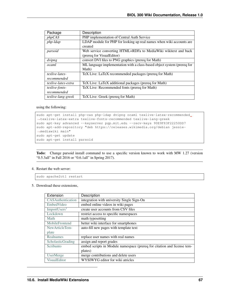| Package             | <b>Description</b>                                                      |  |
|---------------------|-------------------------------------------------------------------------|--|
| phpCAS              | PHP implementation of Central Auth Service                              |  |
| php-ldap            | LDAP module for PHP for looking up real names when wiki accounts are    |  |
|                     | created                                                                 |  |
| parsoid             | Web service converting HTML+RDFa to MediaWiki wikitext and back         |  |
|                     | (prereq for VisualEditor)                                               |  |
| dvipng              | convert DVI files to PNG graphics (prereq for Math)                     |  |
| ocaml               | ML language implementation with a class-based object system (prereq for |  |
|                     | Math)                                                                   |  |
| texlive-latex-      | TeX Live: LaTeX recommended packages (prereq for Math)                  |  |
| recommended         |                                                                         |  |
| texlive-latex-extra | TeX Live: LaTeX additional packages (prereq for Math)                   |  |
| texlive-fonts-      | TeX Live: Recommended fonts (prereq for Math)                           |  |
| recommended         |                                                                         |  |
| texlive-lang-greek  | TeX Live: Greek (prereq for Math)                                       |  |

using the following:

```
sudo apt-get install php-cas php-ldap dvipng ocaml texlive-latex-recommended,
˓→texlive-latex-extra texlive-fonts-recommended texlive-lang-greek
sudo apt-key advanced --keyserver pgp.mit.edu --recv-keys 90E9F83F22250DD7
sudo apt-add-repository "deb https://releases.wikimedia.org/debian jessie-
˓→mediawiki main"
sudo apt-get update
sudo apt-get install parsoid
```
Todo: Change parsoid install command to use a specific version known to work with MW 1.27 (version "0.5.3all" in Fall 2016 or "0.6.1all" in Spring 2017).

4. Restart the web server:

sudo apache2ctl restart

5. Download these extensions,

<span id="page-70-0"></span>

| Extension                | Description                                                             |
|--------------------------|-------------------------------------------------------------------------|
| CASAuthentication        | integration with university Single Sign-On                              |
| EmbedVideo               | embed online videos in wiki pages                                       |
| ImportUsers <sup>1</sup> | create user accounts from CSV files                                     |
| Lockdown                 | restrict access to specific namespaces                                  |
| Math                     | math typesetting                                                        |
| MobileFrontend           | better wiki interface for smartphones                                   |
| New Article Tem-         | auto-fill new pages with template text                                  |
| plate                    |                                                                         |
| Realnames                | replace user names with real names                                      |
| ScholasticGrading        | assign and report grades                                                |
| Scribunto                | embed scripts in Module namespace (prereq for citation and license tem- |
|                          | plates)                                                                 |
| <b>UserMerge</b>         | merge contributions and delete users                                    |
| VisualEditor             | WYSIWYG editor for wiki atricles                                        |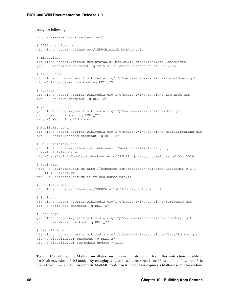using the following:

```
cd /var/www/mediawiki/extensions/
# CASAuthentication
git clone https://github.com/CWRUChielLab/CASAuth.git
# EmbedVideo
git clone https://github.com/HydraWiki/mediawiki-embedvideo.git EmbedVideo
git -C EmbedVideo checkout -q v2.5.2 # latest release as of Dec 2016
# ImportUsers
git clone https://gerrit.wikimedia.org/r/p/mediawiki/extensions/ImportUsers.git
git -C ImportUsers checkout -q REL1_27
# Lockdown
git clone https://gerrit.wikimedia.org/r/p/mediawiki/extensions/Lockdown.git
git -C Lockdown checkout -q REL1_27
# Math
git clone https://gerrit.wikimedia.org/r/p/mediawiki/extensions/Math.git
git -C Math checkout -q REL1_27
make -C Math # build texvc
# MobileFrontend
git clone https://gerrit.wikimedia.org/r/p/mediawiki/extensions/MobileFrontend.git
git -C MobileFrontend checkout -q REL1_27
# NewArticleTemplate
git clone https://github.com/mathiasertl/NewArticleTemplates.git
˓→NewArticleTemplate
git -C NewArticleTemplate checkout -q cff90b32 # latest commit as of Dec 2016
# Realnames
wget -O Realnames.tar.gz http://ofbeaton.com/releases/Realnames/Realnames_0.3.1_
˓→2011-12-25.tar.gz
tar -xf Realnames.tar.gz && rm Realnames.tar.gz
# ScholasticGrading
git clone https://github.com/CWRUChielLab/ScholasticGrading.git
# Scribunto
git clone https://gerrit.wikimedia.org/r/p/mediawiki/extensions/Scribunto.git
git -C Scribunto checkout -q REL1_27
# UserMerge
git clone https://gerrit.wikimedia.org/r/p/mediawiki/extensions/UserMerge.git
git -C UserMerge checkout -q REL1_27
# VisualEditor
git clone https://gerrit.wikimedia.org/r/p/mediawiki/extensions/VisualEditor.git
git -C VisualEditor checkout -q REL1_27
git -C VisualEditor submodule update --init
```
Todo: Consider adding Mathoid installation instructions. In its current form, this instruction set utilizes the Math extension's PNG mode. By changing \$wgDefaultUserOptions['math'] to 'mathml' in Local Settings.php, an alternate MathML mode can be used. This requires a Mathoid server for runtime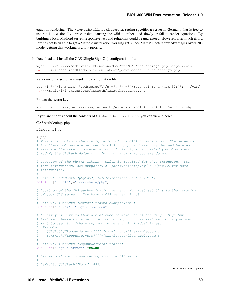equation rendering. The \$wgMathFullRestbaseURL setting specifies a server in Germany that is free to use but is occasionally unresponsive, causing the wiki to either load slowly or fail to render equations. By building a local Mathoid server, responsiveness and reliability could be guarenteed. However, after much effort, Jeff has not been able to get a Mathoid installation working yet. Since MathML offers few advantages over PNG mode, getting this working is a low priority.

6. Download and install the CAS (Single Sign-On) configuration file:

```
wget -O /var/www/mediawiki/extensions/CASAuth/CASAuthSettings.php https://biol-
˓→300-wiki-docs.readthedocs.io/en/latest/_downloads/CASAuthSettings.php
```
Randomize the secret key inside the configuration file:

```
sed -i '/^\$CASAuth\["PwdSecret"\]/s|=".*";|="'$(openssl rand -hex 32)'";|' /var/
˓→www/mediawiki/extensions/CASAuth/CASAuthSettings.php
```
#### Protect the secret key:

sudo chmod ug=rw, o= /var/www/mediawiki/extensions/CASAuth/CASAuthSettings.php\*

If you are curious about the contents of CASAuthSettings.php, you can view it here:

#### CASAuthSettings.php

Direct link

```
<?php
# This file controls the configuration of the CASAuth extension. The defaults
# for these options are defined in CASAuth.php, and are only defined here as
# well for the sake of documentation. It is highly suggested you should not
# modify the CASAuth defaults unless you know what you are doing.
# Location of the phpCAS library, which is required for this Extension. For
# more information, see https://wiki.jasig.org/display/CASC/phpCAS for more
# information.
#
# Default: $CASAuth["phpCAS"]="$IP/extensions/CASAuth/CAS";
$CASAuth["phpCAS"]="/usr/share/php";
# Location of the CAS authentication server. You must set this to the location
# of your CAS server. You have a CAS server right?
#
# Default: $CASAuth["Server"]="auth.example.com";
$CASAuth["Server"]="login.case.edu";
# An array of servers that are allowed to make use of the Single Sign Out
# feature. Leave to false if you do not support this feature, of if you dont
# want to use it. Otherwise, add servers on individual lines.
# Example:
     # $CASAuth["LogoutServers"][]='cas-logout-01.example.com';
# $CASAuth["LogoutServers"][]='cas-logout-02.example.com';
#
# Default: $CASAuth["LogoutServers"]=false;
$CASAuth["LogoutServers"]=false;
# Server port for communicating with the CAS server.
#
 Default: $CASAuth["Port"]=443;
```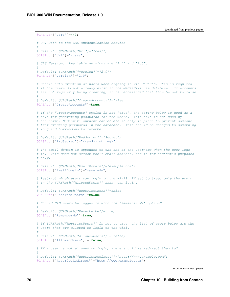```
$CASAuth["Port"]=443;
# URI Path to the CAS authentication service
#
# Default: $CASAuth["Url"]="/cas/";
$CASAuth["Url"]="/cas/";
# CAS Version. Available versions are "1.0" and "2.0".
#
# Default: $CASAuth["Version"]="2.0";
$CASAuth["Version"]="2.0";
# Enable auto-creation of users when signing in via CASAuth. This is required
# if the users do not already exist in the MediaWiki use database. If accounts
# are not regularly being creating, it is recommended that this be set to false
#
# Default: $CASAuth["CreateAccounts"]=false
$CASAuth["CreateAccounts"]=true;
# If the "CreateAccounts" option is set "true", the string below is used as a
# salt for generating passwords for the users. This salt is not used by
# the normal Mediawiki authentication and is only in place to prevent someone
# from cracking passwords in the database. This should be changed to something
# long and horrendous to remember.
#
# Default: $CASAuth["PwdSecret"]="Secret";
$CASAuth["PwdSecret"]="<random string>";
# The email domain is appended to the end of the username when the user logs
# in. This does not affect their email address, and is for aesthetic purposes
# only.
#
# Default: $CASAuth["EmailDomain"]="example.com";
$CASAuth["EmailDomain"]="case.edu";
# Restrict which users can login to the wiki? If set to true, only the users
# in the $CASAuth["AllowedUsers"] array can login.
#
# Default: $CASAuth["RestrictUsers"]=false
$CASAuth["RestrictUsers"]=false;
# Should CAS users be logged in with the "Remember Me" option?
#
# Default: $CASAuth["RememberMe"]=true;
$CASAuth["RememberMe"]=true;
# If $CASAuth["RestrictUsers"] is set to true, the list of users below are the
# users that are allowed to login to the wiki.
#
# Default: $CASAuth["AllowedUsers"] = false;
$CASAuth["AllowedUsers"] = false;
# If a user is not allowed to login, where should we redirect them to?
#
# Default: $CASAuth["RestrictRedirect"]="http://www.example.com";
$CASAuth["RestrictRedirect"]="http://www.example.com";
```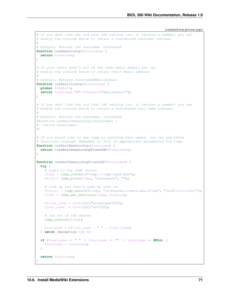```
# If you dont like the uid that CAS returns (ie. it returns a number) you can
# modify the routine below to return a customized username instead.
#
# Default: Returns the username, untouched
function casNameLookup($username) {
 return $username;
}
# If your users aren't all on the same email domain you can
# modify the routine below to return their email address
#
# Default: Returns $username@EmailDomain
function casEmailLookup($username) {
 global $CASAuth;
 return $username."@".$CASAuth["EmailDomain"];
}
# If you dont like the uid that CAS returns (ie. it returns a number) you can
# modify the routine below to return a customized real name instead.
#
# Default: Returns the username, untouched
#function casRealNameLookup($username) {
# return $username;
#}
# If you would like to use ldap to retrieve real names, you can use these
# functions instead. Remember to fill in appropriate parameters for ldap.
function casRealNameLookup($username) {
 return @casRealNameLookupFromLDAP($username);
}
function casRealNameLookupFromLDAP($username) {
 try {
    # login to the LDAP server
    $ldap = ldap_connect("ldap://ldap.case.edu");
    $bind = ldap_bind($ldap, "anonymous", "");
    # look up the user's name by user id
    $result = ldap_search($ldap, "ou=People,o=cwru.edu,o=isp", "(uid=$username)");
    $info = ldap_get_entries($ldap, $result);
    $first_name = $info[0]["givenname"][0];
    $last_name = $info[0]["sn"][0];# log out of the server
    ldap unbind($ldap);
    $realname = $first_name . " " . $last_name;
  } catch (Exception $e) {}
 if ($realname == " " ||$realname == " " ||$realname == NULL) {
   $realname = $username;}
 return $realname;
}
```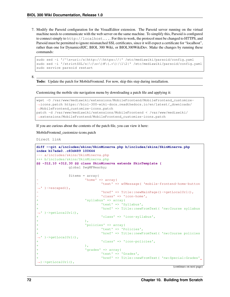7. Modify the Parsoid configuration for the VisualEditor extension. The Parsoid server running on the virtual machine needs to communicate with the web server on the same machine. To simplify this, Parsoid is configured to connect simply to http://localhost.... For this to work, the protocol must be changed to HTTPS, and Parsoid must be permitted to ignore mismatched SSL certificates, since it will expect a certificate for "localhost", rather than one for DynamicsHJC, BIOL 300 Wiki, or BIOL300WikiDev. Make the changes by running these commands:

```
sudo sed -i '/^\s*uri:/s|http://|https://|' /etc/mediawiki/parsoid/config.yaml
sudo sed -i '/strictSSL/s|\(\s*\)#\(.*\)|\1\2|' /etc/mediawiki/parsoid/config.yaml
sudo service parsoid restart
```
8.

Todo: Update the patch for MobileFrontend. For now, skip this step during installation.

Customizing the mobile site navigation menu by downloading a patch file and applying it:

```
wget -O /var/www/mediawiki/extensions/MobileFrontend/MobileFrontend_customize-
˓→icons.patch https://biol-300-wiki-docs.readthedocs.io/en/latest/_downloads/
˓→MobileFrontend_customize-icons.patch
patch -d /var/www/mediawiki/extensions/MobileFrontend < /var/www/mediawiki/
˓→extensions/MobileFrontend/MobileFrontend_customize-icons.patch
```
If you are curious about the contents of the patch file, you can view it here:

MobileFrontend\_customize-icons.patch

Direct link

```
diff --git a/includes/skins/SkinMinerva.php b/includes/skins/SkinMinerva.php
index b17ada0..c83d489 100644
--- a/includes/skins/SkinMinerva.php
+++ b/includes/skins/SkinMinerva.php
@@ -312,10 +312,30 @@ class SkinMinerva extends SkinTemplate {
               global $wgMFNearby;
               $items = array('home' \Rightarrow array(
                               'text' => wfMessage( 'mobile-frontend-home-button
   )->escaped(),
                               'href' => Title::newMainPage()->getLocalUrl(),
                               'class' => 'icon-home',
                        'syllabus' => array(
                               + 'text' => 'Syllabus',
                               'href' => Title::newFromText( 'nw:Course syllabus
   )->getLocalUrl(),
                               + 'class' => 'icon-syllabus',
+ ),
                        'policies' => array(
                               'text' => 'Policies',
                               'href' => Title::newFromText( 'nw:Course policies
   )->getLocalUrl(),
                               'class' => 'icon-policies',
+ ),
                        'grades' => array(
                               'text' => 'Grades',
                               'href' => Title::newFromText( 'nw:Special:Grades',
 ˓→)->getLocalUrl(),
```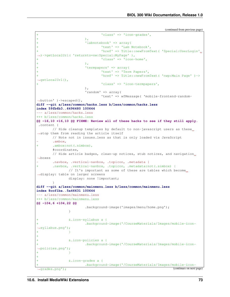```
+ ),
                       'labnotebook' => array(
                               'text' => 'Lab Notebook',
                               'href' => Title::newFromText( 'Special:UserLogin'
˓→)->getLocalUrl( 'returnto=nw:Special:MyPage' ),
                               'class' => 'icon-home',
+ ),
                       'termpapers' => array(
                               'text' => 'Term Papers',
                               'href' => Title::newFromText( 'nwp:Main Page' )->
˓→getLocalUrl(),
                              'class' => 'icon-termpapers',
                       ),
                       'random' => array(
                              'text' => wfMessage( 'mobile-frontend-random-
˓→button' )->escaped(),
diff --git a/less/common/hacks.less b/less/common/hacks.less
index 59fb6b3..6496480 100644
--- a/less/common/hacks.less
+++ b/less/common/hacks.less
@@ -16,10 +16,10 @@ FIXME: Review all of these hacks to see if they still apply.
.content {
       // Hide cleanup templates by default to non-javascript users as these
˓→stop them from reading the article itself
       // Note not in issues.less as that is only loaded via JavaScript
       .ambox,
       .ambox:not(.simbox),
       #coordinates,
       // Hide article badges, clean-up notices, stub notices, and navigation
˓→boxes
       .navbox, .vertical-navbox, .topicon, .metadata {
       .navbox, .vertical-navbox, .topicon, .metadata:not(.simbox) {
               // It's important as some of these are tables which become
˓→display: table on larger screens
               display: none !important;
        }
diff --git a/less/common/mainmenu.less b/less/common/mainmenu.less
index 8ccf1ba..5a46631 100644
--- a/less/common/mainmenu.less
+++ b/less/common/mainmenu.less
@@ -104,6 +104,22 @@
                       .background-image('images/menu/home.png');
               }
               + &.icon-syllabus a {
                       + .background-image('/CourseMaterials/Images/mobile-icon-
˓→syllabus.png');
+ }
+
               + &.icon-policies a {
                       + .background-image('/CourseMaterials/Images/mobile-icon-
˓→policies.png');
+ }
+
               + &.icon-grades a {
                       + .background-image('/CourseMaterials/Images/mobile-icon-
 ˓→grades.png'); (continues on next page)
```
'class'  $\Rightarrow$  'icon-grades',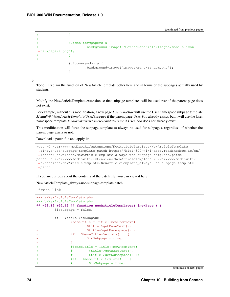```
+ }
+
              + &.icon-termpapers a {
                      + .background-image('/CourseMaterials/Images/mobile-icon-
˓→termpapers.png');
+ }
+
              &.icon-random a {
                      .background-image('images/menu/random.png');
              }
```
9.

Todo: Explain the function of NewArticleTemplate better here and in terms of the subpages actually used by students.

Modify the NewArticleTemplate extension so that subpage templates will be used even if the parent page does not exist.

For example, without this modification, a new page *User:Foo/Bar* will use the User namespace subpage template *MediaWiki:NewArticleTemplate/User/Subpage* if the parent page *User:Foo* already exists, but it will use the User namespace template *MediaWiki:NewArticleTemplate/User* if *User:Foo* does not already exist.

This modification will force the subpage template to always be used for subpages, regardless of whether the parent page exists or not.

Download a patch file and apply it:

```
wget -O /var/www/mediawiki/extensions/NewArticleTemplate/NewArticleTemplate_
˓→always-use-subpage-template.patch https://biol-300-wiki-docs.readthedocs.io/en/
˓→latest/_downloads/NewArticleTemplate_always-use-subpage-template.patch
patch -d /var/www/mediawiki/extensions/NewArticleTemplate < /var/www/mediawiki/
˓→extensions/NewArticleTemplate/NewArticleTemplate_always-use-subpage-template.
˓→patch
```
If you are curious about the contents of the patch file, you can view it here:

NewArticleTemplate\_always-use-subpage-template.patch

Direct link

```
--- a/NewArticleTemplate.php
+++ b/NewArticleTemplate.php
@@ -52,12 +52,13 @@ function newArticleTemplates( $newPage ) {
        $isSubpage = false;
        if ( $title->isSubpage() ) {
                - $baseTitle = Title::newFromText(
                        - $title->getBaseText(),
                        - $title->getNamespace() );
                if ( $baseTitle->exists() ) {
                        $isSubpage = true;- }
                + #$baseTitle = Title::newFromText(
                + # $title->getBaseText(),
                + # $title->getNamespace() );
                + #if ( $baseTitle->exists() ) {
                + # $isSubpage = true;
```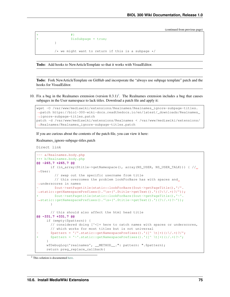```
+ \qquad \qquad \qquad \qquad \qquad \qquad \qquad \qquad \qquad \qquad \qquad \qquad \qquad \qquad \qquad \qquad \qquad \qquad \qquad \qquad \qquad \qquad \qquad \qquad \qquad \qquad \qquad \qquad \qquad \qquad \qquad \qquad \qquad \qquad \qquad \qquad $isSubpage = true;}
                                /* we might want to return if this is a subpage */
```
Todo: Add hooks to NewArticleTemplate so that it works with VisualEditor.

Todo: Fork NewArticleTemplate on GitHub and incorporate the "always use subpage template" patch and the hooks for VisualEditor.

10. Fix a bug in the Realnames extension (version  $(0.3.1)^2$  $(0.3.1)^2$ . The Realnames extension includes a bug that causes subpages in the User namespace to lack titles. Download a patch file and apply it:

```
wget -O /var/www/mediawiki/extensions/Realnames/Realnames_ignore-subpage-titles.
˓→patch https://biol-300-wiki-docs.readthedocs.io/en/latest/_downloads/Realnames_
˓→ignore-subpage-titles.patch
patch -d /var/www/mediawiki/extensions/Realnames < /var/www/mediawiki/extensions/
˓→Realnames/Realnames_ignore-subpage-titles.patch
```
If you are curious about the contents of the patch file, you can view it here:

Realnames\_ignore-subpage-titles.patch

Direct link

```
--- a/Realnames.body.php
+++ b/Realnames.body.php
@@ -265,7 +265,7 @@
       if (in_array($title->getNamespace(), array(NS_USER, NS_USER_TALK))) { //
˓→User:
         // swap out the specific username from title
         // this overcomes the problem lookForBare has with spaces and
˓→underscores in names
         - $out->setPagetitle(static::lookForBare($out->getPageTitle(),'/'.
˓→static::getNamespacePrefixes().'\s*('.$title->getText().')(?:\/.+)?/'));
         + $out->setPagetitle(static::lookForBare($out->getPageTitle(),'~'.
˓→static::getNamespacePrefixes().'\s*('.$title->getText().')(?:/.+)?~'));
       }
       // this should also affect the html head title
@@ -331,7 +331,7 @@
     if (empty($pattern)) {
       // considered doing [^<]+ here to catch names with spaces or underscores,
       // which works for most titles but is not universal
       $pattern = '/'.static::getNamespacePrefixes().'([^ \tceil , \tceil +) (:\\ \t/ .+) ?/';+ $pattern = '~'.static::getNamespacePrefixes().'([^ \t]+)(:/.+)?~';
     }
     wfDebugLog('realnames', __METHOD__.": pattern: ".$pattern);
     return preg_replace_callback(
```

```
2 This solution is documented here.
```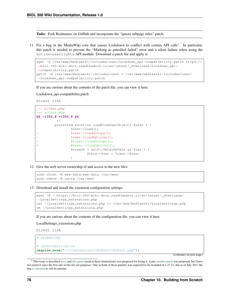Todo: Fork Realnames on GitHub and incorporate the "ignore subpage titles" patch.

11. Fix a bug in the MediaWiki core that causes Lockdown to conflict with certain API calls<sup>[3](#page-79-0)</sup>. In particular, this patch is needed to prevent the "Marking as patrolled failed" error and a silent failure when using the action=userrights API module. Download a patch file and apply it:

```
wget -O /var/www/mediawiki/includes/user/Lockdown_api-compatibility.patch https://
˓→biol-300-wiki-docs.readthedocs.io/en/latest/_downloads/Lockdown_api-
˓→compatibility.patch
patch -d /var/www/mediawiki/includes/user < /var/www/mediawiki/includes/user/
˓→Lockdown_api-compatibility.patch
```
If you are curious about the contents of the patch file, you can view it here:

Lockdown\_api-compatibility.patch

Direct link

```
--- b/User.php
+++ a/User.php
@@ -1355,8 +1355,8 @@
          */
         protected function loadFromUserObject( $user ) {
                  $user->load();
                  - $user->loadGroups();
                  - $user->loadOptions();
                  + #$user->loadGroups();
                  + #$user->loadOptions();
                  foreach ( self::$mCacheVars as $var ) {
                          $this->$var = $user->$var;
                  }
```
12. Give the web server ownership of and access to the new files:

```
sudo chown -R www-data:www-data /var/www/
sudo chmod -R ug+rw /var/www/
```
#### 13. Download and install the extension configuration settings:

```
wget -P ~ https://biol-300-wiki-docs.readthedocs.io/en/latest/_downloads/
˓→LocalSettings_extensions.php
cat ~/LocalSettings_extensions.php >> /var/www/mediawiki/LocalSettings.php
rm ~/LocalSettings_extensions.php
```
If you are curious about the contents of the configuration file, you can view it here:

LocalSettings\_extensions.php

Direct link

```
# EXTENSIONS
# CASAuthentication
require_once("$IP/extensions/CASAuth/CASAuth.php");
```
<span id="page-79-0"></span><sup>&</sup>lt;sup>3</sup> This issue is described [here,](https://phabricator.wikimedia.org/T148582) and [this patch](https://gerrit.wikimedia.org/r/#/c/325566/) (used in these instructions) was proposed for fixing it. Later, [another patch](https://gerrit.wikimedia.org/r/#/c/303358/) was proposed, but I have not tested it since the first one works for our purposes. One or both of these patches was expected to be included in 1.27.2+, but as of July 2017 the bug [is reported](https://www.mediawiki.org/wiki/Topic:Tcspqvnlstfztqw2) to still be present.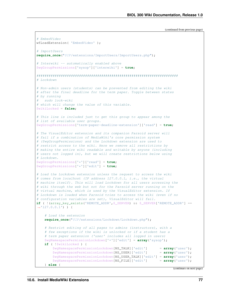```
(continued from previous page)
```

```
# EmbedVideo
wfLoadExtension( 'EmbedVideo' );
# ImportUsers
require_once("$IP/extensions/ImportUsers/ImportUsers.php");
# Interwiki -- automatically enabled above
$wgGroupPermissions['sysop']['interwiki'] = true;
######################################################################
# Lockdown
# Non-admin users (students) can be prevented from editing the wiki
# after the final deadline for the term paper. Toggle between states
# by running
  sudo lock-wiki
# which will change the value of this variable.
$wikiLocked = false;
# This line is included just to get this group to appear among the
# list of available user groups.
$wgGroupPermissions['term-paper-deadline-extension']['read'] = true;
# The VisualEditor extension and its companion Parsoid server will
# fail if a combination of MediaWiki's core permission system
# ($wgGroupPermissions) and the Lockdown extension are used to
# restrict access to the wiki. Here we remove all restrictions by
# making the entire wiki readable and writable by anyone (including
# users not logged in), but we will create restrictions below using
# Lockdown.
$wgGroupPermissions['*']['read'] = true;
$wgGroupPermissions['*']['edit'] = true;
# Load the Lockdown extension unless the request to access the wiki
# comes from localhost (IP address 127.0.0.1, i.e., the virtual
# machine itself). This will load Lockdown for all users accessing the
# wiki through the web but not for the Parsoid server running on the
# virtual machine, which is used by the VisualEditor extension. If
# Lockdown is loaded when Parsoid tries to access the wiki (even if no
# configuration variables are set), VisualEditor will fail.
if ( !(array_key_exists('REMOTE_ADDR', $_SERVER) && $_SERVER['REMOTE_ADDR'] ==
\rightarrow'127.0.0.1') ) {
    # Load the extension
    require_once("$IP/extensions/Lockdown/Lockdown.php");
    # Restrict editing of all pages to admins (instructors), with a
    # few exceptions if the wiki is unlocked or if a student has a
    # term paper extension ('user' includes all logged in users)
    $wgNamespacePermissionLockdown['*']['edit'] = array('sysop');
    if ( !$wikiLocked ) {
        $wgNamespacePermissionLockdown[NS_TALK]['edit'] = array('user');
        $wgNamespacePermissionLockdown[NS_USER]['edit'] = array('user');
        $wgNamespacePermissionLockdown[NS_USER_TALK]['edit'] = array('user');
        $wgNamespacePermissionLockdown[NS_FILE]['edit'] = array('user');
    } else {
```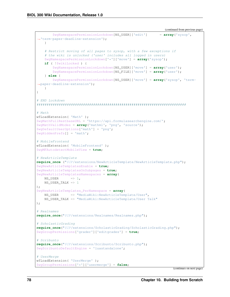```
$wgNamespacePermissionLockdown[NS_USER]['edit'] = array('sysop',
˓→'term-paper-deadline-extension');
   }
    # Restrict moving of all pages to sysop, with a few exceptions if
    # the wiki is unlocked ('user' includes all logged in users)
    $wgNamespacePermissionLockdown['*']['move'] = array('sysop');
   if ( !$wikiLocked ) {
        $wgNamespacePermissionLockdown[NS_USER]['move'] = array('user');
        $wgNamespacePermissionLockdown[NS_FILE]['move'] = array('user');
    } else {
        $wgNamespacePermissionLockdown[NS_USER]['move'] = array('sysop', 'term-
˓→paper-deadline-extension');
   }
}
# END Lockdown
##########################################################################
# Math
wfLoadExtension( 'Math' );
$wgMathFullRestbaseURL = 'https://api.formulasearchengine.com/';
$wgMathValidModes = array('mathml', 'png', 'source');
$wgDefaultUserOptions['math'] = 'png';
$wgHiddenPrefs[] = 'math';
# MobileFrontend
wfLoadExtension( 'MobileFrontend' );
$wgMFAutodetectMobileView = true;
# NewArticleTemplate
require_once ("$IP/extensions/NewArticleTemplate/NewArticleTemplate.php");
$wgNewArticleTemplatesEnable = true;
$wgNewArticleTemplatesOnSubpages = true;
$wgNewArticleTemplatesNamespaces = array(
   NS USER \implies 1.
   NS_USER_TALK => 1
);
$wgNewArticleTemplates_PerNamespace = array(
   NS_USER => "MediaWiki:NewArticleTemplate/User",
   NS_USER_TALK => "MediaWiki:NewArticleTemplate/User Talk"
);
# Realnames
require_once("$IP/extensions/Realnames/Realnames.php");
# ScholasticGrading
require_once("$IP/extensions/ScholasticGrading/ScholasticGrading.php");
$wgGroupPermissions['grader']['editgrades'] = true;
# Scribunto
require_once("$IP/extensions/Scribunto/Scribunto.php");
$wgScribuntoDefaultEngine = 'luastandalone';
# UserMerge
wfLoadExtension( 'UserMerge' );
$wgGroupPermissions['*']['usermerge'] = false;
```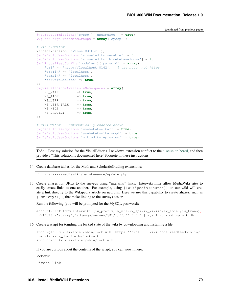```
$wgGroupPermissions['sysop']['usermerge'] = true;
$wgUserMergeProtectedGroups = array('sysop');
# VisualEditor
wfLoadExtension( 'VisualEditor' );
$wgDefaultUserOptions['visualeditor-enable'] = 0;
$wgDefaultUserOptions['visualeditor-hidebetawelcome'] = 1;
$wgVirtualRestConfig['modules']['parsoid'] = array(
    'url' => 'http://localhost:8142', # use http, not https
    'prefix' => 'localhost',
    'domain' => 'localhost',
   'forwardCookies' => true,
);
$wgVisualEditorAvailableNamespaces = array(
   NS_MAIN => true,
   NS_TALK => true,
   NS_USER => true,
   NS_USER_TALK => true,
   NS_HELP => true,
   NS_PROJECT => true,
);
# WikiEditor -- automatically enabled above
$wgDefaultUserOptions['usebetatoolbar'] = true;
$wgDefaultUserOptions['usebetatoolbar-cgd'] = true;
$wgDefaultUserOptions['wikieditor-preview'] = true;
```
Todo: Post my solution for the VisualEditor + Lockdown extension conflict to the [discussion board,](https://www.mediawiki.org/wiki/Topic:Rpj13q6rjc1bo377) and then provide a "This solution is documented here" footnote in these instructions.

14. Create database tables for the Math and ScholasticGrading extensions:

php /var/www/mediawiki/maintenance/update.php

15. Create aliases for URLs to the surveys using "interwiki" links. Interwiki links allow MediaWiki sites to easily create links to one another. For example, using [[wikipedia:Neuron]] on our wiki will create a link directly to the Wikipedia article on neurons. Here we use this capability to create aliases, such as  $\lceil$  [survey: 1]], that make linking to the surveys easier.

Run the following (you will be prompted for the MySQL password):

```
echo "INSERT INTO interwiki (iw_prefix,iw_url,iw_api,iw_wikiid,iw_local,iw_trans)
˓→VALUES ('survey','/django/survey/\$1/','','',0,0)" | mysql -u root -p wikidb
```
16. Create a script for toggling the locked state of the wiki by downloading and installing a file:

```
sudo wget -O /usr/local/sbin/lock-wiki https://biol-300-wiki-docs.readthedocs.io/
˓→en/latest/_downloads/lock-wiki
sudo chmod +x /usr/local/sbin/lock-wiki
```
If you are curious about the contents of the script, you can view it here:

lock-wiki

Direct link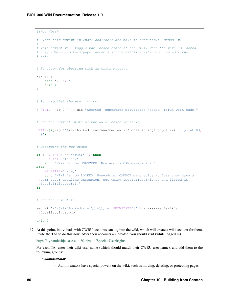```
#!/bin/bash
# Place this script in /usr/local/sbin and make it executable (chmod +x).
#
# This script will toggle the locked state of the wiki. When the wiki is locked,
# only admins and term paper authors with a deadline extension can edit the
# wiki.
# Function for aborting with an error message
die () {
   echo >&2 "$@"
   exit 1
}
# Require that the user is root.
[ "$UID" -eq 0 ] || die "Aborted: superuser privileges needed (rerun with sudo)"
# Get the current state of the $wikiLocked variable
STATE=$(grep ^\$wikiLocked /var/www/mediawiki/LocalSettings.php | awk '{ print $3
˓→}')
# Determine the new state
if [ "$STATE" == "true;" ]; then
   NEWSTATE="false;"
   echo "Wiki is now UNLOCKED. Non-admins CAN make edits."
else
   NEWSTATE="true;"
   echo "Wiki is now LOCKED. Non-admins CANNOT make edits (unless they have a,
→term paper deadline extension, set using Special:UserRights and listed at.
˓→Special:ListUsers)."
fi
# Set the new state.
sed -i '/^\$wikiLocked/s|= \(.*\);|= '$NEWSTATE'|' /var/www/mediawiki/
˓→LocalSettings.php
exit 0
```
17. At this point, individuals with CWRU accounts can log into the wiki, which will create a wiki account for them. Invite the TAs to do this now. After their accounts are created, you should visit (while logged in)

<https://dynamicshjc.case.edu:8014/wiki/Special:UserRights>

For each TA, enter their wiki user name (which should match their CWRU user name), and add them to the following groups:

- *administrator*
	- Administrators have special powers on the wiki, such as moving, deleting, or protecting pages.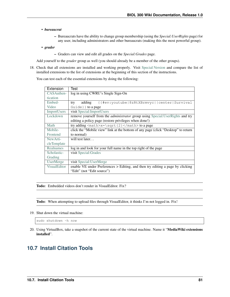#### • *bureaucrat*

- Bureaucrats have the ability to change group membership (using the *Special:UserRights* page) for any user, including administrators and other bureaucrats (making this the most powerful group).
- *grader*
	- Graders can view and edit all grades on the *Special:Grades* page.

Add yourself to the *grader* group as well (you should already be a member of the other groups).

18. Check that all extensions are installed and working properly. Visit [Special:Version](https://dynamicshjc.case.edu:8014/wiki/Special:Version) and compare the list of installed extensions to the list of extensions at the beginning of this section of the instructions.

You can test each of the essential extensions by doing the following:

| Extension           | Test                                                                                  |
|---------------------|---------------------------------------------------------------------------------------|
| CASAuthen-          | log in using CWRU's Single Sign-On                                                    |
| tication            |                                                                                       |
| Embed-              | {{#ev:youtube 8zRtXBrmvyc  center Survival<br>adding<br>try                           |
| Video               | $Guide}$ to a page                                                                    |
| ImportUsers         | visit Special: ImportUsers                                                            |
| Lockdown            | remove yourself from the <i>administrator</i> group using Special: UserRights and try |
|                     | editing a policy page (restore privileges when done!)                                 |
| Math                | try adding $math > x = \sqrt{2} < /math > to a page$                                  |
| Mobile-             | click the "Mobile view" link at the bottom of any page (click "Desktop" to return     |
| Frontend            | to normal)                                                                            |
| New Arti-           | will test later                                                                       |
| cleTemplate         |                                                                                       |
| Realnames           | log in and look for your full name in the top right of the page                       |
| Scholastic-         | visit Special: Grades                                                                 |
| Grading             |                                                                                       |
| <b>UserMerge</b>    | visit Special: UserMerge                                                              |
| <b>VisualEditor</b> | enable VE under Preferences > Editing, and then try editing a page by clicking        |
|                     | "Edit" (not "Edit source")                                                            |

Todo: Embedded videos don't render in VisualEditor. Fix?

Todo: When attempting to upload files through VisualEditor, it thinks I'm not logged in. Fix!

19. Shut down the virtual machine:

sudo shutdown -h now

20. Using VirtualBox, take a snapshot of the current state of the virtual machine. Name it "MediaWiki extensions installed".

# **10.7 Install Citation Tools**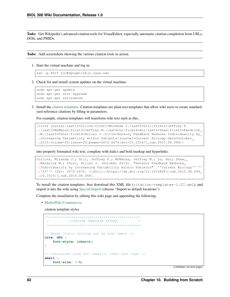Todo: Get Wikipedia's advanced citation tools for VisualEditor, especially automatic citation completion from URLs, DOIs, and PMIDs.

Todo: Add screenshots showing the various citation tools in action.

1. Start the virtual machine and log in:

```
ssh -p 8015 hjc@dynamicshjc.case.edu
```
2. Check for and install system updates on the virtual machine:

```
sudo apt-get update
sudo apt-get dist-upgrade
sudo apt-get autoremove
```
3. Install the [citation templates.](https://en.wikipedia.org/wiki/Wikipedia:Citation_templates) Citation templates are plain text templates that allow wiki users to create standardized reference citations by filling in parameters.

For example, citation templates will transform wiki text such as this,

```
{{cite journal|last1=Cullins|first1=Miranda J.|last2=Gill|first2=Jeffrey P.
˓→|last3=McManus|first3=Jeffrey M.|last4=Lu|first4=Hui|last5=Shaw|first5=Kendrick
˓→M.|last6=Chiel|first6=Hillel J.|title=Sensory Feedback Reduces Individuality by
\rightarrowIncreasing Variability within Subjects|journal=Current Biology|date=October<sub>u</sub>
˓→2015|volume=25|issue=20|pages=2672-2676|doi=10.1016/j.cub.2015.08.044}}
```
into properly formatted wiki text, complete with italics and bold markup and hyperlinks:

```
Cullins, Miranda J.; Gill, Jeffrey P.; McManus, Jeffrey M.; Lu, Hui; Shaw,
→Kendrick M.; Chiel, Hillel J. (October 2015). "Sensory Feedback Reduces
˓→Individuality by Increasing Variability within Subjects". ''Current Biology'' ''
˓→'25''' (20): 2672-2676. [[doi]]:[https://dx.doi.org/10.1016%2Fj.cub.2015.08.044
˓→10.1016/j.cub.2015.08.044].
```
To install the citation templates, first download this XML file (citation-templates-1.27.xml), and import it into the wiki using [Special:Import](https://dynamicshjc.case.edu:8014/wiki/Special:Import) (choose "Import to default locations").

Complete the installation by editing this wiki page and appending the following:

• [MediaWiki:Common.css](https://dynamicshjc.case.edu:8014/wiki/MediaWiki:Common.css)

citation template styles

```
/**********************************************
            CITATION TEMPLATE STYLES
   **********************************************/
/* Reset italic styling set by user agent */
cite, dfn {
    font-style: inherit;
}
/* Consistent size for <small>, <sub> and <sup> */
small {
    font-size: 85%;
```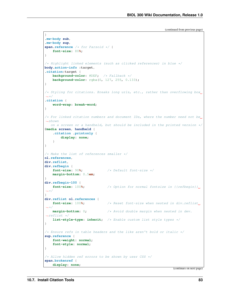```
}
.mw-body sub,
.mw-body sup,
span.reference /* for Parsoid */ {
   font-size: 80%;
}
/* Highlight linked elements (such as clicked references) in blue */body.action-info :target,
.citation:target {
   background-color: #DEF; /* Fallback */
   background-color: rgba(0, 127, 255, 0.133);
}
/* Styling for citations. Breaks long urls, etc., rather than overflowing box_
˓→*/
.citation {
   word-wrap: break-word;
}
/* For linked citation numbers and document IDs, where the number need not be
\rightarrowshown
  on a screen or a handheld, but should be included in the printed version */@media screen, handheld {
   .citation .printonly {
       display: none;
   }
}
/* Make the list of references smaller */
ol.references,
div.reflist,
div.refbegin {
   font-size: 90%; /* Default font-size */
   margin-bottom: 0.5em;
}
div.refbegin-100 {
   font-size: 100%; \left.\right/ \times Option for normal fontsize in {{refbegin}}
˓→*/
}
div.reflist ol.references {
   font-size: 100%; \frac{1}{2} /* Reset font-size when nested in div.reflist.
˓→*/
   margin-bottom: 0; /* Avoid double margin when nested in dev.
˓→reflist */
   list-style-type: inherit; /* Enable custom list style types */
}
/* Ensure refs in table headers and the like aren't bold or italic */sup.reference {
   font-weight: normal;
   font-style: normal;
}
/* Allow hidden ref errors to be shown by user CSS */span.brokenref {
   display: none;
```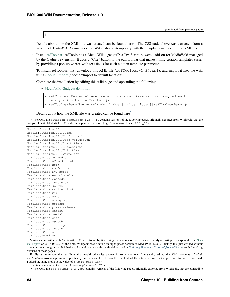}

(continued from previous page)

Details about how the XML file was created can be found here<sup>[1](#page-87-0)</sup>. The CSS code above was extracted from a version of *MediaWiki:Common.css* on Wikipedia contemporary with the templates included in the XML file.

4. Install [refToolbar.](http://en.wikipedia.org/wiki/Wikipedia:RefToolbar) refToolbar is a MediaWiki "gadget": a JavaScript-powered add-on for MediaWiki managed by the Gadgets extension. It adds a "Cite" button to the edit toolbar that makes filling citation templates easier by providing a pop-up wizard with text fields for each citation template parameter.

To install refToolbar, first download this XML file  $(r \in fToobar-1.27. xm)$ , and import it into the wiki using [Special:Import](https://dynamicshjc.case.edu:8014/wiki/Special:Import) (choose "Import to default locations").

Complete the installation by editing this wiki page and appending the following:

• [MediaWiki:Gadgets-definition](https://dynamicshjc.case.edu:8014/wiki/MediaWiki:Gadgets-definition)

```
* refToolbar[ResourceLoader|default|dependencies=user.options,mediawiki.
˓→legacy.wikibits]|refToolbar.js
* refToolbarBase[ResourceLoader|hidden|rights=hidden]|refToolbarBase.js
```
Details about how the XML file was created can be found here<sup>[2](#page-87-1)</sup>.

<span id="page-87-0"></span><sup>1</sup> The XML file citation-templates-1.27.xml contains versions of the following pages, originally exported from Wikipedia, that are compatible with MediaWiki 1.27 and contemporary extensions (e.g., Scribunto on branch REL1\_27):

```
Module:Citation/CS1
Module:Citation/CS1/COinS
Module:Citation/CS1/Configuration
Module:Citation/CS1/Date validation
Module:Citation/CS1/Identifiers
Module:Citation/CS1/Suggestions
Module:Citation/CS1/Utilities
Module:Citation/CS1/Whitelist
Template:Cite AV media
Template:Cite AV media notes
Template:Cite book
Template:Cite conference
Template:Cite DVD notes
Template:Cite encyclopedia
Template:Cite episode
Template:Cite interview
Template:Cite journal
Template:Cite mailing list
Template:Cite map
Template:Cite news
Template:Cite newsgroup
Template:Cite podcast
Template:Cite press release
Template:Cite report
Template:Cite serial
Template:Cite sign
Template:Cite speech
Template:Cite techreport
Template:Cite thesis
Template:Cite web
Template:Reflist
```
Versions compatible with MediaWiki 1.27 were found by first trying the versions of these pages currently on Wikipedia, exported using [Spe](http://en.wikipedia.org/wiki/Special:Export)[cial:Export](http://en.wikipedia.org/wiki/Special:Export) on 2016-08-20. At the time, Wikipedia was running an alpha-phase version of MediaWiki 1.28.0. Luckily, this just worked without errors or rendering glitches. If it had not, I would have used the method described in *[Updating Templates Exported from Wikipedia](#page-182-0)* to find working versions of these pages.

Finally, to eliminate the red links that would otherwise appear in some citations, I manually edited the XML contents of *Module:Citation/CS1/Configuration*. Specifically, in the variable id\_handlers, I added the interwiki prefix wikipedia: to each link field; I added the same prefix to the value of ['help page link'].

The final result is the file citation-templates-1.27.xml.

<span id="page-87-1"></span><sup>2</sup> The XML file refToolbar-1.27.xml contains versions of the following pages, originally exported from Wikipedia, that are compatible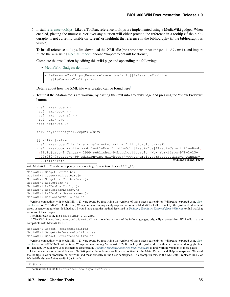5. Install [reference tooltips.](https://www.mediawiki.org/wiki/Reference_Tooltips) Like refToolbar, reference tooltips are implemented using a MediaWiki gadget. When enabled, placing the mouse cursor over any citation will either provide the reference in a tooltip (if the bibliography is not currently visible on-screen) or highlight the reference in the bibliography (if the bibliography is visible).

To install reference tooltips, first download this XML file (reference-tooltips-1.27.xml), and import it into the wiki using [Special:Import](https://dynamicshjc.case.edu:8014/wiki/Special:Import) (choose "Import to default locations").

Complete the installation by editing this wiki page and appending the following:

• [MediaWiki:Gadgets-definition](https://dynamicshjc.case.edu:8014/wiki/MediaWiki:Gadgets-definition)

```
* ReferenceTooltips[ResourceLoader|default]|ReferenceTooltips.
→is|ReferenceTooltips.css
```
Details about how the XML file was created can be found here<sup>[3](#page-88-0)</sup>.

6. Test that the citation tools are working by pasting this text into any wiki page and pressing the "Show Preview" button:

```
<ref name=note />
<ref name=book />
<ref name=journal />
<ref name=news />
<ref name=web />
<div style="height:200px"></div>
{{reflist|refs=
<ref name=note>This is a simple note, not a full citation.</ref>
<ref name=book>{{cite book|last1=Doe|first1=John|last2=Doe|first2=Jane|title=Book
˓→Title|date=1 January 1999|publisher=Publisher|location=New York|isbn=978-1-23-
˓→456789-7|pages=1-99|edition=1st|url=http://www.example.com|accessdate=1 January
˓→2015}}</ref> (continues on next page)
```
with MediaWiki 1.27 and contemporary extensions (e.g., Scribunto on branch REL1\_27):

```
MediaWiki:Gadget-refToolbar
MediaWiki:Gadget-refToolbar.js
MediaWiki:Gadget-refToolbarBase.js
MediaWiki:RefToolbar.js
MediaWiki:RefToolbarConfig.js
MediaWiki:RefToolbarLegacy.js
MediaWiki:RefToolbarMessages-en.js
MediaWiki:RefToolbarNoDialogs.js
```
Versions compatible with MediaWiki 1.27 were found by first trying the versions of these pages currently on Wikipedia, exported using [Spe](http://en.wikipedia.org/wiki/Special:Export)[cial:Export](http://en.wikipedia.org/wiki/Special:Export) on 2016-08-20. At the time, Wikipedia was running an alpha-phase version of MediaWiki 1.28.0. Luckily, this just worked without errors or rendering glitches. If it had not, I would have used the method described in *[Updating Templates Exported from Wikipedia](#page-182-0)* to find working versions of these pages.

The final result is the file refToolbar-1.27.xml.

<span id="page-88-0"></span><sup>3</sup> The XML file reference-tooltips-1.27.xml contains versions of the following pages, originally exported from Wikipedia, that are compatible with MediaWiki 1.27:

MediaWiki:Gadget-ReferenceTooltips MediaWiki:Gadget-ReferenceTooltips.css MediaWiki:Gadget-ReferenceTooltips.js

Versions compatible with MediaWiki 1.27 were found by first trying the versions of these pages currently on Wikipedia, exported using [Spe](http://en.wikipedia.org/wiki/Special:Export)[cial:Export](http://en.wikipedia.org/wiki/Special:Export) on 2017-03-29. At the time, Wikipedia was running MediaWiki 1.29.0. Luckily, this just worked without errors or rendering glitches. If it had not, I would have used the method described in *[Updating Templates Exported from Wikipedia](#page-182-0)* to find working versions of these pages.

I then made one small modification. On Wikipedia, the reference tooltips are confined to the Main, Project, and Help namespaces. We need the tooltips to work anywhere on our wiki, and most critically in the User namespace. To accomplish this, in the XML file I replaced line 7 of *MediaWiki:Gadget-ReferenceTooltips.js* with

if (true) {

The final result is the file reference-tooltips-1.27.xml.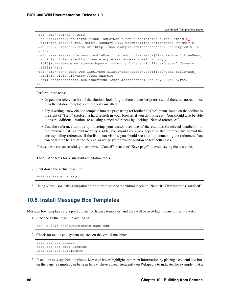```
<ref name=journal>{{cite
˓→journal|last1=Doe|first1=John|last2=Doe|first2=Jane|title=Journal article
˓→title|journal=Journal|date=1 January 1999|volume=1|issue=1|pages=1-99|doi=10.
˓→1234/56789|pmid=123456|url=http://www.example.com|accessdate=1 January 2015}}</
\leftrightarrowref>
<ref name=news>{{cite news|last1=Doe|first1=John|last2=Doe|first2=Jane|title=News
˓→article title|url=http://www.example.com|accessdate=1 January
→2015|work=Newspaper|agency=Agency|issue=1|publisher=Publisher|date=1 January
\rightarrow1999}}</ref>
<ref name=web>{{cite web|last1=Doe|first1=John|last2=Doe|first2=Jane|title=Web
˓→article title|url=http://www.example.
˓→com|website=Website|publisher=Publisher|accessdate=1 January 2015}}</ref>
}}
```
Perform these tests:

- Inspect the reference list. If the citations look alright, there are no script errors, and there are no red links, then the citation templates are properly installed.
- Try inserting a new citation template into the page using refToolbar's "Cite" menu, found on the toolbar to the right of "Help" (perform a hard refresh in your browser if you do not see it). You should also be able to insert additional citations to existing named references by clicking "Named references".
- Test the reference tooltips by hovering your cursor over one of the citations (bracketed numbers). If the reference list is simultaneously visible, you should see a box appear in the reference list around the corresponding reference. If the list is not visible, you should see a tooltip containing the reference. You can adjust the height of the  $\langle \text{div} \rangle$  or resize your browser window to test both cases.

If these tests are successful, you can press "Cancel" instead of "Save page" to avoid saving the test code.

Todo: Add tests for VisualEditor's citation tools.

7. Shut down the virtual machine:

sudo shutdown -h now

8. Using VirtualBox, take a snapshot of the current state of the virtual machine. Name it "Citation tools installed".

### <span id="page-89-0"></span>**10.8 Install Message Box Templates**

Message box templates are a prerequisite for license templates, and they will be used later to customize the wiki.

1. Start the virtual machine and log in:

ssh -p 8015 hjc@dynamicshjc.case.edu

2. Check for and install system updates on the virtual machine:

```
sudo apt-get update
sudo apt-get dist-upgrade
sudo apt-get autoremove
```
3. Install the [message box templates.](https://en.wikipedia.org/wiki/Module:Message_box) Message boxes highlight important information by placing a colorful text box on the page (examples can be seen [here\)](https://en.wikipedia.org/wiki/Template:Ambox). These appear frequently on Wikipedia to indicate, for example, that a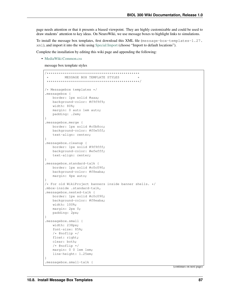page needs attention or that it presents a biased viewpoint. They are highly customizable and could be used to draw students' attention to key ideas. On NeuroWiki, we use message boxes to highlight links to simulations.

To install the message box templates, first download this XML file (message-box-templates-1.27. xml), and import it into the wiki using [Special:Import](https://dynamicshjc.case.edu:8014/wiki/Special:Import) (choose "Import to default locations").

Complete the installation by editing this wiki page and appending the following:

• [MediaWiki:Common.css](https://dynamicshjc.case.edu:8014/wiki/MediaWiki:Common.css)

message box template styles

```
/**********************************************
          MESSAGE BOX TEMPLATE STYLES
 **********************************************/
/* Messagebox templates */
.messagebox {
   border: 1px solid #aaa;
   background-color: #f9f9f9;
   width: 80%;
   margin: 0 auto 1em auto;
   padding: .2em;
}
.messagebox.merge {
   border: 1px solid #c0b8cc;
   background-color: #f0e5ff;
   text-align: center;
}
.messagebox.cleanup {
   border: 1px solid #9f9fff;
   background-color: #efefff;
   text-align: center;
}
.messagebox.standard-talk {
   border: 1px solid #c0c090;
   background-color: #f8eaba;
   margin: 4px auto;
}
/* For old WikiProject banners inside banner shells. */
.mbox-inside .standard-talk,
.messagebox.nested-talk {
   border: 1px solid #c0c090;
   background-color: #f8eaba;
   width: 100%;
   margin: 2px 0;
   padding: 2px;
}
.messagebox.small {
   width: 238px;
   font-size: 85%;
   /* @noflip */
   float: right;
   clear: both;
   /* @noflip */
   margin: 0 0 1em 1em;
   line-height: 1.25em;
}
.messagebox.small-talk {
```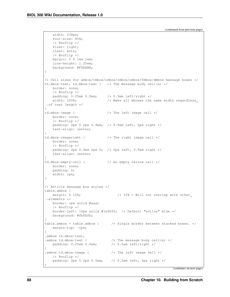```
width: 238px;
   font-size: 85%;
   /* @noflip */
   float: right;
   clear: both;
   /* @noflip */
   margin: 0 0 1em 1em;
   line-height: 1.25em;
   background: #F8EABA;
}
/* Cell sizes for ambox/tmbox/imbox/cmbox/ombox/fmbox/dmbox message boxes */
th.mbox-text, td.mbox-text { \prime * The message body cell(s) \star/
   border: none;
   /* @noflip */padding: 0.25em 0.9em; /* 0.9em left/right */
   width: 100%; \frac{1}{8} /* Make all mboxes the same width regardless
˓→of text length */
}
td.mbox-image { /* The left image cell */
   border: none;
   /* @noflip */padding: 2px 0 2px 0.9em; /* 0.9em left, 0px right */
   text-align: center;
}
td.mbox-imageright { /* The right image cell */
  border: none;
   /* @noflip */padding: 2px 0.9em 2px 0; /* 0px left, 0.9em right */
   text-align: center;
}
td.mbox-empty-cell { /* An empty narrow cell */
  border: none;
   padding: 0;
   width: 1px;
}
/* Article message box styles */
table.ambox {
  margin: 0 \t10\; \frac{1}{5} /* 10\ = Will not overlap with other,
˓→elements */
  border: 1px solid #aaa;
   /* @noflip */
   border-left: 10px solid #1e90ff; /* Default "notice" blue */
   background: #fbfbfb;
}
table.ambox + table.ambox { /* Single border between stacked boxes. */
   margin-top: -1px;
}
.ambox th.mbox-text,
.ambox td.mbox-text { /* The message body cell(s) */
   padding: 0.25em 0.5em; /* 0.5em left/right */
}
.ambox td.mbox-image { /* The left image cell */
  /* @noflip */<br>padding: 2px 0 2px 0.5em;
                               /* 0.5em left, 0px right */}
```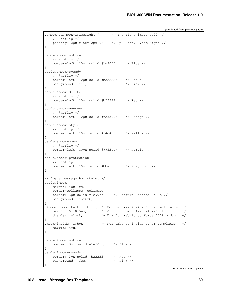```
.ambox td.mbox-imageright { \frac{1}{2} /* The right image cell */
   /* @noflip */<br>padding: 2px 0.5em 2px 0;
                                \frac{1}{x} Opx left, 0.5em right */
}
table.ambox-notice {
   /* @noflip */
   border-left: 10px solid #1e90ff; /* Blue */
}
table.ambox-speedy {
   /* @noflip */
   border-left: 10px solid #b22222; /* Red */
   background: #fee; /* Pink */}
table.ambox-delete {
   /* @noflip */border-left: 10px solid #b22222; /* Red */
}
table.ambox-content {
   /* @noflip */
   border-left: 10px solid #f28500; /* Orange */
}
table.ambox-style {
  /* @noflip */
   border-left: 10px solid #f4c430; /* Yellow */
}
table.ambox-move {
   /* @noflip */border-left: 10px solid #9932cc; /* Purple */
}
table.ambox-protection {
   /* @noflip */
   border-left: 10px solid #bba; /* Gray-gold */
}
/* Image message box styles */
table.imbox {
  margin: 4px 10%;
   border-collapse: collapse;
   border: 3px solid #1e90ff; /* Default "notice" blue */background: #fbfbfb;
}
.imbox .mbox-text .imbox { /* For imboxes inside imbox-text cells. */
   margin: 0 -0.5em; /*/0.9 - 0.5 = 0.4em left/right. *//*/display: block; / /* Fix for webkit to force 100% width. */
}
.mbox-inside .imbox { /* For imboxes inside other templates. */
   margin: 4px;
}
table.imbox-notice {
  border: 3px solid #1e90ff; /* Blue */
}
table.imbox-speedy {
   border: 3px solid #b22222; \rightarrow /* Red */<br>background: #fee; \rightarrow /* Pink */
   background: #fee;
}
```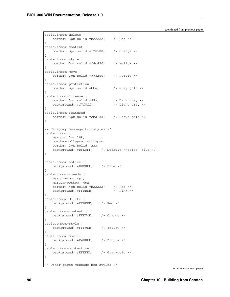```
table.imbox-delete {
   border: 3px solid #b22222; /* Red */
}
table.imbox-content {
   border: 3px solid #f28500; /* Orange */
}
table.imbox-style {
   border: 3px solid #f4c430; /* Yellow */
}
table.imbox-move {
   border: 3px solid #9932cc; /* Purple */
}
table.imbox-protection {
   border: 3px solid #bba; /* Gray-gold */
}
table.imbox-license {
   border: 3px solid #88a; <br>background: #f7f8ff; <br>/* Light gray */
   background: #f7f8ff;
}
table.imbox-featured {
   border: 3px solid #cba135; /* Brown-gold */
}
/* Category message box styles */
table.cmbox {
  margin: 3px 10%;
   border-collapse: collapse;
   border: 1px solid #aaa;
   background: #DFE8FF; /* Default "notice" blue */
}
table.cmbox-notice {
   background: #D8E8FF; /* Blue */
}
table.cmbox-speedy {
  margin-top: 4px;
   margin-bottom: 4px;
   border: 4px solid #b22222; /* Red */
   background: #FFDBDB; /* Pink */
}
table.cmbox-delete {
   background: #FFDBDB; /* Red */
}
table.cmbox-content {
   background: #FFE7CE; /* Orange */
}
table.cmbox-style {
   background: #FFF9DB; /* Yellow */
}
table.cmbox-move {
  background: #E4D8FF; /* Purple */
}
table.cmbox-protection {
   background: #EFEFE1; /* Gray-gold */
}
/* Other pages message box styles */
```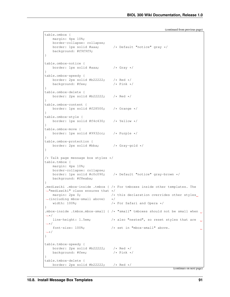```
table.ombox {
   margin: 4px 10%;
   border-collapse: collapse;
   border: 1px solid #aaa; /* Default "notice" gray */
   background: #f9f9f9;
}
table.ombox-notice {
   border: 1px solid #aaa; /* Gray */
}
table.ombox-speedy {
  border: 2px solid #b22222; /* Red */
   background: #fee; /* Pink */}
table.ombox-delete {
   border: 2px solid #b22222; /* Red */
}
table.ombox-content {
   border: 1px solid #f28500; /* Orange */
}
table.ombox-style {
   border: 1px solid #f4c430; /* Yellow */
}
table.ombox-move {
  border: 1px solid #9932cc; /* Purple */
}
table.ombox-protection {
  border: 2px solid #bba; /* Gray-gold */
}
/* Talk page message box styles */table.tmbox {
  margin: 4px 10%;
   border-collapse: collapse;
   border: 1px solid #c0c090; /* Default "notice" gray-brown */
   background: #f8eaba;
}
.mediawiki .mbox-inside .tmbox { /* For tmboxes inside other templates. The
˓→"mediawiki" class ensures that */
  margin: 2px 0; \frac{1}{x} this declaration overrides other styles.
\rightarrow(including mbox-small above) */
   width: 100%; \frac{1}{x} /* For Safari and Opera */
}
.mbox-inside .tmbox.mbox-small { /* "small" tmboxes should not be small when
˓→*/
   line-height: 1.5em; /* also "nested", so reset styles that are under
˓→*/
   font-size: 100%; /* set in "mbox-small" above.
                                                                            L.
˓→*/
}
table.tmbox-speedy {
  border: 2px solid #b22222; \rightarrow Red \star/<br>background: #fee; \rightarrow /* Pink */
   background: #fee;
}
table.tmbox-delete {
   border: 2px solid #b22222; /* Red */
```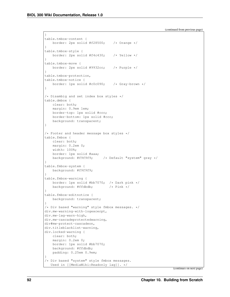```
}
table.tmbox-content {
   border: 2px solid #f28500; /* Orange */
}
table.tmbox-style {
   border: 2px solid #f4c430; /* Yellow */
}
table.tmbox-move {
   border: 2px solid #9932cc; /* Purple */
}
table.tmbox-protection,
table.tmbox-notice {
   border: 1px solid #c0c090; /* Gray-brown */
}
/* Disambig and set index box styles */
table.dmbox {
   clear: both;
   margin: 0.9em 1em;
   border-top: 1px solid #ccc;
   border-bottom: 1px solid #ccc;
   background: transparent;
}
/* Footer and header message box styles */
table.fmbox {
   clear: both;
   margin: 0.2em 0;
   width: 100%;
   border: 1px solid #aaa;
   background: #f9f9f9; /* Default "system" gray */
}
table.fmbox-system {
   background: #f9f9f9;
}
table.fmbox-warning {
   border: 1px solid #bb7070; /* Dark pink */
   background: #ffdbdb; /* Pink */
}
table.fmbox-editnotice {
   background: transparent;
}
/* Div based "warning" style fmbox messages. */
div.mw-warning-with-logexcerpt,
div.mw-lag-warn-high,
div.mw-cascadeprotectedwarning,
div#mw-protect-cascadeon,
div.titleblacklist-warning,
div.locked-warning {
   clear: both;
   margin: 0.2em 0;
   border: 1px solid #bb7070;
   background: #ffdbdb;
   padding: 0.25em 0.9em;
}
/* Div based "system" style fmbox messages.
  Used in [[MediaWiki:Readonly lag]]. */
```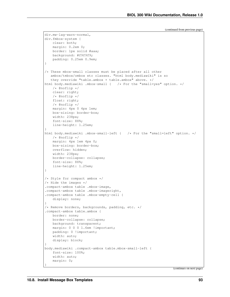```
(continued from previous page)
```

```
div.mw-lag-warn-normal,
div.fmbox-system {
   clear: both;
   margin: 0.2em 0;
   border: 1px solid #aaa;
   background: #f9f9f9;
   padding: 0.25em 0.9em;
}
/* These mbox-small classes must be placed after all other
  ambox/tmbox/ombox etc classes. "html body.mediawiki" is so
  they override "table.ambox + table.ambox" above. */
html body.mediawiki .mbox-small { /* For the "small=yes" option. */
   /* @noflip */
   clear: right;
   /* @noflip */
   float: right;
   /* @noflip */
   margin: 4px 0 4px 1em;
   box-sizing: border-box;
   width: 238px;
   font-size: 88%;
   line-height: 1.25em;
}
html body.mediawiki .mbox-small-left { /* For the "small=left" option. */
   /* @noflip */margin: 4px 1em 4px 0;
   box-sizing: border-box;
   overflow: hidden;
   width: 238px;
   border-collapse: collapse;
   font-size: 88%;
   line-height: 1.25em;
}
/* Style for compact ambox */
/* Hide the images */.compact-ambox table .mbox-image,
.compact-ambox table .mbox-imageright,
.compact-ambox table .mbox-empty-cell {
   display: none;
}
/* Remove borders, backgrounds, padding, etc. */
.compact-ambox table.ambox {
   border: none;
   border-collapse: collapse;
   background: transparent;
   margin: 0 0 0 1.6em !important;
   padding: 0 !important;
   width: auto;
   display: block;
}
body.mediawiki .compact-ambox table.mbox-small-left {
   font-size: 100%;
   width: auto;
   margin: 0;
}
```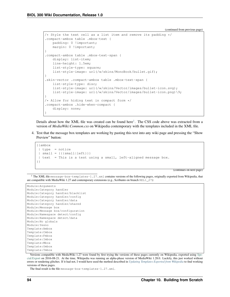```
/* Style the text cell as a list item and remove its padding */.compact-ambox table .mbox-text {
   padding: 0 !important;
   margin: 0 !important;
}
.compact-ambox table .mbox-text-span {
   display: list-item;
   line-height: 1.5em;
   list-style-type: square;
   list-style-image: url(/w/skins/MonoBook/bullet.gif);
}
.skin-vector .compact-ambox table .mbox-text-span {
   list-style-type: disc;
    list-style-image: url(/w/skins/Vector/images/bullet-icon.svg);
   list-style-image: url(/w/skins/Vector/images/bullet-icon.png)\9;
}
/* Allow for hiding text in compact form */
.compact-ambox .hide-when-compact {
    display: none;
}
```
Details about how the XML file was created can be found here<sup>[1](#page-97-0)</sup>. The CSS code above was extracted from a version of *MediaWiki:Common.css* on Wikipedia contemporary with the templates included in the XML file.

4. Test that the message box templates are working by pasting this text into any wiki page and pressing the "Show Preview" button:

```
{{ambox
 | type = notice
|\text{small} = {\{\{\text{small}|\text{left}\}\}\}\| text = This is a test using a small, left-aligned message box.
}}
```
(continues on next page)

```
1 The XML file message-box-templates-1.27.xml contains versions of the following pages, originally exported from Wikipedia, that
are compatible with MediaWiki 1.27 and contemporary extensions (e.g., Scribunto on branch REL1_27):
```

```
Module:Arguments
Module:Category handler
Module:Category handler/blacklist
Module:Category handler/config
Module:Category handler/data
Module:Category handler/shared
Module:Message box
Module:Message box/configuration
Module:Namespace detect/config
Module:Namespace detect/data
Module:No globals
Module:Yesno
Template:Ambox
Template:Cmbox
Template:Fmbox
Template:Imbox
Template:Mbox
Template:Ombox
Template:Tmbox
```
Versions compatible with MediaWiki 1.27 were found by first trying the versions of these pages currently on Wikipedia, exported using [Spe](http://en.wikipedia.org/wiki/Special:Export)[cial:Export](http://en.wikipedia.org/wiki/Special:Export) on 2016-08-21. At the time, Wikipedia was running an alpha-phase version of MediaWiki 1.28.0. Luckily, this just worked without errors or rendering glitches. If it had not, I would have used the method described in *[Updating Templates Exported from Wikipedia](#page-182-0)* to find working versions of these pages.

The final result is the file message-box-templates-1.27.xml.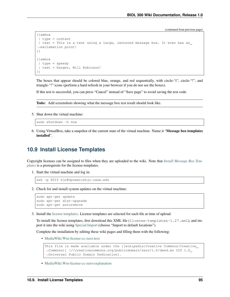```
{{ambox
| type = content
| text = This is a test using a large, centered message box. It even has an
˓→exclamation point!
}}
{{ambox
| type = speedy
| text = Danger, Will Robinson!
}}
```
The boxes that appear should be colored blue, orange, and red sequentially, with circle-"i", circle-"!", and triangle-"!" icons (perform a hard refresh in your browser if you do not see the boxes).

If this test is successful, you can press "Cancel" instead of "Save page" to avoid saving the test code.

Todo: Add screenshots showing what the message box test result should look like.

5. Shut down the virtual machine:

sudo shutdown -h now

6. Using VirtualBox, take a snapshot of the current state of the virtual machine. Name it "Message box templates installed".

# **10.9 Install License Templates**

Copyright licenses can be assigned to files when they are uploaded to the wiki. Note that *[Install Message Box Tem](#page-89-0)[plates](#page-89-0)* is a prerequisite for the license templates.

1. Start the virtual machine and log in:

```
ssh -p 8015 hjc@dynamicshjc.case.edu
```
2. Check for and install system updates on the virtual machine:

```
sudo apt-get update
sudo apt-get dist-upgrade
sudo apt-get autoremove
```
3. Install the [license templates.](https://www.mediawiki.org/wiki/Project:File_copyright_tags) License templates are selected for each file at time of upload.

To install the license templates, first download this XML file (license-templates-1.27.xml), and import it into the wiki using [Special:Import](https://dynamicshjc.case.edu:8014/wiki/Special:Import) (choose "Import to default locations").

Complete the installation by editing these wiki pages and filling them with the following:

• [MediaWiki:Wm-license-cc-zero-text](https://dynamicshjc.case.edu:8014/wiki/MediaWiki:Wm-license-cc-zero-text)

```
This file is made available under the [[wikipedia:Creative Commons|Creative,
˓→Commons]] [//creativecommons.org/publicdomain/zero/1.0/deed.en CC0 1.0
˓→Universal Public Domain Dedication].
```
• [MediaWiki:Wm-license-cc-zero-explanation](https://dynamicshjc.case.edu:8014/wiki/MediaWiki:Wm-license-cc-zero-explanation)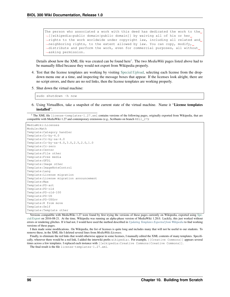The person who associated a work with this deed has dedicated the work to the  $\rightarrow$ [[wikipedia:public domain|public domain]] by waiving all of his or her. →rights to the work worldwide under copyright law, including all related and →neighboring rights, to the extent allowed by law. You can copy, modify,  $\rightarrow$ distribute and perform the work, even for commercial purposes, all without. ˓<sup>→</sup>asking permission.

Details about how the XML file was created can be found here<sup>[1](#page-99-0)</sup>. The two *MediaWiki* pages listed above had to be manually filled because they would not export from Wikipedia properly.

- 4. Test that the license templates are working by visiting [Special:Upload,](https://dynamicshjc.case.edu:8014/wiki/Special:Upload) selecting each license from the dropdown menu one at a time, and inspecting the message boxes that appear. If the licenses look alright, there are no script errors, and there are no red links, then the license templates are working properly.
- 5. Shut down the virtual machine:

sudo shutdown -h now

6. Using VirtualBox, take a snapshot of the current state of the virtual machine. Name it "License templates installed".

<span id="page-99-0"></span><sup>1</sup> The XML file license-templates-1.27.xml contains versions of the following pages, originally exported from Wikipedia, that are compatible with MediaWiki 1.27 and contemporary extensions (e.g., Scribunto on branch REL1\_27):

```
MediaWiki:Licenses
Module:Math
Template:Category handler
Template:Cc-by-4.0
Template:Cc-by-sa-4.0
Template:Cc-by-sa-4.0,3.0,2.5,2.0,1.0
Template:Cc-zero
Template:Center
Template:File other
Template:Free media
Template:GFDL
Template:Image other
Template:ImageNoteControl
Template:Lang
Template:License migration
Template:License migration announcement
Template:Max
Template:PD-art
Template:PD-old
Template:PD-old-100
Template:PD-US
Template:PD-USGov
Template:R from move
Template:Self
Template:Template other
```
Versions compatible with MediaWiki 1.27 were found by first trying the versions of these pages currently on Wikipedia, exported using [Spe](http://en.wikipedia.org/wiki/Special:Export)[cial:Export](http://en.wikipedia.org/wiki/Special:Export) on 2016-08-21. At the time, Wikipedia was running an alpha-phase version of MediaWiki 1.28.0. Luckily, this just worked without errors or rendering glitches. If it had not, I would have used the method described in *[Updating Templates Exported from Wikipedia](#page-182-0)* to find working versions of these pages.

I then made some modifications. On Wikipedia, the list of licenses is quite long and includes many that will not be useful to our students. To remove these, in the XML file I deleted several lines from *MediaWiki:Licenses*.

Finally, to eliminate the red links that would otherwise appear in some licenses, I manually edited the XML contents of many templates. Specifically, wherever there would be a red link, I added the interwiki prefix wikipedia:. For example, [[Creative Commons]] appears several times across a few templates. I replaced each instance with [[wikipedia:Creative Commons|Creative Commons]].

The final result is the file license-templates-1.27.xml.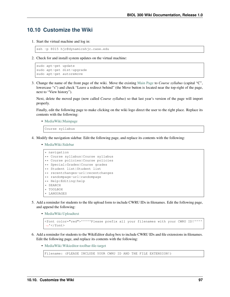## **10.10 Customize the Wiki**

1. Start the virtual machine and log in:

```
ssh -p 8015 hjc@dynamicshjc.case.edu
```
2. Check for and install system updates on the virtual machine:

```
sudo apt-get update
sudo apt-get dist-upgrade
sudo apt-get autoremove
```
3. Change the name of the front page of the wiki. Move the existing [Main Page](https://dynamicshjc.case.edu:8014/wiki/Main_Page?redirect=no) to *Course syllabus* (capital "C", lowercase "s") and check "Leave a redirect behind" (the Move button is located near the top-right of the page, next to "View history").

Next, delete the moved page (now called *Course syllabus*) so that last year's version of the page will import properly.

Finally, edit the following page to make clicking on the wiki logo direct the user to the right place. Replace its contents with the following:

• [MediaWiki:Mainpage](https://dynamicshjc.case.edu:8014/wiki/MediaWiki:Mainpage)

Course syllabus

- 4. Modify the navigation sidebar. Edit the following page, and replace its contents with the following:
	- [MediaWiki:Sidebar](https://dynamicshjc.case.edu:8014/wiki/MediaWiki:Sidebar)

```
* navigation
** Course syllabus|Course syllabus
** Course policies|Course policies
** Special:Grades|Course grades
** Student list|Student list
** recentchanges-url|recentchanges
** randompage-url|randompage
** Help:Editing|help
* SEARCH
* TOOLBOX
* LANGUAGES
```
- 5. Add a reminder for students to the file upload form to include CWRU IDs in filenames. Edit the following page, and append the following:
	- [MediaWiki:Uploadtext](https://dynamicshjc.case.edu:8014/wiki/MediaWiki:Uploadtext)

```
<font color="red">'''''Please prefix all your filenames with your CWRU ID!''''
˓→'</font>
```
- 6. Add a reminder for students to the WikiEditor dialog box to include CWRU IDs and file extensions in filenames. Edit the following page, and replace its contents with the following:
	- [MediaWiki:Wikieditor-toolbar-file-target](https://dynamicshjc.case.edu:8014/wiki/MediaWiki:Wikieditor-toolbar-file-target)

```
Filename: (PLEASE INCLUDE YOUR CWRU ID AND THE FILE EXTENSION!)
```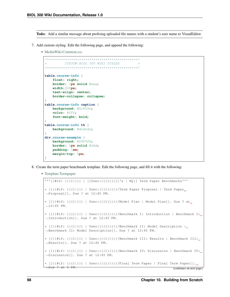Todo: Add a similar message about prefixing uploaded file names with a student's user name to VisualEditor.

- 7. Add custom styling. Edit the following page, and append the following:
	- [MediaWiki:Common.css](https://dynamicshjc.case.edu:8014/wiki/MediaWiki:Common.css)

```
/**********************************************
          CUSTOM BIOL 300 WIKI STYLES
**********************************************/
table.course-info {
   float: right;
   border: 1px solid #aaa;
   width:300px;
   text-align: center;
   border-collapse: collapse;
}
table.course-info caption {
   background: #2c659c;
   color: #fff;
   font-weight: bold;
}
table.course-info th {
   background: #dcdcdc;
}
div.course-example {
   background: #f9f9f9;
   border: 1px solid #ddd;
   padding: 1em;
   margin-top: 8px;
}
```
- 8. Create the term paper benchmark template. Edit the following page, and fill it with the following:
	- [Template:Termpaper](https://dynamicshjc.case.edu:8014/wiki/Template:Termpaper)

```
'''{{#if: {{{1|}}} | [[User:{{{1}}}]]'s | My}} Term Paper Benchmarks'''
* [[{{#if: {{{1|}}} | User:{{{1}}}}}/Term Paper Proposal | Term Paper
˓→Proposal]]. Due ? at 12:45 PM.
* [[{{#if: {{{1|}}} | User:{{{1}}}}}/Model Plan | Model Plan]]. Due ? at
\rightarrow12:45 PM.
* [[{{#if: {{{1|}}} | User:{{{1}}}}}/Benchmark I: Introduction | Benchmark I:
˓→Introduction]]. Due ? at 12:45 PM.
* [[{\{+ \text{if}: \{\{1\}\}\}\}\ ] | User:{\{\{1\}\}\}\}/Benchmark II: Model Description |
˓→Benchmark II: Model Description]]. Due ? at 12:45 PM.
* [[{{#if: {{{1|}}} | User:{{{1}}}}}/Benchmark III: Results | Benchmark III:
˓→Results]]. Due ? at 12:45 PM.
* [[{{#if: {{{1|}}} | User:{{{1}}}}}/Benchmark IV: Discussion | Benchmark IV:
˓→Discussion]]. Due ? at 12:45 PM.
* [[{{#if: {{{1|}}} | User:{{{1}}}}}/Final Term Paper | Final Term Paper]].
 ˓→Due ? at 5 PM. (continues on next page)
```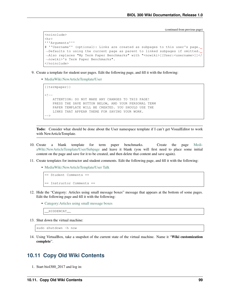```
<noinclude>
<hr>
'''Arguments'''
# ''Username'' (optional): Links are created as subpages to this user's page.
˓→Defaults to using the current page as parent to linked subpages if omitted.
˓→Also replaces "My Term Paper Benchmarks" with "<nowiki>[[User:<username>]]</
˓→nowiki>'s Term Paper Benchmarks".
</noinclude>
```
- 9. Create a template for student user pages. Edit the following page, and fill it with the following:
	- [MediaWiki:NewArticleTemplate/User](https://dynamicshjc.case.edu:8014/wiki/MediaWiki:NewArticleTemplate/User)

```
{{termpaper}}
< 1 - -ATTENTION: DO NOT MAKE ANY CHANGES TO THIS PAGE!
   PRESS THE SAVE BUTTON BELOW, AND YOUR PERSONAL TERM
   PAPER TEMPLATE WILL BE CREATED. YOU SHOULD USE THE
   LINKS THAT APPEAR THERE FOR SAVING YOUR WORK.
-->
```
Todo: Consider what should be done about the User namespace template if I can't get VisualEditor to work with NewArticleTemplate.

- 10. Create a blank template for term paper benchmarks. Create the page [Medi](https://dynamicshjc.case.edu:8014/wiki/MediaWiki:NewArticleTemplate/User/Subpage)[aWiki:NewArticleTemplate/User/Subpage](https://dynamicshjc.case.edu:8014/wiki/MediaWiki:NewArticleTemplate/User/Subpage) and leave it blank (you will first need to place some initial content on the page and save for it to be created, and then delete that content and save again).
- 11. Create templates for instructor and student comments. Edit the following page, and fill it with the following:
	- [MediaWiki:NewArticleTemplate/User Talk](https://dynamicshjc.case.edu:8014/wiki/MediaWiki:NewArticleTemplate/User_Talk)

```
== Student Comments ==
== Instructor Comments ==
```
- 12. Hide the "Category: Articles using small message boxes" message that appears at the bottom of some pages. Edit the following page and fill it with the following:
	- [Category:Articles using small message boxes](https://dynamicshjc.case.edu:8014/wiki/Category:Articles_using_small_message_boxes)

\_\_HIDDENCAT\_\_

13. Shut down the virtual machine:

```
sudo shutdown -h now
```
14. Using VirtualBox, take a snapshot of the current state of the virtual machine. Name it "Wiki customization complete".

## **10.11 Copy Old Wiki Contents**

1. Start biol300\_2017 and log in: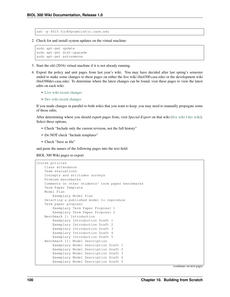ssh -p 8015 hjc@dynamicshjc.case.edu

2. Check for and install system updates on the virtual machine:

```
sudo apt-get update
sudo apt-get dist-upgrade
sudo apt-get autoremove
```
- 3. Start the old (2016) virtual machine if it is not already running.
- 4. Export the policy and unit pages from last year's wiki. You may have decided after last spring's semester ended to make some changes to these pages on either the live wiki (biol300.case.edu) or the development wiki (biol300dev.case.edu). To determine where the latest changes can be found, visit these pages to view the latest edits on each wiki:
	- [Live wiki recent changes](https://biol300.case.edu/w/index.php?title=Special:RecentChanges&days=500&from=&limit=500)
	- [Dev wiki recent changes](https://biol300dev.case.edu/w/index.php?title=Special:RecentChanges&days=500&from=&limit=500)

If you made changes in parallel to both wikis that you want to keep, you may need to manually propogate some of those edits.

After determining where you should export pages from, visit *Special: Export* on that wiki [\(live wiki](https://biol300.case.edu/wiki/Special:Export) I [dev wiki\)](https://biol300dev.case.edu/wiki/Special:Export). Select these options,

- Check "Include only the current revision, not the full history"
- Do NOT check "Include templates"
- Check "Save as file"

and paste the names of the following pages into the text field:

BIOL 300 Wiki pages to export

```
Course policies
   Class attendance
   Team evaluations
   Concepts and attitudes surveys
   Problem benchmarks
   Comments on other students' term paper benchmarks
   Term Paper Template
   Model Plan
       Exemplary Model Plan
   Selecting a published model to reproduce
    Term paper proposal
       Exemplary Term Paper Proposal 1
       Exemplary Term Paper Proposal 2
   Benchmark I: Introduction
       Exemplary Introduction Draft 1
       Exemplary Introduction Draft 2
       Exemplary Introduction Draft 3
       Exemplary Introduction Draft 4
       Exemplary Introduction Draft 5
   Benchmark II: Model Description
       Exemplary Model Description Draft 1
       Exemplary Model Description Draft 2
       Exemplary Model Description Draft 3
       Exemplary Model Description Draft 4
       Exemplary Model Description Draft 5
```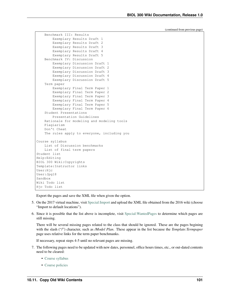```
Benchmark III: Results
       Exemplary Results Draft 1
       Exemplary Results Draft 2
       Exemplary Results Draft 3
       Exemplary Results Draft 4
       Exemplary Results Draft 5
    Benchmark IV: Discussion
       Exemplary Discussion Draft 1
        Exemplary Discussion Draft 2
       Exemplary Discussion Draft 3
       Exemplary Discussion Draft 4
       Exemplary Discussion Draft 5
   Term paper
       Exemplary Final Term Paper 1
       Exemplary Final Term Paper 2
       Exemplary Final Term Paper 3
       Exemplary Final Term Paper 4
       Exemplary Final Term Paper 5
       Exemplary Final Term Paper 6
    Student Presentations
       Presentation Guidelines
   Rationale for modeling and modeling tools
   Plagiarism
   Don't Cheat
   The rules apply to everyone, including you
Course syllabus
   List of Discussion benchmarks
   List of final term papers
Student list
Help:Editing
BIOL 300 Wiki:Copyrights
Template:Instructor links
User:Hjc
User:Jpg18
Sandbox
Wiki Todo list
Hjc Todo list
```
Export the pages and save the XML file when given the option.

- 5. On the 2017 virtual machine, visit [Special:Import](https://dynamicshjc.case.edu:8014/wiki/Special:Import) and upload the XML file obtained from the 2016 wiki (choose "Import to default locations").
- 6. Since it is possible that the list above is incomplete, visit [Special:WantedPages](https://dynamicshjc.case.edu:8014/w/index.php?title=Special:WantedPages&limit=500&offset=0) to determine which pages are still missing.

There will be several missing pages related to the class that should be ignored. These are the pages begining with the slash ("f") character, such as */Model Plan*. These appear in the list because the *Template:Termpaper* page uses relative links for the term paper benchmanks.

If necessary, repeat steps 4-5 until no relevant pages are missing.

- 7. The following pages need to be updated with new dates, personnel, office hours times, etc., or out-dated contents need to be cleared:
	- [Course syllabus](https://dynamicshjc.case.edu:8014/wiki/Course_syllabus)
	- [Course policies](https://dynamicshjc.case.edu:8014/wiki/Course_policies)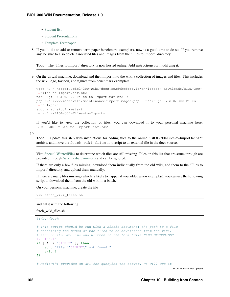- [Student list](https://dynamicshjc.case.edu:8014/wiki/Student_list)
- [Student Presentations](https://dynamicshjc.case.edu:8014/wiki/Student_Presentations)
- [Template:Termpaper](https://dynamicshjc.case.edu:8014/wiki/Template:Termpaper)
- 8. If you'd like to add or remove term paper benchmark exemplars, now is a good time to do so. If you remove any, be sure to also delete associated files and images from the "Files to Import" directory.

Todo: The "Files to Import" directory is now hosted online. Add instructions for modifying it.

9. On the virtual machine, download and then import into the wiki a collection of images and files. This includes the wiki logo, favicon, and figures from benchmark exemplars:

```
wget -P ~ https://biol-300-wiki-docs.readthedocs.io/en/latest/_downloads/BIOL-300-
˓→Files-to-Import.tar.bz2
tar -xjf ~/BIOL-300-Files-to-Import.tar.bz2 -C ~
php /var/www/mediawiki/maintenance/importImages.php --user=Hjc ~/BIOL-300-Files-
˓→to-Import
sudo apache2ctl restart
rm -rf ~/BIOL-300-Files-to-Import*
```
If you'd like to view the collection of files, you can download it to your personal machine here: BIOL-300-Files-to-Import.tar.bz2

10.

Todo: Update this step with instructions for adding files to the online "BIOL-300-Files-to-Import.tar.bz2" archive, and move the fetch\_wiki\_files.sh script to an external file in the docs source.

Visit [Special:WantedFiles](https://dynamicshjc.case.edu:8014/w/index.php?title=Special:WantedFiles&limit=500&offset=0) to determine which files are still missing. Files on this list that are struckthrough are provided through [Wikimedia Commons](https://commons.wikimedia.org/wiki/Commons:Welcome) and can be ignored.

If there are only a few files missing, download them individually from the old wiki, add them to the "Files to Import" directory, and upload them manually.

If there are many files missing (which is likely to happen if you added a new exemplar), you can use the following script to download them from the old wiki in a batch.

On your personal machine, create the file

vim fetch\_wiki\_files.sh

and fill it with the following:

fetch\_wiki\_files.sh

#!/bin/bash

```
# This script should be run with a single argument: the path to a file
# containing the names of the files to be downloaded from the wiki,
# each on its own line and written in the form "File: NAME. EXTENSION".
INPUT="$1"
if [ ! -e "$INPUT" ]; then
    echo "File \"$INPUT\" not found!"
    exit 1
fi
# MediaWiki provides an API for querying the server. We will use it
```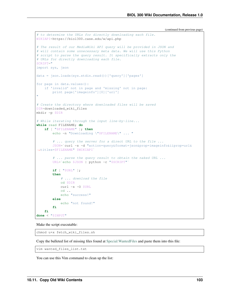```
# to determine the URLs for directly downloading each file.
WIKIAPI=https://biol300.case.edu/w/api.php
# The result of our MediaWiki API query will be provided in JSON and
# will contain some unnecessary meta data. We will use this Python
# script to parse the query result. It specifically extracts only the
# URLs for directly downloading each file.
SCRIPT="
import sys, json
data = json.loads(sys.stdin.read())['query']['pages']
for page in data.values():
   if 'invalid' not in page and 'missing' not in page:
       print page['imageinfo'][0]['url']
"
# Create the directory where downloaded files will be saved
DIR=downloaded_wiki_files
mkdir -p $DIR
# While iterating through the input line-by-line...
while read FILENAME; do
   if [ "$FILENAME" ]; then
        echo -n "Downloading \"$FILENAME\" ... "
        # ... query the server for a direct URL to the file ...
        JSON=`curl -s -d "action=query&format=json&prop=imageinfo&iiprop=url&
˓→titles=$FILENAME" $WIKIAPI`
        # ... parse the query result to obtain the naked URL ...
        URL='echo $JSON | python -c "$SCRIPT"`
        if [ "$URL" ];
        then
            # ... download the file
            cd $DIR
            curl -s -O $URL
            cd ..
            echo "success!"
        else
            echo "not found!"
        fi
    fi
done < "$INPUT"
```
Make the script executable:

chmod u+x fetch\_wiki\_files.sh

Copy the bulleted list of missing files found at [Special:WantedFiles](https://dynamicshjc.case.edu:8014/w/index.php?title=Special:WantedFiles&limit=500&offset=0) and paste them into this file:

vim wanted\_files\_list.txt

You can use this Vim command to clean up the list: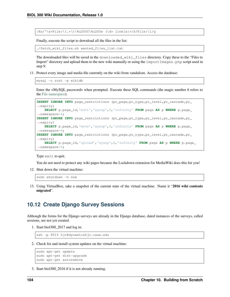:%s/^\s\*File:\(.\*\)\%u200f\%u200e (\d\* link[s]\*)\$/File:\1/q

Finally, execute the script to download all the files in the list:

./fetch\_wiki\_files.sh wanted\_files\_list.txt

The downloaded files will be saved in the downloaded\_wiki\_files directory. Copy these to the "Files to Import" directory and upload them to the new wiki manually or using the importImages.php script used in step 9.

11. Protect every image and media file currently on the wiki from vandalism. Access the database:

mysql -u root -p wikidb

Enter the <MySQL password> when prompted. Execute these SQL commands (the magic number 6 refers to the [File namespace\)](https://www.mediawiki.org/wiki/Manual:Namespace_constants):

```
INSERT IGNORE INTO page_restrictions (pr_page,pr_type,pr_level,pr_cascade,pr_
˓→expiry)
   SELECT p.page_id,'edit','sysop',0,'infinity' FROM page AS p WHERE p.page_
\rightarrownamespace=6;
INSERT IGNORE INTO page_restrictions (pr_page,pr_type,pr_level,pr_cascade,pr_
˓→expiry)
    SELECT p.page_id,'move','sysop',0,'infinity' FROM page AS p WHERE p.page_
\rightarrownamespace=6;
INSERT IGNORE INTO page_restrictions (pr_page,pr_type,pr_level,pr_cascade,pr_
˓→expiry)
    SELECT p.page_id,'upload','sysop',0,'infinity' FROM page AS p WHERE p.page_
˓→namespace=6;
```
Type exit to quit.

You do not need to protect any wiki pages because the Lockdown extension for MediaWiki does this for you!

12. Shut down the virtual machine:

sudo shutdown -h now

13. Using VirtualBox, take a snapshot of the current state of the virtual machine. Name it "2016 wiki contents migrated".

## **10.12 Create Django Survey Sessions**

Although the forms for the Django surveys are already in the Django database, dated instances of the surveys, called sessions, are not yet created.

1. Start biol300\_2017 and log in:

```
ssh -p 8015 hjc@dynamicshjc.case.edu
```
2. Check for and install system updates on the virtual machine:

```
sudo apt-get update
sudo apt-get dist-upgrade
sudo apt-get autoremove
```
3. Start biol300\_2016 if it is not already running.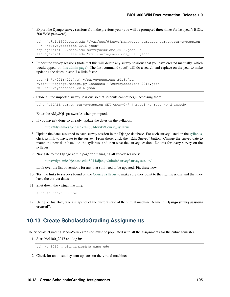4. Export the Django survey sessions from the previous year (you will be prompted three times for last year's BIOL 300 Wiki password):

```
ssh hjc@biol300.case.edu "/var/www/django/manage.py dumpdata survey.surveysession
˓→> ~/surveysessions_2016.json"
scp hjc@biol300.case.edu:surveysessions_2016.json ~/
ssh hjc@biol300.case.edu "rm ~/surveysessions_2016.json"
```
5. Import the survey sessions (note that this will delete any survey sessions that you have created manually, which would appear on [this admin page\)](https://dynamicshjc.case.edu:8014/django/admin/survey/surveysession/). The first command (sed) will do a search-and-replace on the year to make updating the dates in step 7 a little faster.

```
sed -i 's/2016/2017/g' ~/surveysessions_2016.json
/var/www/django/manage.py loaddata ~/surveysessions_2016.json
rm ~/surveysessions_2016.json
```
6. Close all the imported survey sessions so that students cannot begin accessing them:

```
echo "UPDATE survey_surveysession SET open=0;" | mysql -u root -p djangodb
```
Enter the <MySQL password> when prompted.

7. If you haven't done so already, update the dates on the syllabus:

[https://dynamicshjc.case.edu:8014/wiki/Course\\_syllabus](https://dynamicshjc.case.edu:8014/wiki/Course_syllabus)

- 8. Update the dates assigned to each survey session in the Django database. For each survey listed on the [syllabus,](https://dynamicshjc.case.edu:8014/wiki/Course_syllabus) click its link to navigate to the survey. From there, click the "Edit Survey" button. Change the survey date to match the new date listed on the syllabus, and then save the survey session. Do this for every survey on the syllabus.
- 9. Navigate to the Django admin page for managing all survey sessions:

<https://dynamicshjc.case.edu:8014/django/admin/survey/surveysession/>

Look over the list of sessions for any that still need to be updated. Fix these now.

- 10. Test the links to surveys found on the [Course syllabus](https://dynamicshjc.case.edu:8014/wiki/Course_syllabus) to make sure they point to the right sessions and that they have the correct dates.
- 11. Shut down the virtual machine:

sudo shutdown -h now

12. Using VirtualBox, take a snapshot of the current state of the virtual machine. Name it "Django survey sessions created".

#### **10.13 Create ScholasticGrading Assignments**

The ScholasticGrading MediaWiki extension must be populated with all the assignments for the entire semester.

1. Start biol300\_2017 and log in:

ssh -p 8015 hjc@dynamicshjc.case.edu

2. Check for and install system updates on the virtual machine: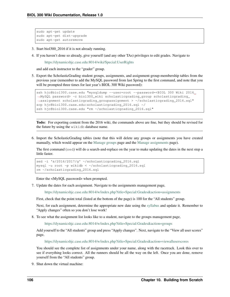```
sudo apt-get update
sudo apt-get dist-upgrade
sudo apt-get autoremove
```
- 3. Start biol300\_2016 if it is not already running.
- 4. If you haven't done so already, give yourself (and any other TAs) privileges to edit grades. Navigate to

<https://dynamicshjc.case.edu:8014/wiki/Special:UserRights>

and add each instructor to the "grader" group.

5. Export the ScholasticGrading student groups, assignments, and assignment-group-membership tables from the previous year (remember to add the MySQL password from last Spring to the first command, and note that you will be prompted three times for last year's BIOL 300 Wiki password):

```
ssh hjc@biol300.case.edu "mysqldump --user=root --password=<BIOL 300 Wiki 2016,
˓→MySQL password> -c biol300_wiki scholasticgrading_group scholasticgrading_
˓→assignment scholasticgrading_groupassignment > ~/scholasticgrading_2016.sql"
scp hjc@biol300.case.edu:scholasticgrading_2016.sql ~/
ssh hjc@biol300.case.edu "rm ~/scholasticgrading_2016.sql"
```
Todo: For exporting content from the 2016 wiki, the commands above are fine, but they should be revised for the future by using the wikidb database name.

6. Import the ScholasticGrading tables (note that this will delete any groups or assignments you have created manually, which would appear on the [Manage groups](https://dynamicshjc.case.edu:8014/w/index.php?title=Special:Grades&action=groups) page and the [Manage assignments](https://dynamicshjc.case.edu:8014/w/index.php?title=Special:Grades&action=assignments) page).

The first command (sed) will do a search-and-replace on the year to make updating the dates in the next step a little faster.

```
sed -i 's/2016/2017/g' ~/scholasticgrading_2016.sql
mysql -u root -p wikidb \langle \rangle -/scholasticgrading 2016.sql
rm ~/scholasticgrading_2016.sql
```
Enter the <MySQL password> when prompted.

7. Update the dates for each assignment. Navigate to the assignments management page,

<https://dynamicshjc.case.edu:8014/w/index.php?title=Special:Grades&action=assignments>

First, check that the point total (listed at the bottom of the page) is 100 for the "All students" group.

Next, for each assignment, determine the appropriate new date using the [syllabus](https://dynamicshjc.case.edu:8014/wiki/Course_syllabus) and update it. Remember to "Apply changes" often so you don't lose work!

8. To see what the assignment list looks like to a student, navigate to the groups management page,

<https://dynamicshjc.case.edu:8014/w/index.php?title=Special:Grades&action=groups>

Add yourself to the "All students" group and press "Apply changes". Next, navigate to the "View all user scores" page,

<https://dynamicshjc.case.edu:8014/w/index.php?title=Special:Grades&action=viewalluserscores>

You should see the complete list of assignments under your name, along with the racetrack. Look this over to see if everything looks correct. All the runners should be all the way on the left. Once you are done, remove yourself from the "All students" group.

9. Shut down the virtual machine: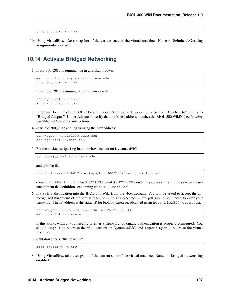sudo shutdown -h now

10. Using VirtualBox, take a snapshot of the current state of the virtual machine. Name it "ScholasticGrading assignments created".

### **10.14 Activate Bridged Networking**

1. If biol300\_2017 is running, log in and shut it down:

```
ssh -p 8015 hjc@dynamicshjc.case.edu
sudo shutdown -h now
```
2. If biol300\_2016 is running, shut it down as well:

```
ssh hjc@biol300.case.edu
sudo shutdown -h now
```
- 3. In VirtualBox, select biol300\_2017 and choose Settings > Network. Change the "Attached to" setting to "Bridged Adapter". Under Advanced, verify that the MAC address matches the BIOL 300 Wiki's (see *[Looking](#page-162-0) [Up MAC Addresses](#page-162-0)* for instructions).
- 4. Start biol300\_2017 and log in using the new address:

```
ssh-keygen -R biol300.case.edu
ssh hjc@biol300.case.edu
```
5. Fix the backup script. Log into the vbox account on DynamicsHJC:

ssh vbox@dynamicshjc.case.edu

and edit the file

vim /Volumes/CHIELWIKI/backups/biol300/2017/backup-biol300.sh

comment out the definitions for REMOTESSH and REMOTESCP containing dynamicshjc.case.edu and uncomment the definitions containing biol300.case.edu.

6. Fix SSH authentication into the BIOL 300 Wiki from the vbox account. You will be asked to accept the unrecognized fingerprint of the virtual machine — this is expected — but you should NOT need to enter your password. The IP address is the static IP for biol300.case.edu, obtained using host biol300.case.edu.

```
ssh-keygen -R biol300.case.edu -R 129.22.139.44
ssh hjc@biol300.case.edu
```
If this works without you needing to enter a password, automatic authentication is properly configured. You should logout to return to the vbox account on DynamicsHJC, and logout again to return to the virtual machine.

7. Shut down the virtual machine:

sudo shutdown -h now

8. Using VirtualBox, take a snapshot of the current state of the virtual machine. Name it "Bridged networking enabled".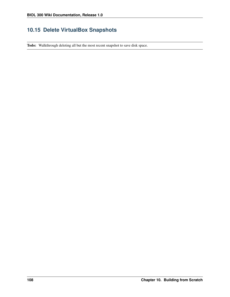## **10.15 Delete VirtualBox Snapshots**

Todo: Walkthrough deleting all but the most recent snapshot to save disk space.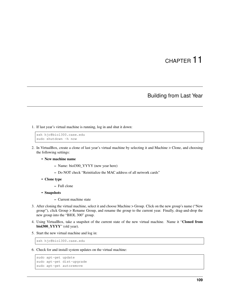# CHAPTER 11

### Building from Last Year

1. If last year's virtual machine is running, log in and shut it down:

```
ssh hjc@biol300.case.edu
sudo shutdown -h now
```
- 2. In VirtualBox, create a clone of last year's virtual machine by selecting it and Machine > Clone, and choosing the following settings:
	- New machine name
		- Name: biol300\_YYYY (new year here)
		- Do NOT check "Reinitialize the MAC address of all network cards"
	- Clone type
		- Full clone
	- Snapshots
		- Current machine state
- 3. After cloning the virtual machine, select it and choose Machine > Group. Click on the new group's name ("New group"), click Group > Rename Group, and rename the group to the current year. Finally, drag-and-drop the new group into the "BIOL 300" group.
- 4. Using VirtualBox, take a snapshot of the current state of the new virtual machine. Name it "Cloned from biol300\_YYYY" (old year).
- 5. Start the new virtual machine and log in:

ssh hjc@biol300.case.edu

6. Check for and install system updates on the virtual machine:

```
sudo apt-get update
sudo apt-get dist-upgrade
sudo apt-get autoremove
```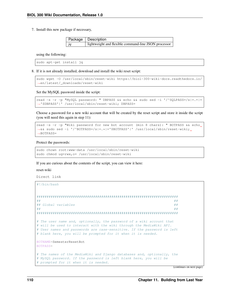7. Install this new package if necessary,

|           | Package   Description                                |
|-----------|------------------------------------------------------|
| $\mid$ jq | lightweight and flexible command-line JSON processor |

using the following:

```
sudo apt-get install jq
```
8. If it is not already installed, download and install the wiki reset script:

```
sudo wget -O /usr/local/sbin/reset-wiki https://biol-300-wiki-docs.readthedocs.io/
˓→en/latest/_downloads/reset-wiki
```
Set the MySQL password inside the script:

```
read -s -r -p "MySQL password: " DBPASS && echo && sudo sed -i '/^SQLPASS=/s|=.\star|=
˓→'$DBPASS'|' /usr/local/sbin/reset-wiki; DBPASS=
```
Choose a password for a new wiki account that will be created by the reset script and store it inside the script (you will need this again in step 11):

```
read -s -r -p "Wiki password for new bot account (min 8 chars): " BOTPASS && echo
˓→&& sudo sed -i '/^BOTPASS=/s|=.*|='$BOTPASS'|' /usr/local/sbin/reset-wiki;
\rightarrowBOTPASS=
```
Protect the passwords:

```
sudo chown root:www-data /usr/local/sbin/reset-wiki
sudo chmod ug=rwx,o= /usr/local/sbin/reset-wiki
```
If you are curious about the contents of the script, you can view it here:

reset-wiki

Direct link #!/bin/bash

```
######################################################################
#### Global variables ##
########################################################################
# The user name and, optionally, the password of a wiki account that
# will be used to interact with the wiki through the MediaWiki API.
# User names and passwords are case-sensitive. If the password is left
# blank here, you will be prompted for it when it is needed.
BOTNAME=SemesterResetBot
BOTPASS=
# The names of the MediaWiki and Django databases and, optionally, the
# MySQL password. If the password is left blank here, you will be
# prompted for it when it is needed.
```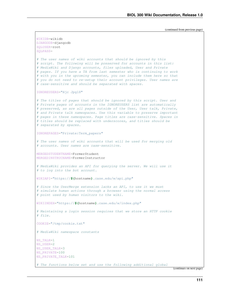```
WIKIDB=wikidb
DJANGODB=djangodb
SQLUSER=root
SOLPASS=
# The user names of wiki accounts that should be ignored by this
# script. The following will be preserved for accounts in this list:
# MediaWiki and Django accounts, files uploaded, User and Private
# pages. If you have a TA from last semester who is continuing to work
# with you in the upcoming semester, you can include them here so that
# you do not need to re-setup their account privileges. User names are
# case-sensitive and should be separated with spaces.
IGNOREUSERS="Hjc Jpg18"
# The titles of pages that should be ignored by this script. User and
# Private pages of accounts in the IGNOREUSERS list are automatically
# preserved, as are all pages outside of the User, User talk, Private,
# and Private talk namespaces. Use this variable to preserve important
# pages in these namespaces. Page titles are case-sensitive. Spaces in
# titles should be replaced with underscores, and titles should be
# separated by spaces.
IGNOREPAGES="Private:Term_papers"
# The user names of wiki accounts that will be used for merging old
# accounts. User names are case-sensitive.
MERGEDSTUDENTNAME=FormerStudent
MERGEDINSTRUCNAME=FormerInstructor
# MediaWiki provides an API for querying the server. We will use it
# to log into the bot account.
WIKIAPI="https://$(hostname).case.edu/w/api.php"
# Since the UserMerge extension lacks an API, to use it we must
# simulate human actions through a browser using the normal access
# point used by human visitors to the wiki.
WIKIINDEX="https://$(hostname).case.edu/w/index.php"
# Maintaining a login session requires that we store an HTTP cookie
# file.
COOKIE="/tmp/cookie.txt"
# MediaWiki namespace constants
NS_TALK=1
NS_USER=2
NS_USER_TALK=3
NS_PRIVATE=100
NS_PRIVATE_TALK=101
# The functions below set and use the following additional global
```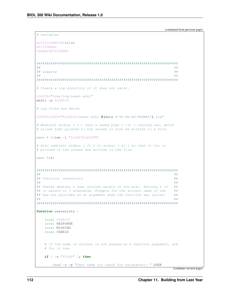```
# variables
BOTISLOGGEDIN=false
EDITTOKEN=
USERRIGHTSTOKEN=
###### Logging
                                                      ####### Create a log directory if it does not exist.
LOGDIR="/var/log/reset-wiki"
mkdir -p $LOGDIR
# Log files are dated.
LOGFULLPATH="$LOGDIR/reset-wiki-$(date +'%Y-%m-%d-%H%M%S').loq"
# Redirect stdout ( > ) into a named pipe ( > () ) running tee, which
# allows text printed to the screen to also be written to a file.
exec > > (tee -i "$LOGFULLPATH")
# Also redirect stderr (2>) to stdout ( &1) so that it too is
# printed to the screen and written to the file.
exec 2 > 1###### Function: userexists
                                                      ######## Checks whether a user account exists on the wiki. Returns 0 if
                                                      #### it exists or 1 otherwise. Prompts for the account name if one
                                                      #### was not provided as an argument when the function was called.
                                                      ##
####function userexists {
   local USER=$1
   local RESPONSE
   local MISSING
   local USERID
   # If the name of account is not passed as a function argument, ask
   # for it now.
   if [ -z "$USER" ]; then
      read -r -p "User name (to check for existence): " USER
```

```
(continues on next page)
```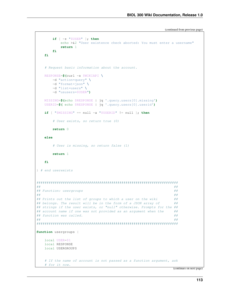```
if [ -z "$USER" ]; then
          echo > 62 "User existence check aborted: You must enter a username"
          return 1
       64fi
   # Request basic information about the account.
   RESPONSE=$(curl -s $WIKIAPI \
      -d "action=query" \
      -d "format=json" \
      -d "list=users" \
      -d "ususers=$USER")
   MISSING=$(echo $RESPONSE | jq '.query.users[0].missing')
   USERID=$(echo $RESPONSE | jq '.query.users[0].userid')
   if [ "$MISSING" == null -a "$USERID" != null ]; then
       # User exists, so return true (0)
      return 0
   else
       # User is missing, so return false (1)
      return 1fi
} # end userexists
###### Function: usergroups
                                                            \#\#####
## Prints out the list of groups to which a user on the wiki
                                                            #### belongs. The result will be in the form of a JSON array of
                                                            ##
## strings if the user exists, or "null" otherwise. Prompts for the ##
## account name if one was not provided as an argument when the
                                                            ##
## function was called.
                                                            \#\#####function usergroups {
   local USER=$1
   local RESPONSE
   local USERGROUPS
   # If the name of account is not passed as a function argument, ask
   # for it now.
```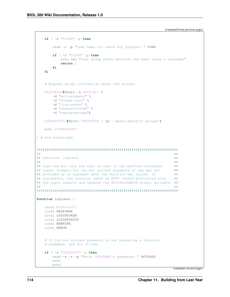```
if [ -z "$USER" ]; then
       read -r -p "User name (to check for groups): " USER
       if [ -z "$USER" ]; then
          echo > 62 "User group check aborted: You must enter a username"
          return 1
       fi
   fi
   # Request group information about the account.
   RESPONSE=$(curl -s $WIKIAPI)
      -d "action=query" \
      -d "format=json" \
      -d "list=users" \
      -d "ususers=$USER" \
       -d "usprop=groups")
   USERGROUPS=$(echo $RESPONSE | jq '.query.users[0].groups')
   echo $USERGROUPS
} # end usergroups
###### Function: loginbot
                                                             ##
###### Logs the bot into the wiki so that it can perform automated
                                                             #### tasks. Prompts for the bot account password if one was not
                                                             ##
## provided as an argument when the function was called. If
                                                             #### successful, the function saves an HTTP cookie associated with
                                                             #### the login session and updates the BOTISLOGGEDIN global variable. ##
####function loginbot {
   local BOTPASS=$1
   local RESPONSE
   local LOGINTOKEN
   local LOGINSTATUS
   local WARNING
   local ERROR
   # If the bot account password is not passed as a function
   # argument, ask for it now.
   if [ -z "$BOTPASS" ]; then
      read -s -r -p "Enter $BOTNAME's password: " BOTPASS
       echo
       echo
```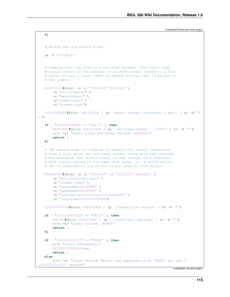```
# Delete any old cookie files.
   rm -f "$COOKIE"
   # Logging into the wiki is a two-step process. This first step
   # should result in the receipt of an HTTP cookie (saved to a file
   # using -c) and a login token (a random string) that is paired to
   # the cookie.
   RESPONSE=$(curl -s -c "$COOKIE" $WIKIAPI \
       -d "action=query" \
       -d "meta=tokens" \
       -d "type=login" \
       -d "format=json")
   LOGINTOKEN=$(echo $RESPONSE | jq '.query.tokens.logintoken | @uri' | tr -d '"
˓→')
   if [ "$LOGINTOKEN" == "null" ]; then
       WARNING=$(echo $RESPONSE | jq '.warnings.tokens | .["*"]' | tr -d '"')
       echo >&2 "Login token retrieval failed: $WARNING"
       return 1
   fi
   # The second step for logging in submits the cookie (submitted
   # from a file using -b) and login token, along with the username
   # and password, and should result in the receipt of a modified
   # HTTP cookie (saved to the same file using -c). A valid return
   # URL is required to log in but is not used by this script.
   RESPONSE=$(curl -s -b "$COOKIE" -c "$COOKIE" $WIKIAPI \
       -d "action=clientlogin" \
       -d "format=json" \
       -d "username=$BOTNAME" \
       -d "password=$BOTPASS" \
       -d "loginreturnurl=http://localhost" \
       -d "logintoken=$LOGINTOKEN")
   LOGINSTATUS=$(echo $RESPONSE | jq '.clientlogin.status' | tr -d '"')
   if [ "$LOGINSTATUS" == "FAIL" ]; then
       ERROR=$(echo $RESPONSE | jq '.clientlogin.message' | tr -d '"')
       echo >&2 "Login failed: $ERROR"
       return 1
   fi
   if [ "$LOGINSTATUS" == "PASS" ]; then
       echo "Login successful."
       BOTISLOGGEDIN=true
       return 0
   else
       echo >&2 "Login failed: Result was expected to be 'PASS' but got '
˓→$LOGINSTATUS' instead"
```
**fi**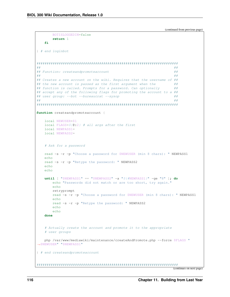```
BOTISLOGGEDIN=false
      return 1
   fi
} # end loginbot
###### Function: createandpromoteaccount
                                                         ######## Creates a new account on the wiki. Requires that the username of ##
## the new account is passed as the first argument when the
                                                         \#\### function is called. Prompts for a password. Can optionally
                                                        #### accept any of the following flags for promoting the account to a ##
## user group: --bot --bureaucrat --sysop
                                                         ##
####function createandpromoteaccount {
   local NEWUSER=$1
   local FLAGS=$0:2$ # all args after the first
   local NEWPASS1=
   local NEWPASS2=
   # Ask for a password
   read -s -r -p "Choose a password for $NEWUSER (min 8 chars): " NEWPASS1
   echoread -s -r -p "Retype the password: " NEWPASS2
   echo
   echo
   until [ "$NEWPASS1" == "$NEWPASS2" -a "${#NEWPASS1}" -qe "8" ]; do
     echo "Passwords did not match or are too short, try again."
      echo
      retryprompt
      read -s -r -p "Choose a password for $NEWUSER (min 8 chars): "NEWPASS1
      echo
      read -s -r -p "Retype the password: " NEWPASS2
      echo
      echodone
   # Actually create the account and promote it to the appropriate
   # user groups
   php /var/www/mediawiki/maintenance/createAndPromote.php --force $FLAGS "
SNEWUSER" "SNEWPASS1"
} # end createandpromoteaccount
```

```
(continues on next page)
```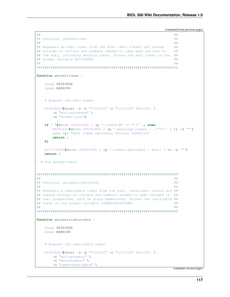```
###### Function: getedittoken
                                                           ##
###### Requests an edit token from the wiki. Edit tokens are random
                                                           #### strings of letters and numbers needed to take most actions on
                                                           #### the wiki, including merging users. Stores the edit token in the
                                                           \#\### global variable EDITTOKEN.
                                                           ##
##
                                                           ##
function getedittoken {
   local RESPONSE
   local WARNING
   # Request the edit token.
   RESPONSE=$(curl -s -b "$COOKIE" -c "$COOKIE" $WIKIAPI \
       -d "action=tokens" \
       -d "format=json")
   if [ "$(echo $RESPONSE | jq '.tokens')" == "[]" ]; then
      WARNING=$(echo $RESPONSE | jq '.warnings.tokens | . ["*"]' | tr -d '"')
       echo >&2 "Edit token retrieval failed: $WARNING"
      return 1
   fi
   EDITTOKEN=$ (echo $RESPONSE | jq '.tokens.edittoken | @uri' | tr -d '"')
   return 0
} # end getedittoken
###### Function: getuserrightstoken
                                                           ##
###### Requests a userrights token from the wiki. Userrights tokens are ##
## random strings of letters and numbers needed to make changes to ##
## user properties, such as group membership. Stores the userrights ##
## token in the global variable USERRIGHTSTOKEN.
                                                           ##
####function getuserrightstoken {
   local RESPONSE
   local WARNING
   # Request the userrights token.
   RESPONSE=$(curl -s -b "$COOKIE" -c "$COOKIE" $WIKIAPI \
      -d "action=query" \
       -d "meta=tokens" \
       -d "type=userrights" \
```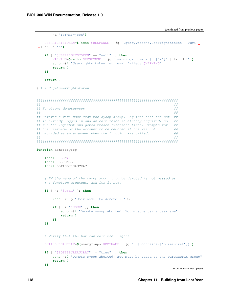```
-d "format=json")
   USERRIGHTSTOKEN=$(echo $RESPONSE | jq '.query.tokens.userrightstoken | @uri'
\leftrightarrow| tr -d '"')
   if [ "$USERRIGHTSTOKEN" == "null" ]; then
       WARNING=$(echo $RESPONSE | jq '.warnings.tokens | . ["*"]' | tr -d '"')
       echo > & 2 "Userrights token retrieval failed: $WARNING"
       return 1fi
   return 0
} # end getuserrightstoken
####
## Function: demotesysop
                                                               \#\####### Removes a wiki user from the sysop group. Requires that the bot
                                                               ##
## is already logged in and an edit token is already acquired, so
                                                               #### run the loginbot and getedittoken functions first. Prompts for
                                                               ##
## the username of the account to be demoted if one was not
                                                               ##
## provided as an argument when the function was called.
                                                               ######function demotesysop {
   local USER=$1
   local RESPONSE
   local BOTISBUREAUCRAT
   # If the name of the sysop account to be demoted is not passed as
   # a function argument, ask for it now.
   if \lceil -z \rceil "$USER" |; then
       read -r -p "User name (to demote): " USER
       if [ -z "$USER" ]; then
           echo > &2 "Demote sysop aborted: You must enter a username"
           return 1
       64fi
   # Verify that the bot can edit user rights.
   BOTISBUREAUCRAT=$(usergroups $BOTNAME | jq '. | contains(["bureaucrat"])')
   if [ "$BOTISBUREAUCRAT" != "true" ]; then
       echo >\&2 "Demote sysop aborted: Bot must be added to the bureaucrat group"
       return 1
   fi
```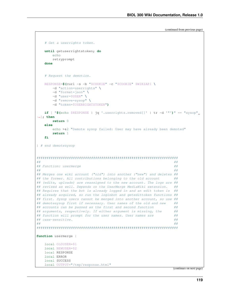```
# Get a userrights token.
   until getuserrightstoken; do
      echo
      retryprompt
   done
   # Request the demotion.
   RESPONSE=$(curl -s -b "$COOKIE" -c "$COOKIE" $WIKIAPI \
      -d "action=userrights" \
      -d "format=json" \
      -d "user=$USER" \
      -d "remove=sysop" \
      -d "token=$USERRIGHTSTOKEN")
   if [ "$(echo $RESPONSE | jq '.userrights.removed[ ]' | tr -d '"')" == "sysop".
˓→]; then
      return 0
   else
      echo >&2 "Demote sysop failed: User may have already been demoted"
      return 1
   fi
} # end demotesysop
######################################################################
#### Function: usermerge ##
#### Merges one wiki account ("old") into another ("new") and deletes ##
## the former. All contributions belonging to the old account ##
## (edits, uploads) are reassigned to the new account. The logs are ##
## revised as well. Depends on the UserMerge MediaWiki extension. ##
## Requires that the bot is already logged in and an edit token is ##
## already acquired, so run the loginbot and getedittoken functions ##
## first. Sysop users cannot be merged into another account, so use ##
## demotesysop first if necessary. User names of the old and new ##
## accounts can be passed as the first and second function ##
## arguments, respectively. If either argument is missing, the ##
## function will prompt for the user names. User names are ##
## case-sensitive. ##
########################################################################
function usermerge {
   local OLDUSER=$1
   local NEWUSER=$2
   local RESPONSE
   local ERROR
   local SUCCESS
   local OUTPUT="/tmp/response.html"
```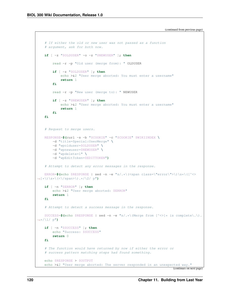```
# If either the old or new user was not passed as a function
   # argument, ask for both now.
   if [ -z "$OLDUSER" -o -z "$NEWUSER" ]; then
       read -r -p "Old user (merge from): " OLDUSER
       if [ -z "$OLDUSER" ]; then
           echo >&2 "User merge aborted: You must enter a username"
           return 1
       fi
       read -r -p "New user (merge to): " NEWUSER
       if [ -z "$NEWUSER" ]; then
           echo >&2 "User merge aborted: You must enter a username"
           return 1
       fi
   fi
   # Request to merge users.
   RESPONSE=$(curl -s -b "$COOKIE" -c "$COOKIE" $WIKIINDEX \
       -d "title=Special:UserMerge" \
       -d "wpolduser=$OLDUSER" \
       -d "wpnewuser=$NEWUSER" \
       -d "wpdelete=1" \
       -d "wpEditToken=$EDITTOKEN")
   # Attempt to detect any error messages in the response.
   ERROR=$(echo $RESPONSE | sed -n -e "s/.*)({<b>span class</b>=\Terror\">\))\s*}{(*>}\rightarrow]*\)\s*\(<\/span>\).*/\2/ p")
   if [ -n "$ERROR" ]; then
       echo >&2 "User merge aborted: $ERROR"
       return 1
   fi
   # Attempt to detect a success message in the response.
   SUCCESS=$(echo $RESPONSE | sed -n -e "s/.*)(Merge from [^<>] * is complete\.).
˓→*/\1/ p")
   if [ -n "$SUCCESS" ]; then
       echo "Success: $SUCCESS"
       return 0
   fi
   # The function would have returned by now if either the error or
   # success pattern matching steps had found something.
   echo $RESPONSE > $OUTPUT
   echo >&2 "User merge aborted: The server responded in an unexpected way."
```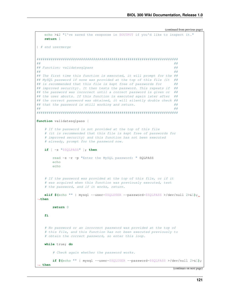```
echo >&2 "I've saved the response in $OUTPUT if you'd like to inspect it."
   return 1
} # end usermerge
######################################################################
#### Function: validatesqlpass ##
#### The first time this function is executed, it will prompt for the ##
## MySQL password if none was provided at the top of this file (it ##
## is recommended that this file is kept free of passwords for ##
## improved security). It then tests the password. This repeats if ### the password was incorrect until a correct password is given or ##
## the user aborts. If this function is executed again later after ##
## the correct password was obtained, it will silently double check ##
## that the password is still working and return. ##
########################################################################
function validatesqlpass {
   # If the password is not provided at the top of this file
   # (it is recommended that this file is kept free of passwords for
   # improved security) and this function has not been executed
   # already, prompt for the password now.
   if [ -z "$SQLPASS" ]; then
      read -s -r -p "Enter the MySQL password: " SQLPASS
      echo
      echo
   # If the password was provided at the top of this file, or if it
   # was acquired when this function was previously executed, test
   # the password, and if it works, return.
   elif $(echo "" | mysql --user=$SQLUSER --password=$SQLPASS >/dev/null 2>&1);
˓→then
      return 0
   fi
   # No password or an incorrect password was provided at the top of
   # this file, and this function has not been executed previously to
   # obtain the correct password, so enter this loop.
   while true; do
       # Check again whether the password works.
      if $(echo "" | mysql --user=$SQLUSER --password=$SQLPASS >/dev/null 2>&1);
  ˓→ then
```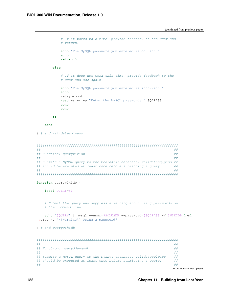```
# If it works this time, provide feedback to the user and
          # return.
          echo "The MySQL password you entered is correct."
          echoreturn 0
      else
          # If it does not work this time, provide feedback to the
          # user and ask again.
          echo "The MySQL password you entered is incorrect."
          echo
         retryprompt
          read -s -r -p "Enter the MySQL password: " SQLPASS
          \rhocho
          echofi
   done
} # end validatesqlpass
######
## Function: querywikidb
####
## Submits a MySQL query to the MediaWiki database. validatesqlpass ##
## should be executed at least once before submitting a query.
                                                         ##
####
function querywikidb {
   local QUERY=$1
   # Submit the query and suppress a warning about using passwords on
   # the command line.
   echo "$QUERY" | mysql --user=$SQLUSER --password=$SQLPASS -N $WIKIDB 2>&1 |..
→grep -v "\[Warning\] Usinq a password"
} # end querywikidb
####
## Function: querydjangodb
                                                         ######## Submits a MySQL query to the Django database. validatesqlpass
                                                         #### should be executed at least once before submitting a query.
                                                         ##
                                                         ####
```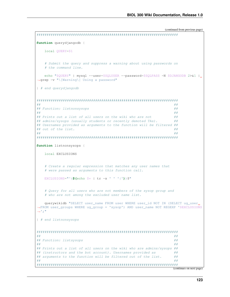```
function querydjangodb {
   local OUERY=$1
   # Submit the query and suppress a warning about using passwords on
   # the command line.
   echo "$QUERY" | mysql --user=$SQLUSER --password=$SQLPASS -N $DJANGODB 2>&1 |
→grep -v "\[Warning\] Using a password"
} # end querydjangodb
####
## Function: listnonsysops
                                                         \#\####### Prints out a list of all users on the wiki who are not
                                                         ##
## admins/sysops (usually students or recently demoted TAs).
                                                         ##
## Usernames provided as arguments to the function will be filtered ##
## out of the list.
                                                         ##
####function listnonsysops {
   local EXCLUSTONS
   # Create a regular expression that matches any user names that
   # were passed as arguments to this function call.
   EXCLUSTONS="^(\text{\textbf{S}}(echo \text{\textbf{S}}* | tr -s ' ' '|')) \text{\textbf{S}}"
   # Query for all users who are not members of the sysop group and
   # who are not among the excluded user name list.
   querywikidb "SELECT user name FROM user WHERE user id NOT IN (SELECT uq user...
→FROM user_groups WHERE ug_group = 'sysop') AND user_name NOT REGEXP '$EXCLUSIONS
\leftrightarrow 1 : ^{\circ}I # end listnonsysops
##
                                                         ####
## Function: listsysops
\#\###
## Prints out a list of all users on the wiki who are admins/sysops ##
## (instructors and the bot account). Usernames provided as
                                                        #### arguments to the function will be filtered out of the list.
                                                         ##
##
                                                         ##
```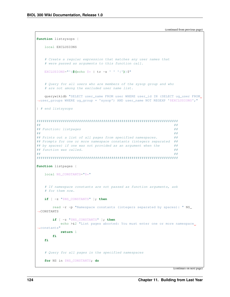```
function listsysops {
   local EXCLUSIONS
   # Create a regular expression that matches any user names that
   # were passed as arguments to this function call.
   EXCLUSIONS="\hat{S}(echo \hat{S}* | tr -s ' ' '|'))\hat{S}"
   # Query for all users who are members of the sysop group and who
   # are not among the excluded user name list.
   querywikidb "SELECT user_name FROM user WHERE user_id IN (SELECT ug_user FROM
-user_groups WHERE ug_group = 'sysop') AND user_name NOT REGEXP '$EXCLUSIONS'; "
} # end listsysops
###### Function: listpages
                                                               ##
##\#\### Prints out a list of all pages from specified namespaces.
                                                               #### Prompts for one or more namespace constants (integers separated ##
## by spaces) if one was not provided as an argument when the
                                                               #### function was called.
                                                               ##
##
                                                               ##function listpages {
   local NS CONSTANTS="$*"
   # If namespace constants are not passed as function arguments, ask
   # for them now.
   if [ -z "$NS CONSTANTS" ]; then
       read -r -p "Namespace constants (integers separated by spaces): " NS_
\leftarrowCONSTANTS
       if [ -z "$NS CONSTANTS" ]; then
          echo >&2 "List pages aborted: You must enter one or more namespace.
\rightarrowconstants"
           return 1
       fi
   fi
   # Ouery for all pages in the specified namespaces
   for NS in $NS_CONSTANTS; do
```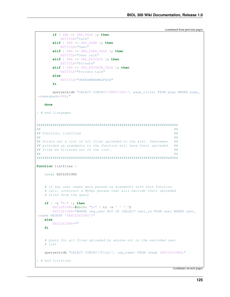```
if \lceil $NS == $NS TALK \rceil; then
          NSTITLE="Talk"
       elif [ $NS == $NS_USER ]; then
          NSTITLE="User"
       elif [ $NS == $NS_USER_TALK ]; then
          NSTITLE="User talk"
       elif [ $NS == $NS_PRIVATE ]; then
          NSTITLE="Private"
       elif [ $NS == $NS_PRIVATE_TALK ]; then
          NSTITLE="Private talk"
       \trianglelea
          NSTITLE="UNKNOWNNAMESPACE"
       fi
       querywikidb "SELECT CONCAT('$NSTITLE:', page title) FROM page WHERE page
\rightarrownamespace=$NS;"
   done
} # end listpages
\#\###
## Function: listfiles
                                                               ######## Prints out a list of all files uploaded to the wiki. Usernames
                                                               #### provided as arguments to the function will have their uploaded
                                                              #### files be filtered out of the list.
                                                               ##
##
                                                               ##function listfiles {
   local EXCLUSIONS
   # If any user names were passed as arguments with this function
   # call, construct a MySQL phrase that will exclude their uploaded
   # files from the query
   if [-n]^n$*" ; then
       EXCLUSIONS=$(echo " $*" | tr -s ' ' '']EXCLUSIONS="WHERE img_user NOT IN (SELECT user_id FROM user WHERE user_
→name REGEXP '$EXCLUSIONS')"
   else
      EXCLUSIONS=""
   fi
   # Ouery for all files uploaded by anyone not on the excluded user
   # list
   querywikidb "SELECT CONCAT('File:', imq name) FROM image $EXCLUSIONS;"
} # end listfiles
```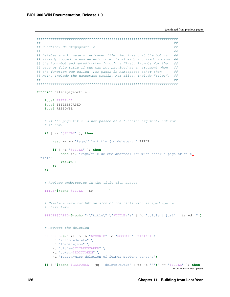```
##
                                                               #### Function: deletepageorfile
                                                               ##
###### Deletes a wiki page or uploaded file. Requires that the bot is
                                                               \#\### already logged in and an edit token is already acquired, so run ##
## the loginbot and getedittoken functions first. Prompts for the
                                                               #### page or file title if one was not provided as an argument when
                                                             #### the function was called. For pages in namespaces other than
                                                               #### Main, include the namespace prefix. For files, include "File:".
                                                              ######function deletepageorfile {
   local TITLE=$1
   local TITLEESCAPED
   local RESPONSE
   # If the page title is not passed as a function argument, ask for
   # it now.
   if [ -z "$TITLE" ]; then
       read -r -p "Page/file title (to delete): " TITLE
       if \lceil -z \rceil "$TITLE" |; then
           echo >&2 "Page/file delete aborted: You must enter a page or file
\leftrightarrowtitle"
           return 1
       fi
   fi
   # Replace underscores in the title with spaces
   TITLE=$(echo $TITLE | tr '_' ' ')
   # Create a safe-for-URL version of the title with escaped special
   # characters
   TITLEESCAPED=$(echo "{\"title\":\"$TITLE\"}" | jq '.title | @uri' | tr -d '"')
   # Request the deletion.
   RESPONSE=$(curl -s -b "$COOKIE" -c "$COOKIE" $WIKIAPI \
       -d "action=delete" \
       -d "format=json" \
       -d "title=$TITLEESCAPED" \
       -d "token=$EDITTOKEN" \
       -d "reason=Mass deletion of former student content")
   if [ "$(echo $RESPONSE | jq '.delete.title' | tr -d '"')" == "$TITLE" ]; then
```

```
(continues on next page)
```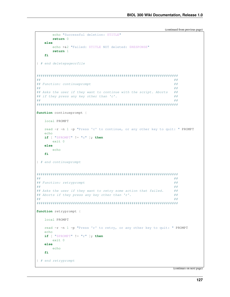```
echo "Successful deletion: $TITLE"
     return 0
  else
      echo >&2 "Failed: $TITLE NOT deleted: $RESPONSE"
      return 1fi
} # end deletepageorfile
##
                                                   #### Function: continueprompt
                                                   ######## Asks the user if they want to continue with the script. Aborts
                                                   ##
## if they press any key other than 'c'.
                                                   ##
\#\###function continueprompt {
  local PROMPT
  read -r -n 1 -p "Press 'c' to continue, or any other key to quit: " PROMPT
  echo
  if \lceil "$PROMPT" != "c" |; then
     exit 0else
     echo
  fi
} # end continueprompt
###### Function: retryprompt
                                                   ##
###### Asks the user if they want to retry some action that failed.
                                                   #### Aborts if they press any key other than 'r'.
                                                   ##
####function retryprompt {
  local PROMPT
  read -r -n 1 -p "Press 'r' to retry, or any other key to quit: " PROMPT
  echo
  if \lceil "$PROMPT" != "r" |; then
     ext 0else
     echo
   fi.
} # end retryprompt
```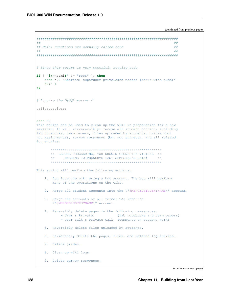```
##
                                                         #### Main: Functions are actually called here
                                                         ##
##
                                                         ### Since this script is very powerful, require sudo
if [ "$(whoami)" != "root" ]; then
   echo >&2 "Aborted: superuser priveleges needed (rerun with sudo)"
   exit 1
fi
# Acquire the MySQL password
validatesqlpass
echo "\rangleThis script can be used to clean up the wiki in preparation for a new
semester. It will *irreversibly* remove all student content, including
lab notebooks, term papers, files uploaded by students, grades (but
not assignments), survey responses (but not surveys), and all related
log entries.
      ** BEFORE PROCEEDING, YOU SHOULD CLONE THE VIRTUAL **
         MACHINE TO PRESERVE LAST SEMESTER'S DATA!
     + +\starThis script will perform the following actions:
   1. Log into the wiki using a bot account. The bot will perform
      many of the operations on the wiki.
   2. Merge all student accounts into the \"$MERGEDSTUDENTNAME\" account.
   3. Merge the accounts of all former TAs into the
      \"$MERGEDINSTRUCNAME\" account.
   4. Reversibly delete pages in the following namespaces:
         - User & Private (lab notebooks and term papers)
          - User talk & Private talk (comments on student work)
   5. Reversibly delete files uploaded by students.
   6. Permanently delete the pages, files, and related log entries.
   7. Delete grades.
   8. Clean up wiki logs.
   9. Delete survey responses.
```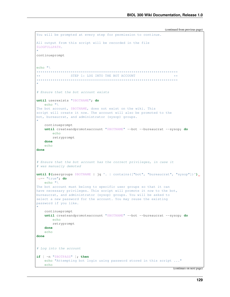```
You will be prompted at every step for permission to continue.
All output from this script will be recorded in the file
$LOGFULLPATH.
"
continueprompt
echo "\
**********************************************************************
** STEP 1: LOG INTO THE BOT ACCOUNT **
**********************************************************************
"
# Ensure that the bot account exists
until userexists "$BOTNAME"; do
  echo "\
The bot account, $BOTNAME, does not exist on the wiki. This
script will create it now. The account will also be promoted to the
bot, bureaucrat, and administrator (sysop) groups.
"
   continueprompt
   until createandpromoteaccount "$BOTNAME" --bot --bureaucrat --sysop; do
       echo
       retryprompt
    done
   echo
done
# Ensure that the bot account has the correct privileges, in case it
# was manually demoted
until $(usergroups $BOTNAME | jq '. | contains(["bot", "bureaucrat", "sysop"])')
˓→== "true"; do
   echo "\
The bot account must belong to specific user groups so that it can
have necessary privileges. This script will promote it now to the bot,
bureaucrat, and administrator (sysop) groups. You will be asked to
select a new password for the account. You may reuse the existing
password if you like.
"
   continueprompt
   until createandpromoteaccount "$BOTNAME" --bot --bureaucrat --sysop; do
       echo
       retryprompt
    done
    echo
done
# Log into the account
if [ -n "$BOTPASS" ]; then
   echo "Attempting bot login using password stored in this script ..."
   echo
```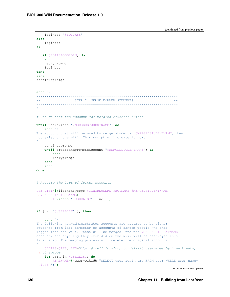```
loginbot "$BOTPASS"
else
   loginbot
fi
until $BOTISLOGGEDIN; do
   echo
   retryprompt
   loginbot
done
echocontinueprompt
echo "***STEP 2: MERGE FORMER STUDENTS
+ +# Ensure that the account for merging students exists
until userexists "$MERGEDSTUDENTNAME"; do
  echo "\setminusThe account that will be used to merge students, $MERGEDSTUDENTNAME, does
not exist on the wiki. This script will create it now.
\mathbf{H}continueprompt
   until createandpromoteaccount "$MERGEDSTUDENTNAME"; do
       echo
       retryprompt
   done
   \rhocho
done
# Acquire the list of former students
USERLIST=$(listnonsysops $IGNOREUSERS $BOTNAME $MERGEDSTUDENTNAME
\rightarrow $MERGEDINSTRUCNAME)
USERCOUNT=$(echo "SUBERLIST" | wc -1)if [ -n "$USERLIST" ]; then
   echo "The following non-administrator accounts are assumed to be either
students from last semester or accounts of random people who once
logged into the wiki. These will be merged into the $MERGEDSTUDENTNAME
account, and anything they ever did on the wiki will be destroyed in a
later step. The merging process will delete the original accounts.
   OLDIFS=$IFS; IFS=$'\n' # tell for-loop to delimit usernames by line breaks,
\leftrightarrownot spaces
   for USER in $USERLIST; do
       REALNAME=$(querywikidb "SELECT user_real_name FROM user WHERE user_name='
\rightarrow $USER'; ")
```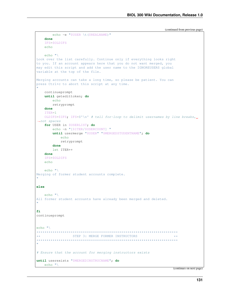```
echo -e "$USER \t($REALNAME)"
   done
   IFS=$OLDIFS
   echo
   echo "\rangleLook over the list carefully. Continue only if everything looks right
to you. If an account appears here that you do not want merged, you
may edit this script and add the user name to the IGNOREUSERS global
variable at the top of the file.
Merging accounts can take a long time, so please be patient. You can
press Ctrl+c to abort this script at any time.
   continueprompt
   until getedittoken; do
      echo
      retryprompt
   done
   ITER=1
   OLDIFS=$IFS; IFS=$'\n' # tell for-loop to delimit usernames by line breaks,
\leftrightarrownot spaces
   for USER in $USERLIST; do
       echo -n "[$ITER/$USERCOUNT] "
       until usermerge "$USER" "$MERGEDSTUDENTNAME"; do
         echo
          retryprompt
       done
       let ITER++
   done
   IFS=$OLDIFS
   echo
   echo "Merging of former student accounts complete.
else
   echo "All former student accounts have already been merged and deleted.
\mathbf{u}fi
continueprompt
echo "STEP 3: MERGE FORMER INSTRUCTORS
***\star\star# Ensure that the account for merging instructors exists
until userexists "$MERGEDINSTRUCNAME"; do
  echo "\setminus
```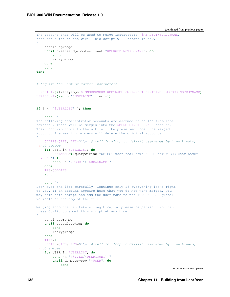```
(continued from previous page)
```

```
The account that will be used to merge instructors, $MERGEDINSTRUCNAME,
does not exist on the wiki. This script will create it now.
"
    continueprompt
   until createandpromoteaccount "$MERGEDINSTRUCNAME"; do
        echo
       retryprompt
    done
    echo
done
# Acquire the list of former instructors
USERLIST=$(listsysops $IGNOREUSERS $BOTNAME $MERGEDSTUDENTNAME $MERGEDINSTRUCNAME)
USERCOUNT=$(echo "$USERLIST" | wc -l)
if [ -n "$USERLIST" ]; then
    echo "\
The following administrator accounts are assumed to be TAs from last
semester. These will be merged into the $MERGEDINSTRUCNAME account.
Their contributions to the wiki will be preserved under the merged
account. The merging process will delete the original accounts.
"
   OLDIFS=$IFS; IFS=\'\n' # tell for-loop to delimit usernames by line breaks,..
˓→not spaces
   for USER in $USERLIST; do
       REALNAME=$(querywikidb "SELECT user_real_name FROM user WHERE user_name='
˓→$USER';")
       echo -e "$USER \t($REALNAME)"
    done
    IFS=$OLDIFS
    echo
   echo "\
Look over the list carefully. Continue only if everything looks right
to you. If an account appears here that you do not want merged, you
may edit this script and add the user name to the IGNOREUSERS global
variable at the top of the file.
Merging accounts can take a long time, so please be patient. You can
press Ctrl+c to abort this script at any time.
"
    continueprompt
    until getedittoken; do
       echo
       retryprompt
    done
    ITER=1OLDIFS=$IFS; IFS=$'\n' # tell for-loop to delimit usernames by line breaks,
˓→not spaces
    for USER in $USERLIST; do
       echo -n "[$ITER/$USERCOUNT] "
        until demotesysop "$USER"; do
            echo
```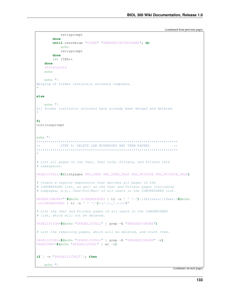```
retryprompt
       done
       until usermerge "$USER" "$MERGEDINSTRUCNAME"; do
           echo
          retryprompt
       done
       let ITER++
   done
    IFS=$OLDIFS
   echo
   echo "Merging of former instructor accounts complete.
else
   echo "\
All former instructor accounts have already been merged and deleted.
fi
continueprompt
echo "\rangleSTEP 4: DELETE LAB NOTEBOOKS AND TERM PAPERS
\star \star+ +\mathbf{u}# List all pages in the User, User talk, Private, and Private talk
# namespaces.
PAGELISTALL=$(listpages $NS_USER $NS_USER_TALK $NS_PRIVATE $NS_PRIVATE_TALK)
# Create a regular expression that matches all pages in the
# IGNOREPAGES list, as well as the User and Private pages (including
# subpages, e.g., User:Foo/Bar) of all users in the IGNOREUSERS list.
REGEXPIGNORE="^$(echo $IGNOREPAGES | tr -s ' ' '|')|((Private:|)User: ($(echo
\rightarrow $IGNOREUSERS | tr -s ' ' '|')) (/.*|_'.*|)) $"
# List the User and Private pages of all users in the IGNOREUSERS
# list, which will not be deleted.
PAGELISTIGN=$(echo "$PAGELISTALL" | grep -E "$REGEXPIGNORE")
# List the remaining pages, which will be deleted, and count them.
PAGELISTDEL=$(echo "$PAGELISTALL" | grep -E "$REGEXPIGNORE" -v)
PAGECOUNT=$(echo "$PAGELISTDEL" | wc -1)
if [ -n "$PAGELISTDEL" ]; then
   echo "\rangle
```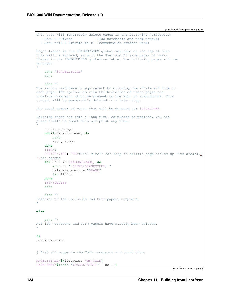```
This step will reversibly delete pages in the following namespaces:
  - User & Private (lab notebooks and term papers)
  - User talk & Private talk (comments on student work)
Pages listed in the IGNOREPAGES global variable at the top of this
file will be ignored, as will the User and Private pages of users
listed in the IGNOREUSERS global variable. The following pages will be
ignored:
"
   echo "$PAGELISTIGN"
   echo
   echo "\
The method used here is equivalent to clicking the \"Delete\" link on
each page. The options to view the histories of these pages and
undelete them will still be present on the wiki to instructors. This
content will be permanently deleted in a later step.
The total number of pages that will be deleted is: $PAGECOUNT
Deleting pages can take a long time, so please be patient. You can
press Ctrl+c to abort this script at any time.
"
    continueprompt
   until getedittoken; do
      echo
       retryprompt
    done
    ITER=1
   OLDIFS=$IFS; IFS=$'\n' # tell for-loop to delimit page titles by line breaks,
˓→not spaces
   for PAGE in $PAGELISTDEL; do
       echo -n "[$ITER/$PAGECOUNT] "
       deletepageorfile "$PAGE"
       let ITER++
   done
    IFS=$OLDIFS
   echo
   echo "\
Deletion of lab notebooks and term papers complete.
"
else
   echo "\
All lab notebooks and term papers have already been deleted.
"
fi
continueprompt
# List all pages in the Talk namespace and count them.
PAGELISTALL=$(listpages $NS_TALK)
PAGECOUNT=$(echo "$PAGELISTALL" | wc -l)
```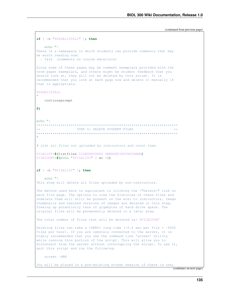```
if [ -n "$PAGELISTALL" ]; then
   echo "\rangleThere is a namespace in which students can provide comments that may
be worth reading now:
  - Talk (comments on course materials)
Since some of these pages may be comment exemplars provided with the
term paper exemplars, and others might be student feedback that you
should look at, they will not be deleted by this script. It is
recommended that you look at each page now and delete it manually if
that is appropriate.
$PAGELISTALL
   continueprompt
fi.
echo "***********
\star \starSTEP 5: DELETE STUDENT FILES
    # List all files not uploaded by instructors and count them
FILELIST=$(listfiles $IGNOREUSERS $MERGEDINSTRUCNAME)
FILECOUNT=$(echo "SFILELIST" | wc -1)if [ -n "$FILELIST" ]; then
   echo ''This step will delete all files uploaded by non-instructors.
The method used here is equivalent to clicking the \"Delete\" link on
each file page. The options to view the histories of these files and
undelete them will still be present on the wiki to instructors. Image
thumbnails and resized versions of images are deleted in this step,
freeing up potentially tens of gigabytes of hard drive space. The
original files will be permanently deleted in a later step.
The total number of files that will be deleted is: $FILECOUNT
Deleting files can take a *VERY* long time (~0.6 sec per file = ~6000
files per hour). If you are remotely connected to the server, it is
highly recommended that you use the command line 'screen' utility
while running this portion of the script. This will allow you to
disconnect from the server without interrupting the script. To use it,
quit this script and run the following:
   screen -dRR
You will be placed in a pre-existing screen session if there is one;
```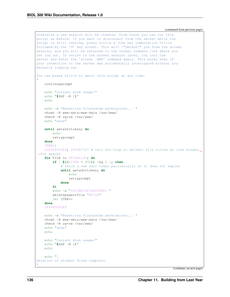```
otherwise a new session will be created. From there you can run this
script as before. If you want to disconnect from the server while the
script is still running, press Ctrl+a d (the key combination Ctrl+a
followed by the 'd' key alone). This will \"detach\" you from the screen
session, and you will be returned to the normal command line where you
can log out. To return to the screen session later, log into the
server and enter the 'screen -dRR' command again. This works even if
your connection to the server was accidentally interrupted without you
manually logging out.
You can press Ctrl+c to abort this script at any time.
"
    continueprompt
   echo "Current disk usage:"
    echo "$(df -H /)"
    echo
    echo -n "Resetting filesystem permissions... "
    chown -R www-data:www-data /var/www/
    chmod -R ug+rw /var/www/
    echo "done"
    until getedittoken; do
       echo
       retryprompt
    done
    ITER=1OLDIFS=$IFS; IFS=$'\n' # tell for-loop to delimit file titles by line breaks,
˓→not spaces
    for FILE in $FILELIST; do
        if [ $(($ITER % 200)) -eq 0 ]; then
            # fetch a new edit token periodically so it does not expire
            until getedittoken; do
                echo
                retryprompt
            done
        fi
        echo -n "[$ITER/$FILECOUNT] "
        deletepageorfile "$FILE"
       let ITER++
    done
    IFS=$OLDIFS
    echo -n "Resetting filesystem permissions... "
    chown -R www-data:www-data /var/www/
    chmod -R ug+rw /var/www/
    echo "done"
    echo
    echo "Current disk usage:"
    echo "$(df -H /)"
    echo
   echo "\
Deletion of student files complete.
"
```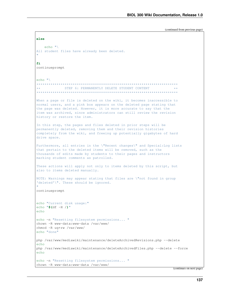```
else
   echo "\wedgeAll student files have already been deleted.
fi
continueprompt
echo "***********
             ***STEP 6: PERMANENTLY DELETE STUDENT CONTENT
When a page or file is deleted on the wiki, it becomes inaccessible to
normal users, and a pink box appears on the deleted page stating that
the page was deleted. However, it is more accurate to say that the
item was archived, since administrators can still review the revision
history or restore the item.
In this step, the pages and files deleted in prior steps will be
permanently deleted, removing them and their revision histories
completely from the wiki, and freeing up potentially gigabytes of hard
drive space.
Furthermore, all entries in the \"Recent changes\" and Special:Log lists
that pertain to the deleted items will be removed, such as the
thousands of edits made by students to their pages and instructors
marking student comments as patrolled.
These actions will apply not only to items deleted by this script, but
also to items deleted manually.
NOTE: Warnings may appear stating that files are \"not found in group
'deleted'\". These should be ignored.
continueprompt
echo "Current disk usage:"
echo "$ (df -H /)"
echoecho -n "Resetting filesystem permissions... "
chown -R www-data:www-data /var/www/
chmod -R uq+rw /var/www/
echo "done"
php /var/www/mediawiki/maintenance/deleteArchivedRevisions.php --delete
echo
php /var/www/mediawiki/maintenance/deleteArchivedFiles.php --delete --force
echo
echo -n "Resetting filesystem permissions... "
chown -R www-data:www-data /var/www/
```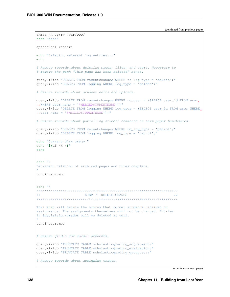```
chmod -R uq+rw /var/www/
echo "done"
apache2ctl restart
echo "Deleting relevant log entries..."
echo
# Remove records about deleting pages, files, and users. Necessary to
# remove the pink "This page has been deleted" boxes.
querywikidb "DELETE FROM recentchanges WHERE rc_log_type = 'delete'; "
querywikidb "DELETE FROM logging WHERE log_type = 'delete';"
# Remove records about student edits and uploads.
querywikidb "DELETE FROM recentchanges WHERE rc_user = (SELECT user_id FROM user_
\rightarrowWHERE user_name = '$MERGEDSTUDENTNAME');"
querywikidb "DELETE FROM logging WHERE log_user = (SELECT user_id FROM user WHERE,
\rightarrowuser_name = '$MERGEDSTUDENTNAME');"
# Remove records about patrolling student comments on term paper benchmarks.
querywikidb "DELETE FROM recentchanges WHERE rc_log_type = 'patrol'; "
querywikidb "DELETE FROM logging WHERE log_type = 'patrol';"
echo "Current disk usage:"
echo "$ (df -H)"
echo
echo ''Permanent deletion of archived pages and files complete.
continueprompt
echo "\wedge\star\starSTEP 7: DELETE GRADES
***********************************
                                  **************************
This step will delete the scores that former students received on
assignments. The assignments themselves will not be changed. Entries
in Special:Log/grades will be deleted as well.
continueprompt
# Remove grades for former students.
querywikidb "TRUNCATE TABLE scholasticgrading adjustment;"
querywikidb "TRUNCATE TABLE scholasticgrading_evaluation;"
querywikidb "TRUNCATE TABLE scholasticgrading groupuser;"
# Remove records about assigning grades.
```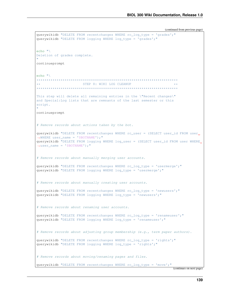```
querywikidb "DELETE FROM recentchanges WHERE rc_loq_type = 'grades'; "
querywikidb "DELETE FROM logging WHERE log_type = 'grades';"
echo "\veeDeletion of grades complete.
continueprompt
echo "\pmSTEP 8: WIKI LOG CLEANUP
This step will delete all remaining entries in the \"Recent changes\"
and Special: Log lists that are remnants of the last semester or this
script.
continueprompt
# Remove records about actions taken by the bot.
querywikidb "DELETE FROM recentchanges WHERE rc_user = (SELECT user_id FROM user_
\rightarrowWHERE user_name = '$BOTNAME');"
querywikidb "DELETE FROM logging WHERE log_user = (SELECT user_id FROM user WHERE,
\rightarrowuser name = '$BOTNAME');"
# Remove records about manually merging user accounts.
querywikidb "DELETE FROM recent changes WHERE rc log type = 'usermerge';"
querywikidb "DELETE FROM logging WHERE log_type = 'usermerge';"
# Remove records about manually creating user accounts.
querywikidb "DELETE FROM recentchanges WHERE rc_log_type = 'newusers'; "
querywikidb "DELETE FROM logging WHERE log_type = 'newusers';"
# Remove records about renaming user accounts.
querywikidb "DELETE FROM recentchanges WHERE rc_loq_type = 'renameuser';"
querywikidb "DELETE FROM logging WHERE log type = 'renameuser';"
# Remove records about adjusting group membership (e.g., term paper authors).
querywikidb "DELETE FROM recentchanges WHERE rc_log_type = 'rights';"
querywikidb "DELETE FROM logging WHERE log_type = 'rights';"
# Remove records about moving/renaming pages and files.
querywikidb "DELETE FROM recentchanges WHERE rc_log_type = 'move'; "
```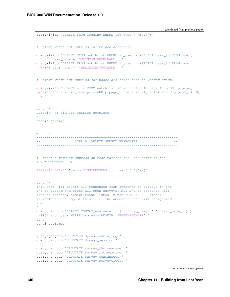```
(continued from previous page)
querywikidb "DELETE FROM logging WHERE log_type = 'move';"
# Remove watchlist entries for merged accounts.
querywikidb "DELETE FROM watchlist WHERE wl_user = (SELECT user_id FROM user_
\rightarrowWHERE user_name = '$MERGEDSTUDENTNAME'); "
querywikidb "DELETE FROM watchlist WHERE wl user = (SELECT user_id FROM user.
\rightarrowWHERE user_name = '$MERGEDINSTRUCNAME'); "
# Remove watchlist entries for pages and files that no longer exist.
querywikidb "DELETE wl.* FROM watchlist AS wl LEFT JOIN page AS p ON (p.page
\rightarrownamespace = wl.wl namespace AND p.page title = wl.wl title) WHERE p.page id IS.
\rightarrowNULL;"
echo "\wedgeDeletion of old log entries complete.
continueprompt
echo "\rangle\star \starSTEP 9: DELETE SURVEY RESPONSES
\mathbf{u}# Create a regular expression that matches the user names in the
# IGNOREUSERS list
REGEXPIGNORE="^($(echo $IGNOREUSERS | tr -s ' ' '|'))$"
echo "\setminusThis step will delete all responses from students to surveys in the
Django system and close all open surveys. All Django accounts will
also be deleted, except those listed in the IGNOREUSERS global
variable at the top of this file. The accounts that will be ignored
are:
\mathbf{H}querydjangodb "SELECT CONCAT (username, ' (', first_name, ' ', last_name, ')').
→FROM auth user WHERE username REGEXP '$REGEXPIGNORE'; "
echo
continueprompt
querydjangodb "TRUNCATE django_admin_log;"
querydjangodb "TRUNCATE django_session;"
querydjangodb "TRUNCATE survey_choiceanswer;"
querydjangodb "TRUNCATE survey ratinganswer;"
querydjangodb "TRUNCATE survey_textanswer;"
querydjangodb "TRUNCATE survey_surveycredit;"
```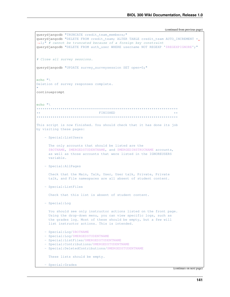(continued from previous page)

```
querydjangodb "TRUNCATE credit_team_members;"
querydjangodb "DELETE FROM credit_team; ALTER TABLE credit_team AUTO_INCREMENT =
˓→1;" # cannot be truncated because of a foreign key constraint
querydjangodb "DELETE FROM auth_user WHERE username NOT REGEXP '$REGEXPIGNORE';"
# Close all survey sessions.
querydjangodb "UPDATE survey_surveysession SET open=0;"
echo "\
Deletion of survey responses complete.
"
continueprompt
echo "\
**********************************************************************
\star\star \star**********************************************************************
This script is now finished. You should check that it has done its job
by visiting these pages:
   - Special:ListUsers
     The only accounts that should be listed are the
     $BOTNAME, $MERGEDSTUDENTNAME, and $MERGEDINSTRUCNAME accounts,
     as well as those accounts that were listed in the IGNOREUSERS
     variable.
   - Special:AllPages
     Check that the Main, Talk, User, User talk, Private, Private
     talk, and File namespaces are all absent of student content.
   - Special:ListFiles
     Check that this list is absent of student content.
   - Special:Log
     You should see only instructor actions listed on the front page.
     Using the drop-down menu, you can view specific logs, such as
     the grades log. Most of these should be empty, but a few will
     list instructor actions. This is intended.
   - Special:Log/$BOTNAME
   - Special:Log/$MERGEDSTUDENTNAME
   - Special:ListFiles/$MERGEDSTUDENTNAME
   - Special:Contributions/$MERGEDSTUDENTNAME
   - Special:DeletedContributions/$MERGEDSTUDENTNAME
     These lists should be empty.
   - Special:Grades
```
(continues on next page)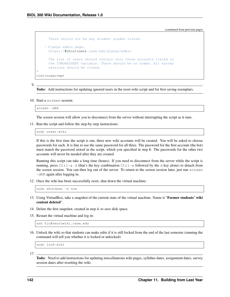(continued from previous page)

```
There should not be any student grades listed.
    - Django admin page:
      https://$(hostname).case.edu/django/admin
      The list of users should contain only those accounts listed in
      the IGNOREUSERS variable. There should be no teams. All survey
      sessions should be closed.
"
continueprompt
```
9.

Todo: Add instructions for updating ignored users in the reset-wiki script and for first saving exemplars.

10. Start a screen session:

screen -dRR

The screen session will allow you to disconnect from the server without interrupting the script as it runs.

11. Run the script and follow the step-by-step instructions:

sudo reset-wiki

If this is the first time the script is run, three new wiki accounts will be created. You will be asked to choose passwords for each. It is fine to use the same password for all three. The password for the first account (the bot) must match the password stored in the script, which you specified in step 8. The passwords for the other two accounts will never be needed after they are created.

Running this script can take a long time (hours). If you need to disconnect from the server while the script is running, press  $Ctr1-a$  d (that's the key combination  $Ctr1-a$  followed by the d key alone) to detach from the screen session. You can then log out of the server. To return to the screen session later, just run screen -dRR again after logging in.

12. Once the wiki has been successfully reset, shut down the virtual machine:

sudo shutdown -h now

- 13. Using VirtualBox, take a snapshot of the current state of the virtual machine. Name it "Former students' wiki content deleted".
- 14. Delete the first snapshot, created in step 4, to save disk space.
- 15. Restart the virtual machine and log in:

ssh hjc@neurowiki.case.edu

16. Unlock the wiki so that students can make edits if it is still locked from the end of the last semester (running the command will tell you whether it is locked or unlocked):

sudo lock-wiki

17.

Todo: Need to add instructions for updating miscellaneous wiki pages, syllabus dates, assignment dates, survey session dates after resetting the wiki.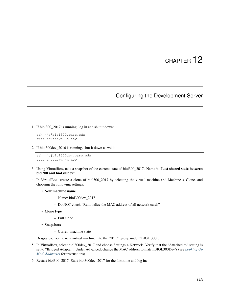#### Configuring the Development Server

1. If biol300\_2017 is running, log in and shut it down:

```
ssh hjc@biol300.case.edu
sudo shutdown -h now
```
2. If biol300dev\_2016 is running, shut it down as well:

```
ssh hjc@biol300dev.case.edu
sudo shutdown -h now
```
- 3. Using VirtualBox, take a snapshot of the current state of biol300\_2017. Name it "Last shared state between biol300 and biol300dev".
- 4. In VirtualBox, create a clone of biol300\_2017 by selecting the virtual machine and Machine > Clone, and choosing the following settings:
	- New machine name
		- Name: biol300dev\_2017
		- Do NOT check "Reinitialize the MAC address of all network cards"
	- Clone type
		- Full clone
	- Snapshots
		- Current machine state

Drag-and-drop the new virtual machine into the "2017" group under "BIOL 300".

- 5. In VirtualBox, select biol300dev\_2017 and choose Settings > Network. Verify that the "Attached to" setting is set to "Bridged Adapter". Under Advanced, change the MAC address to match BIOL300Dev's (see *[Looking Up](#page-162-0) [MAC Addresses](#page-162-0)* for instructions).
- 6. Restart biol300\_2017. Start biol300dev\_2017 for the first time and log in: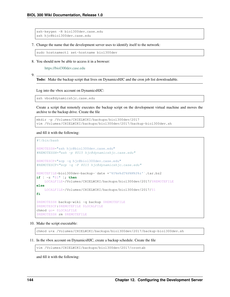```
ssh-keygen -R biol300dev.case.edu
ssh hjc@biol300dev.case.edu
```
7. Change the name that the development server uses to identify itself to the network:

sudo hostnamectl set-hostname biol300dev

8. You should now be able to access it in a browser:

<https://biol300dev.case.edu>

9.

Todo: Make the backup script that lives on DynamicsHJC and the cron job list downloadable.

Log into the vbox account on DynamicsHJC:

ssh vbox@dynamicshjc.case.edu

Create a script that remotely executes the backup script on the development virtual machine and moves the archive to the backup drive. Create the file

```
mkdir -p /Volumes/CHIELWIKI/backups/biol300dev/2017
vim /Volumes/CHIELWIKI/backups/biol300dev/2017/backup-biol300dev.sh
```
and fill it with the following:

```
#!/bin/bash
REMOTESSH="ssh hjc@biol300dev.case.edu"
#REMOTESSH="ssh -p 8015 hjc@dynamicshjc.case.edu"
REMOTESCP="scp -q hjc@biol300dev.case.edu"
#REMOTESCP="scp -q -P 8015 hjc@dynamicshjc.case.edu"
REMOTEFILE=biol300dev-backup-`date +'%Y%m%dT%H%M%S%z'`.tar.bz2
if [ -z "$1" ]; then
    LOCALFILE=/Volumes/CHIELWIKI/backups/biol300dev/2017/$REMOTEFILE
else
    LOCALFILE=/Volumes/CHIELWIKI/backups/biol300dev/2017/$1
fi
$REMOTESSH backup-wiki -q backup $REMOTEFILE
$REMOTESCP:$REMOTEFILE $LOCALFILE
chmod go= $LOCALFILE
$REMOTESSH rm $REMOTEFILE
```
10. Make the script executable:

chmod u+x /Volumes/CHIELWIKI/backups/biol300dev/2017/backup-biol300dev.sh

11. In the vbox account on DynamicsHJC, create a backup schedule. Create the file

```
vim /Volumes/CHIELWIKI/backups/biol300dev/2017/crontab
```
and fill it with the following: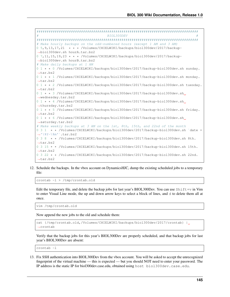```
################################################################################
                                    BIOL300DEV
################################################################################
# Make hourly backups on the odd-numbered hours (except 1 AM and 3 AM)
0 5,9,13,17,21 * * * /Volumes/CHIELWIKI/backups/biol300dev/2017/backup-
˓→biol300dev.sh hourA.tar.bz2
0 7, 11, 15, 19, 23 \star \star \star /Volumes/CHIELWIKI/backups/biol300dev/2017/backup-
˓→biol300dev.sh hourB.tar.bz2
# Make daily backups at 1 AM
0 1 * * 0 /Volumes/CHIELWIKI/backups/biol300dev/2017/backup-biol300dev.sh sunday.
\leftarrowtar.bz2
0 1 * * 1 /Volumes/CHIELWIKI/backups/biol300dev/2017/backup-biol300dev.sh monday.
˓→tar.bz2
0 1 * * 2 /Volumes/CHIELWIKI/backups/biol300dev/2017/backup-biol300dev.sh tuesday.
˓→tar.bz2
0 1 * * 3 /Volumes/CHIELWIKI/backups/biol300dev/2017/backup-biol300dev.sh
˓→wednesday.tar.bz2
0 1 * * 4 /Volumes/CHIELWIKI/backups/biol300dev/2017/backup-biol300dev.sh.
˓→thursday.tar.bz2
0 1 * * 5 /Volumes/CHIELWIKI/backups/biol300dev/2017/backup-biol300dev.sh friday.
˓→tar.bz2
0 1 * * 6 /Volumes/CHIELWIKI/backups/biol300dev/2017/backup-biol300dev.sh
˓→saturday.tar.bz2
# Make weekly backups at 3 AM on the 1st, 8th, 15th, and 22nd of the month
0 3 1 * * /Volumes/CHIELWIKI/backups/biol300dev/2017/backup-biol300dev.sh `date +
˓→'\%Y-\%m'`.tar.bz2
0 3 8 * * /Volumes/CHIELWIKI/backups/biol300dev/2017/backup-biol300dev.sh 8th.
˓→tar.bz2
0 3 15 * * /Volumes/CHIELWIKI/backups/biol300dev/2017/backup-biol300dev.sh 15th.
\leftrightarrowtar.bz2
0 3 22 * * /Volumes/CHIELWIKI/backups/biol300dev/2017/backup-biol300dev.sh 22nd.
˓→tar.bz2
```
12. Schedule the backups. In the vbox account on DynamicsHJC, dump the existing scheduled jobs to a temporary file:

crontab -l > /tmp/crontab.old

Edit the temporary file, and delete the backup jobs for last year's BIOL300Dev. You can use  $Shift+*v*$  in Vim to enter Visual Line mode, the up and down arrow keys to select a block of lines, and d to delete them all at once.

vim /tmp/crontab.old

Now append the new jobs to the old and schedule them:

```
cat {/tmp/crontab.old,/Volumes/CHIELWIKI/backups/biol300dev/2017/crontab} |
˓→crontab
```
Verify that the backup jobs for this year's BIOL300Dev are properly scheduled, and that backup jobs for last year's BIOL300Dev are absent:

crontab -l

13. Fix SSH authentication into BIOL300Dev from the vbox account. You will be asked to accept the unrecognized fingerprint of the virtual machine — this is expected — but you should NOT need to enter your password. The IP address is the static IP for biol300dev.case.edu, obtained using host biol300dev.case.edu.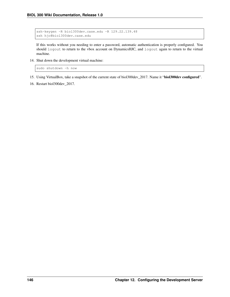```
ssh-keygen -R biol300dev.case.edu -R 129.22.139.48
ssh hjc@biol300dev.case.edu
```
If this works without you needing to enter a password, automatic authentication is properly configured. You should logout to return to the vbox account on DynamicsHJC, and logout again to return to the virtual machine.

14. Shut down the development virtual machine:

sudo shutdown -h now

- 15. Using VirtualBox, take a snapshot of the current state of biol300dev\_2017. Name it "biol300dev configured".
- 16. Restart biol300dev\_2017.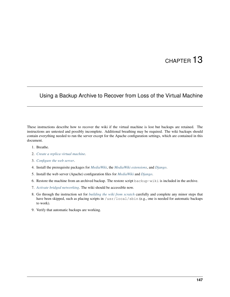#### Using a Backup Archive to Recover from Loss of the Virtual Machine

These instructions describe how to recover the wiki if the virtual machine is lost but backups are retained. The instructions are untested and possibly incomplete. Additional breathing may be required. The wiki backups should contain everything needed to run the server except for the Apache configuration settings, which are contained in this document.

- 1. Breathe.
- 2. *[Create a replica virtual machine](#page-40-0)*.
- 3. *[Configure the web server](#page-43-0)*.
- 4. Install the prerequisite packages for *[MediaWiki](#page-49-0)*, the *[MediaWiki extensions](#page-69-0)*, and *[Django](#page-59-0)*.
- 5. Install the web server (Apache) configuration files for *[MediaWiki](#page-49-0)* and *[Django](#page-59-0)*.
- 6. Restore the machine from an archived backup. The restore script backup-wiki is included in the archive.
- 7. *[Activate bridged networking](#page-110-0)*. The wiki should be accessible now.
- 8. Go through the instruction set for *[building the wiki from scratch](#page-40-1)* carefully and complete any minor steps that have been skipped, such as placing scripts in /usr/local/sbin (e.g., one is needed for automatic backups to work).
- 9. Verify that automatic backups are working.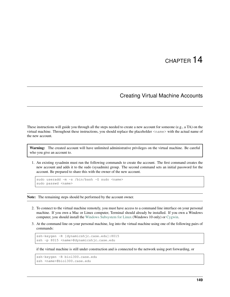#### Creating Virtual Machine Accounts

These instructions will guide you through all the steps needed to create a new account for someone (e.g., a TA) on the virtual machine. Throughout these instructions, you should replace the placeholder <name> with the actual name of the new account.

Warning: The created account will have unlimited administrative privileges on the virtual machine. Be careful who you give an account to.

1. An existing sysadmin must run the following commands to create the account. The first command creates the new account and adds it to the sudo (sysadmin) group. The second command sets an initial password for the account. Be prepared to share this with the owner of the new account.

```
sudo useradd -m -s /bin/bash -G sudo <name>
sudo passwd <name>
```
Note: The remaining steps should be performed by the account owner.

- 2. To connect to the virtual machine remotely, you must have access to a command line interface on your personal machine. If you own a Mac or Linux computer, Terminal should already be installed. If you own a Windows computer, you should install the [Windows Subsystem for Linux](https://msdn.microsoft.com/commandline/wsl) (Windows 10 only) or [Cygwin.](https://www.cygwin.com/)
- 3. At the command line on your personal machine, log into the virtual machine using one of the following pairs of commands:

```
ssh-keygen -R [dynamicshjc.case.edu]:8015
ssh -p 8015 <name>@dynamicshjc.case.edu
```
if the virtual machine is still under construction and is connected to the network using port forwarding, or

```
ssh-keygen -R biol300.case.edu
ssh <name>@biol300.case.edu
```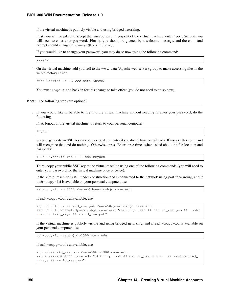if the virtual machine is publicly visible and using bridged netorking.

First, you will be asked to accept the unrecognized fingerprint of the virtual machine; enter "yes". Second, you will need to enter your password. Finally, you should be greeted by a welcome message, and the command prompt should change to <name>@biol300:~\$.

If you would like to change your password, you may do so now using the following command:

```
passwd
```
4. On the virtual machine, add yourself to the www-data (Apache web server) group to make accessing files in the web directory easier:

```
sudo usermod -a -G www-data <name>
```
You must logout and back in for this change to take effect (you do not need to do so now).

Note: The following steps are optional.

5. If you would like to be able to log into the virtual machine without needing to enter your password, do the following.

First, logout of the virtual machine to return to your personal computer:

logout

Second, generate an SSH key on your personal computer if you do not have one already. If you do, this command will recognize that and do nothing. Otherwise, press Enter three times when asked about the file location and passphrase:

[ -e ~/.ssh/id\_rsa ] || ssh-keygen

Third, copy your public SSH key to the virtual machine using one of the following commands (you will need to enter your password for the virtual machine once or twice).

If the virtual machine is still under construction and is connected to the network using port forwarding, and if ssh-copy-id is available on your personal computer, use

ssh-copy-id -p 8015 <name>@dynamicshjc.case.edu

If ssh-copy-id is unavailable, use

```
scp -P 8015 ~/.ssh/id_rsa.pub <name>@dynamicshjc.case.edu:
ssh -p 8015 <name>@dynamicshjc.case.edu "mkdir -p .ssh && cat id_rsa.pub >> .ssh/
˓→authorized_keys && rm id_rsa.pub"
```
If the virtual machine is publicly visible and using bridged netorking, and if  $\text{ssh-copy-id}$  is available on your personal computer, use

ssh-copy-id <name>@biol300.case.edu

If ssh-copy-id is unavailable, use

```
scp ~/.ssh/id_rsa.pub <name>@biol300.case.edu:
ssh <name>@biol300.case.edu "mkdir -p .ssh && cat id_rsa.pub >> .ssh/authorized
˓→keys && rm id_rsa.pub"
```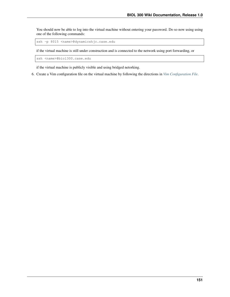You should now be able to log into the virtual machine without entering your password. Do so now using using one of the following commands:

ssh -p 8015 <name>@dynamicshjc.case.edu

if the virtual machine is still under construction and is connected to the network using port forwarding, or

ssh <name>@biol300.case.edu

if the virtual machine is publicly visible and using bridged netorking.

6. Create a Vim configuration file on the virtual machine by following the directions in *[Vim Configuration File](#page-31-0)*.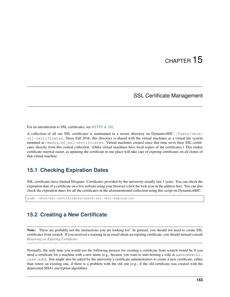#### SSL Certificate Management

For an introduction to SSL certificates, see *[HTTPS & SSL](#page-38-0)*.

A collection of all our SSL certificates is maintained in a secure directory on DynamicsHJC: /Users/vbox/ ssl-certificates. Since Fall 2016, this directory is shared with the virtual machines as a virtual file system mounted at /media/sf\_ssl-certificates. Virtual machines created since that time serve their SSL certificates directly from this central collection. (Older virtual machines have local copies of the certificates.) This makes certificate renewal easier, as updating the certificate in one place will take care of expiring certificates on all clones of that virtual machine.

#### **15.1 Checking Expiration Dates**

SSL certificates have limited lifespans. Certificates provided by the university usually last 3 years. You can check the expiration date of a certificate on a live website using your browser (click the lock icon in the address bar). You can also check the expiration dates for all the certificates in the aforementioned collection using this script on DynamicsHJC:

```
sudo ~vbox/ssl-certificates/check-ssl-cert-expiration
```
#### **15.2 Creating a New Certificate**

Note: These are probably not the instructions you are looking for! In general, you should not need to create SSL certificates from scratch. If you received a warning in an email about an expiring certificate, you should instead consult *[Renewing an Expiring Certificate](#page-159-0)*.

Normally, the only time you would use the following process for creating a certificate from scratch would be if you need a certificate for a machine with a new name (e.g., because you want to start hosting a wiki at awesomewiki. case.edu). You might also be asked by the university's certificate administrators to create a new certificate, rather than renew an existing one, if there is a problem with the old one (e.g., if the old certificate was created with the deprecated SHA1 encryption algorithm).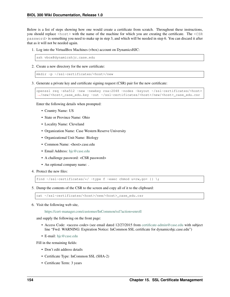Below is a list of steps showing how one would create a certificate from scratch. Throughout these instructions, you should replace <host> with the name of the machine for which you are creating the certificate. The <CSR  $p$ assword> is something you need to make up in step 3, and which will be needed in step 6. You can discard it after that as it will not be needed again.

1. Log into the VirtualBox Machines (vbox) account on DynamicsHJC:

ssh vbox@dynamicshjc.case.edu

2. Create a new directory for the new certificate:

```
mkdir -p ~/ssl-certificates/<host>/new
```
3. Generate a private key and certificate signing request (CSR) pair for the new certificate:

```
openssl req -sha512 -new -newkey rsa:2048 -nodes -keyout ~/ssl-certificates/<host>
˓→/new/<host>_case_edu.key -out ~/ssl-certificates/<host>/new/<host>_case_edu.csr
```
Enter the following details when prompted:

- Country Name: US
- State or Province Name: Ohio
- Locality Name: Cleveland
- Organization Name: Case Western Reserve University
- Organizational Unit Name: Biology
- Common Name: <host>.case.edu
- Email Address: [hjc@case.edu](mailto:hjc@case.edu)
- A challenge password: <CSR password>
- An optional company name: .
- 4. Protect the new files:

find  $\sim$ /ssl-certificates/\*/ -type f -exec chmod u=rw, go= {} \;

5. Dump the contents of the CSR to the screen and copy all of it to the clipboard:

cat ~/ssl-certificates/<host>/new/<host>\_case\_edu.csr

6. Visit the following web site,

<https://cert-manager.com/customer/InCommon/ssl?action=enroll>

and supply the following on the front page:

- Access Code: <access code> (see email dated 12/27/2015 from [certificate-admin@case.edu](mailto:certificate-admin@case.edu) with subject line "Fwd: WARNING: Expiration Notice: InCommon SSL certificate for dynamicshjc.case.edu")
- E-mail: [hjc@case.edu](mailto:hjc@case.edu)

Fill in the remaining fields:

- Don't edit address details
- Certificate Type: InCommon SSL (SHA-2)
- Certificate Term: 3 years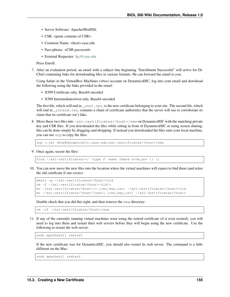- Server Software: Apache/ModSSL
- CSR: <paste contents of CSR>
- Common Name: <host>.case.edu
- Pass-phrase: <CSR password>
- External Requester: [hjc@case.edu](mailto:hjc@case.edu)

Press Enroll.

7. After an evaluation period, an email with a subject line beginning "Enrollment Successful" will arrive for Dr. Chiel containing links for downloading files in various formats. He can forward the email to you.

Using Safari in the VirtualBox Machines (vbox) account on DynamicsHJC, log into your email and download the following using the links provided in the email:

- X509 Certificate only, Base64 encoded
- X509 Intermediates/root only, Base64 encoded

The first file, which will end in  $\text{cert} \cdot \text{cer}$ , is the new certificate belonging to your site. The second file, which will end in \_interm.cer, contains a chain of certificate authorities that the server will use to corroborate its claim that its certificate isn't fake.

8. Move these two files into ~ssl-certificates/<host>/new on DynamicsHJC with the matching private key and CSR files. If you downloaded the files while sitting in front of DynamicsHJC or using screen sharing, this can be done simply by dragging-and-dropping. If instead you downloaded the files onto your local machine, you can use scp to copy the files:

scp \*.cer vbox@dynamicshjc.case.edu:ssl-certificates/<host>/new

9. Once again, secure the files:

find  $\sim$ /ssl-certificates/\*/ -type f -exec chmod u=rw, go= {} \;

10. You can now move the new files into the location where the virtual machines will expect to find them (and retire the old certificate if one exists):

```
mkdir -p ~/ssl-certificates/<host>/old
rm -f ~/ssl-certificates/<host>/old/*
mv ~/ssl-certificates/<host>/*.{cer,key,csr} ~/ssl-certificates/<host>/old
mv ~/ssl-certificates/<host>/new/*.{cer,key,csr} ~/ssl-certificates/<host>
```
Double check that you did this right, and then remove the new directory:

```
rm -rf ~/ssl-certificates/<host>/new
```
11. If any of the currently running virtual machines were using the retired certificate (if it even existed), you will need to log into them and restart their web servers before they will begin using the new certificate. Use the following to restart the web server:

sudo apache2ctl restart

If the new certificate was for DynamicsHJC, you should also restart its web server. The command is a little different on the Mac:

sudo apachectl restart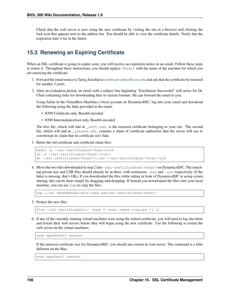Check that the web server is now using the new certificate by visiting the site in a browser and clicking the lock icon that appears next to the address bar. You should be able to view the certificate details. Verify that the expiration date is far in the future.

#### <span id="page-159-0"></span>**15.3 Renewing an Expiring Certificate**

When an SSL certificate is going to expire soon, you will receive an expiration notice in an email. Follow these steps to renew it. Throughout these instructions, you should replace <host> with the name of the machine for which you are renewing the certificate.

- 1. Forward the email notice to Tareq Alrashid at [certificate-admin@case.edu](mailto:certificate-admin@case.edu) and ask that the certificate be renewed for another 3 years.
- 2. After an evaluation period, an email with a subject line beginning "Enrollment Successful" will arrive for Dr. Chiel containing links for downloading files in various formats. He can forward the email to you.

Using Safari in the VirtualBox Machines (vbox) account on DynamicsHJC, log into your email and download the following using the links provided in the email:

- X509 Certificate only, Base64 encoded
- X509 Intermediates/root only, Base64 encoded

The first file, which will end in \_cert.cer, is the renewed certificate belonging to your site. The second file, which will end in \_interm.cer, contains a chain of certificate authorities that the server will use to corroborate its claim that its certificate isn't fake.

3. Retire the old certificate and certificate chain files:

```
mkdir -p ~/ssl-certificates/<host>/old
rm -f ~/ssl-certificates/<host>/old/*
mv ~/ssl-certificates/<host>/*.cer ~/ssl-certificates/<host>/old
```
4. Move the two files downloaded in step 2 into ~ssl-certificates/<host> on DynamicsHJC. The matching private key and CSR files should already be in there, with extensions .key and .csr respectively (if the latter is missing, that's OK). If you downloaded the files while sitting in front of DynamicsHJC or using screen sharing, this can be done simply by dragging-and-dropping. If instead you downloaded the files onto your local machine, you can use scp to copy the files:

scp \*.cer vbox@dynamicshjc.case.edu:ssl-certificates/<host>

5. Protect the new files:

find  $\sim$ /ssl-certificates/\*/ -type f -exec chmod u=rw, qo= {} \;

6. If any of the currently running virtual machines were using the retired certificate, you will need to log into them and restart their web servers before they will begin using the new certificate. Use the following to restart the web server on the virtual machines:

sudo apache2ctl restart

If the renewed certificate was for DynamicsHJC, you should also restart its web server. The command is a little different on the Mac:

sudo apachectl restart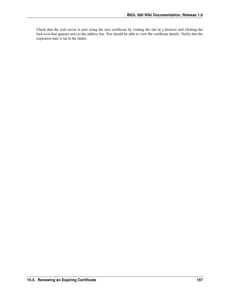Check that the web server is now using the new certificate by visiting the site in a browser and clicking the lock icon that appears next to the address bar. You should be able to view the certificate details. Verify that the expiration date is far in the future.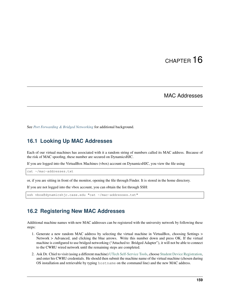#### MAC Addresses

See *[Port Forwarding & Bridged Networking](#page-36-0)* for additional background.

#### <span id="page-162-0"></span>**16.1 Looking Up MAC Addresses**

Each of our virtual machines has associated with it a random string of numbers called its MAC address. Because of the risk of MAC spoofing, these number are secured on DynamicsHJC.

If you are logged into the VirtualBox Machines (vbox) account on DynamicsHJC, you view the file using

cat ~/mac-addresses.txt

or, if you are sitting in front of the monitor, opening the file through Finder. It is stored in the home directory.

If you are not logged into the vbox account, you can obtain the list through SSH:

ssh vbox@dynamicshjc.case.edu "cat ~/mac-addresses.txt"

#### **16.2 Registering New MAC Addresses**

Additional machine names with new MAC addresses can be registered with the university network by following these steps:

- 1. Generate a new random MAC address by selecting the virtual machine in VirtualBox, choosing Settings > Network > Advanced, and clicking the blue arrows. Write this number down and press OK. If the virtual machine is configured to use bridged networking ("Attached to: Bridged Adapter"), it will not be able to connect to the CWRU wired network until the remaining steps are completed.
- 2. Ask Dr. Chiel to visit (using a different machine) [UTech Self-Service Tools,](https://its-services.case.edu/tools/) choose [Student Device Registration,](https://www.case.edu/its/devreg) and enter his CWRU credentials. He should then submit the machine name of the virtual machine (chosen during OS installation and retrievable by typing hostname on the command line) and the new MAC address.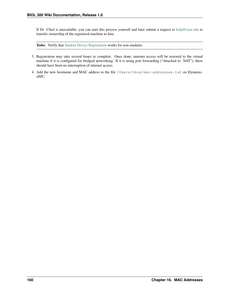If Dr. Chiel is unavailable, you can start this process yourself and later submit a request to [help@case.edu](mailto:help@case.edu) to transfer ownership of the registered machine to him.

Todo: Verify that [Student Device Registration](https://www.case.edu/its/devreg) works for non-students.

- 3. Registration may take several hours to complete. Once done, internet access will be restored to the virtual machine if it is configured for bridged networking. If it is using port forwarding ("Attached to: NAT"), there should have been no interruption of internet access.
- 4. Add the new hostname and MAC address to the file /Users/vbox/mac-addresses.txt on DynamicsHJC.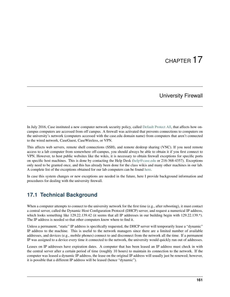#### University Firewall

In July 2016, Case instituted a new computer network security policy, called [Default Protect All,](https://www.case.edu/utech/projects-live/default/) that affects how oncampus computers are accessed from off campus. A firewall was activated that prevents connections to computers on the university's network (computers accessed with the case.edu domain name) from computers that aren't connected to the wired network, CaseGuest, CaseWireless, or VPN.

This affects web servers, remote shell connections (SSH), and remote desktop sharing (VNC). If you need remote access to a lab computer from somewhere off-campus, you should always be able to obtain it if you first connect to VPN. However, to host public websites like the wikis, it is necessary to obtain firewall exceptions for specific ports on specific host machines. This is done by contacting the Help Desk [\(help@case.edu](mailto:help@case.edu) or 216-368-4357). Exceptions only need to be granted once, and this has already been done for the class wikis and many other machines in our lab. A complete list of the exceptions obtained for our lab computers can be found [here.](https://slugwiki.case.edu/wiki/Accessing_Lab_Computers_from_Off_Campus)

In case this system changes or new exceptions are needed in the future, here I provide background information and procedures for dealing with the university firewall.

#### **17.1 Technical Background**

When a computer attempts to connect to the university network for the first time (e.g., after rebooting), it must contact a central server, called the Dynamic Host Configuration Protocol (DHCP) server, and request a numerical IP address, which looks something like 129.22.139.42 (it seems that all IP addresses in our building begin with 129.22.139.\*). The IP address is needed so that other computers know where to find it.

Unless a permanent, "static" IP address is specifically requested, the DHCP server will temporarily lease a "dynamic" IP address to the machine. This is useful to the network managers since there are a limited number of available addresses, and devices (e.g., mobile phones) connect to and disconnect from the network all the time. If a permanent IP was assigned to a device every time it connected to the network, the university would quickly run out of addresses.

Leases on IP addresses have expiration dates. A computer that has been leased an IP address must check in with the central server after a certain period of time (roughly 10 hours) to maintain its connection to the network. If the computer was leased a dynamic IP address, the lease on the original IP address will usually just be renewed; however, it is possible that a different IP address will be leased (hence "dynamic").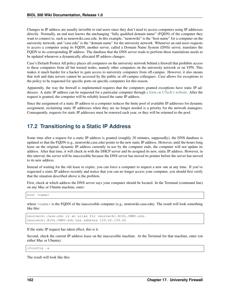Changes in IP address are usually invisible to end users since they don't need to access computers using IP addresses directly. Normally, an end user knows the unchanging "fully qualified domain name" (FQDN) of the computer they want to connect to, such as neurowiki.case.edu. In this example, "neurowiki" is the "host name" for a computer on the university network, and "case.edu" is the "domain name" for the university network. Whenever an end users requests to access a computer using its FQDN, another server, called a Domain Name System (DNS) server, translates the FQDN to its corresponding IP address. The database that the DNS server reads to perform these translations needs to be updated whenever a dynamically allocated IP address changes.

Case's Default Protect All policy places all computers on the university network behind a firewall that prohibits access to these computers from all but trusted nodes, namely other computers on the university network or on VPN. This makes it much harder for a hacker to gain access to university computers from off-campus. However, it also means that web and data servers cannot be accessed by the public or off-campus colleagues. Case allows for exceptions to the policy to be requested for specific ports on specific computers for this reason.

Apparently, the way the firewall is implemented requires that the computers granted exceptions have static IP addresses. A static IP address can be requested for a particular computer through [a form on UTech's website.](https://www.case.edu/utech/service-catalog/static-ip/) After the request is granted, the computer will be reliably leased the same IP address.

Since the assignment of a static IP address to a computer reduces the finite pool of available IP addresses for dynamic assignment, reclaiming static IP addresses when they are no longer needed is a priority for the network managers. Consequently, requests for static IP addresses must be renewed each year, or they will be returned to the pool.

#### **17.2 Transitioning to a Static IP Address**

Some time after a request for a static IP address is granted (roughly 20 minutes, supposedly), the DNS database is updated so that the FQDN (e.g., neurowiki.case.edu) points to the new static IP address. However, until the hours-long lease on the original, dynamic IP address currently in use by the computer ends, the computer will not update its address. After that time, it will check in with the DHCP server and be assigned its new, static IP address. However, in this interval, the server will be inaccessible because the DNS server has moved its pointer before the server has moved to its new address.

Instead of waiting for the old lease to expire, you can force a computer to request a new one at any time. If you've requested a static IP address recently and notice that you can no longer access your computer, you should first verify that the situation described above is the problem.

First, check at which address the DNS server says your computer should be located. In the Terminal (command line) on any Mac or Ubuntu machine, enter:

host <name>

where  $\le$ name $\ge$  is the FQDN of the inaccessible computer (e.g., neurowiki.case.edu). The result will look something like this:

neurowiki.case.edu is an alias for neurowiki.BIOL.CWRU.edu. neurowiki.BIOL.CWRU.edu has address 129.22.139.42

If the static IP request has taken effect, this is it.

Second, check the current IP address lease on the inaccessible machine. At the Terminal for that machine, enter (on either Mac or Ubuntu):

ifconfig -a

The result will look like this: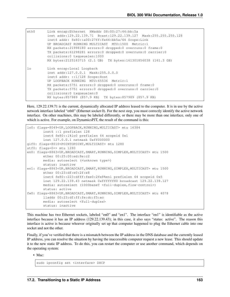```
eth0 Link encap:Ethernet HWaddr 08:00:27:44:bb:5a
         inet addr:129.22.139.71 Bcast:129.22.139.127 Mask:255.255.255.128
         inet6 addr: fe80::a00:27ff:fe44:bb5a/64 Scope:Link
         UP BROADCAST RUNNING MULTICAST MTU:1500 Metric:1
         RX packets:21998180 errors:0 dropped:0 overruns:0 frame:0
         TX packets:61298281 errors:0 dropped:0 overruns:0 carrier:0
         collisions:0 txqueuelen:1000
         RX bytes:2125183715 (2.1 GB) TX bytes:161301856038 (161.3 GB)
lo Link encap:Local Loopback
         inet addr:127.0.0.1 Mask:255.0.0.0
         inet6 addr: ::1/128 Scope:Host
         UP LOOPBACK RUNNING MTU:65536 Metric:1
         RX packets:5751 errors:0 dropped:0 overruns:0 frame:0
         TX packets:5751 errors:0 dropped:0 overruns:0 carrier:0
         collisions:0 txqueuelen:0
         RX bytes:857989 (857.9 KB) TX bytes:857989 (857.9 KB)
```
Here, 129.22.139.71 is the current, dynamically allocated IP address leased to the computer. It is in use by the active network interface labeled "eth0" (Ethernet socket 0). For the next step, you must correctly identify the active network interface. On other machines, this may be labeled differently, or there may be more than one interface, only one of which is active. For example, on DynamicsPJT, the result of the command is this:

```
lo0: flags=8049<UP,LOOPBACK,RUNNING,MULTICAST> mtu 16384
        inet6 ::1 prefixlen 128
        inet6 fe80::1%lo0 prefixlen 64 scopeid 0x1
        inet 127.0.0.1 netmask 0xff000000
gif0: flags=8010<POINTOPOINT,MULTICAST> mtu 1280
stf0: flags=0<> mtu 1280
en0: flags=8863<UP, BROADCAST, SMART, RUNNING, SIMPLEX, MULTICAST> mtu 1500
        ether 00:25:00:ed:8e:c2
        media: autoselect (<unknown type>)
        status: inactive
en1: flags=8863<UP, BROADCAST, SMART, RUNNING, SIMPLEX, MULTICAST> mtu 1500
        ether 00:23:df:e0:2f:e8
        inet6 fe80::223:dfff:fee0:2fe8%en1 prefixlen 64 scopeid 0x5
        inet 129.22.139.43 netmask 0xffffff80 broadcast 129.22.139.127
        media: autoselect (1000baseT <full-duplex, flow-control>)
        status: active
fw0: flags=8863<UP,BROADCAST,SMART,RUNNING,SIMPLEX,MULTICAST> mtu 4078
        lladdr 00:23:df:ff:fe:dc:f5:ac
        media: autoselect <full-duplex>
        status: inactive
```
This machine has two Ethernet sockets, labeled "en0" and "en1". The interface "en1" is identifiable as the active interface because it has an IP address (129.22.139.43); in this case, it also says "status: active". The reason this interface is active is because whoever originally set up that computer happened to plug the Ethernet cable into one socket and not the other.

Finally, if you've verified that there is a mismatch between the IP address in the DNS database and the currently leased IP address, you can resolve the situation by having the inaccessible computer request a new lease. This should update it to the new static IP address. To do this, you can restart the computer or use another command, which depends on the operating system:

• Mac:

sudo ipconfig set <interface> DHCP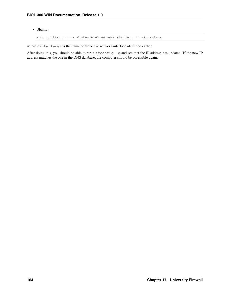• Ubuntu:

sudo dhclient -v -r <interface> && sudo dhclient -v <interface>

where  $\langle$ interface> is the name of the active network interface identified earlier.

After doing this, you should be able to rerun if config -a and see that the IP address has updated. If the new IP address matches the one in the DNS database, the computer should be accessible again.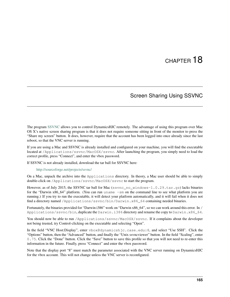#### Screen Sharing Using SSVNC

The program [SSVNC](http://sourceforge.net/projects/ssvnc/) allows you to control DynamicsHJC remotely. The advantage of using this program over Mac OS X's native screen sharing program is that it does not require someone sitting in front of the monitor to press the "Share my screen" button. It does, however, require that the account has been logged into once already since the last reboot, so that the VNC server is running.

If you are using a Mac and SSVNC is already installed and configured on your machine, you will find the executable located at /Applications/ssvnc/MacOSX/ssvnc. After launching the program, you simply need to load the correct profile, press "Connect", and enter the vbox password.

If SSVNC is not already installed, download the tar ball for SSVNC here:

<http://sourceforge.net/projects/ssvnc/>

On a Mac, unpack the archive into the Applications directory. In theory, a Mac user should be able to simply double-click on /Applications/ssvnc/MacOSX/ssvnc to start the program.

However, as of July 2015, the SSVNC tar ball for Mac (ssvnc\_no\_windows-1.0.29.tar.gz) lacks binaries for the "Darwin x86\_64" platform. (You can run uname  $-$ sm on the command line to see what platform you are running.) If you try to run the executable, it will detect your platform automatically, and it will fail when it does not find a directory named /Applications/ssvnc/bin/Darwin.x86\_64 containing needed binaries.

Fortunately, the binaries provided for "Darwin i386" work on "Darwin x86 64", so we can work around this error. In / Applications/ssvnc/bin, duplicate the Darwin.i386 directory and rename the copy to Darwin.x86\_64.

You should now be able to run /Applications/ssvnc/MacOSX/ssvnc. If it complains about the developer not being trusted, try Control-clicking on the executable and selecting "Open".

In the field "VNC Host:Display", enter vbox@dynamicshjc.case.edu:8, and select "Use SSH". Click the "Options" button, then the "Advanced" button, and finally the "Unix ssvncviewer" button. In the field "Scaling", enter 0.75. Click the "Done" button. Click the "Save" button to save this profile so that you will not need to re-enter this information in the future. Finally, press "Connect" and enter the vbox password.

Note that the display port "8" must match the parameter associated with the VNC server running on DynamicsHJC for the vbox account. This will not change unless the VNC server is reconfigured.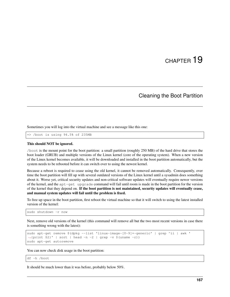#### Cleaning the Boot Partition

Sometimes you will log into the virtual machine and see a message like this one:

=> /boot is using 94.5% of 235MB

#### This should NOT be ignored.

/boot is the mount point for the boot partition: a small partition (roughly 250 MB) of the hard drive that stores the boot loader (GRUB) and multiple versions of the Linux kernel (core of the operating system). When a new version of the Linux kernel becomes available, it will be downloaded and installed in the boot partition automatically, but the system needs to be rebooted before it can switch over to using the newest kernel.

Because a reboot is required to cease using the old kernel, it cannot be removed automatically. Consequently, over time the boot partition will fill up with several outdated versions of the Linux kernel until a sysadmin does something about it. Worse yet, critical security updates and non-critical software updates will eventually require newer versions of the kernel, and the apt-get upgrade command will fail until room is made in the boot partition for the version of the kernel that they depend on. If the boot partition is not maintained, security updates will eventually cease, and manual system updates will fail until the problem is fixed.

To free up space in the boot partition, first reboot the virtual machine so that it will switch to using the latest installed version of the kernel:

sudo shutdown -r now

Next, remove old versions of the kernel (this command will remove all but the two most recent versions in case there is something wrong with the latest):

```
sudo apt-get remove $(dpkg --list 'linux-image-[0-9]*-generic' | grep ^ii | awk '
˓→{print $2}' | sort | head -n -2 | grep -v $(uname -r))
sudo apt-get autoremove
```
You can now check disk usage in the boot partition:

df -h /boot

It should be much lower than it was before, probably below 50%.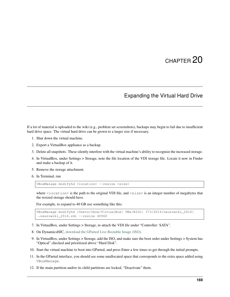#### Expanding the Virtual Hard Drive

If a lot of material is uploaded to the wiki (e.g., problem set screenshots), backups may begin to fail due to insufficient hard drive space. The virtual hard drive can be grown to a larger size if necessary.

- 1. Shut down the virtual machine.
- 2. Export a VirtualBox appliance as a backup.
- 3. Delete all snapshots. These silently interfere with the virtual machine's ability to recognize the increased storage.
- 4. In VirtualBox, under Settings > Storage, note the file location of the VDI storage file. Locate it now in Finder and make a backup of it.
- 5. Remove the storage attachment.
- 6. In Terminal, run

VBoxManage modifyhd <location> --resize <size>

where  $\triangle$ location  $>$  is the path to the original VDI file, and  $\triangle$ size  $>$  is an integer number of megabytes that the resized storage should have.

For example, to expand to 40 GB use something like this:

```
VBoxManage modifyhd /Users/vbox/VirtualBox\ VMs/BIOL\ 373/2016/neurowiki_2016/
˓→neurowiki_2016.vdi --resize 40960
```
- 7. In VirtualBox, under Settings > Storage, re-attach the VDI file under "Controller: SATA".
- 8. On DynamicsHJC, [download the GParted Live Bootable Image \(ISO\).](http://gparted.org/download.php)
- 9. In VirtualBox, under Settings > Storage, add the ISO, and make sure the boot order under Settings > System has "Optical" checked and prioritized above "Hard Disk".
- 10. Start the virtual machine to boot into GParted, and press Enter a few times to get through the initial prompts.
- 11. In the GParted interface, you should see some unallocated space that corresponds to the extra space added using VBoxManage.
- 12. If the main partition and/or its child partitions are locked, "Deactivate" them.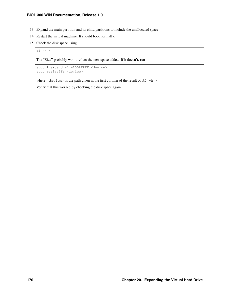- 13. Expand the main partition and its child partitions to include the unallocated space.
- 14. Restart the virtual machine. It should boot normally.
- 15. Check the disk space using

 $df -h$  /

The "Size" probably won't reflect the new space added. If it doesn't, run

```
sudo lvextend -1 +100%FREE <device>
sudo resize2fs <device>
```
where  $\langle$  device> is the path given in the first column of the result of df -h /.

Verify that this worked by checking the disk space again.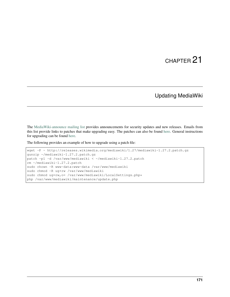#### Updating MediaWiki

The [MediaWiki-announce mailing list](https://lists.wikimedia.org/mailman/listinfo/mediawiki-announce) provides announcements for security updates and new releases. Emails from this list provide links to patches that make upgrading easy. The patches can also be found [here.](http://releases.wikimedia.org/mediawiki/) General instructions for upgrading can be found [here.](https://www.mediawiki.org/wiki/Manual:Upgrading)

The following provides an example of how to upgrade using a patch file:

```
wget -P ~ http://releases.wikimedia.org/mediawiki/1.27/mediawiki-1.27.2.patch.gz
gunzip ~/mediawiki-1.27.2.patch.gz
patch -p1 -d /var/www/mediawiki < ~/mediawiki-1.27.2.patch
rm ~/mediawiki-1.27.2.patch
sudo chown -R www-data:www-data /var/www/mediawiki
sudo chmod -R ug+rw /var/www/mediawiki
sudo chmod ug=rw, o= /var/www/mediawiki/LocalSettings.php*
php /var/www/mediawiki/maintenance/update.php
```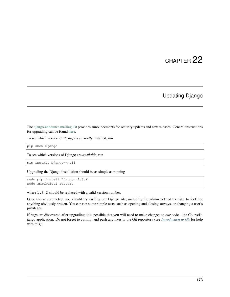#### Updating Django

The [django-announce mailing list](https://docs.djangoproject.com/en/1.8/internals/mailing-lists/#django-announce) provides announcements for security updates and new releases. General instructions for upgrading can be found [here.](https://docs.djangoproject.com/en/1.8/howto/upgrade-version/)

To see which version of Django is *currently* installed, run

pip show Django

To see which versions of Django are *available*, run

pip install Django==null

Upgrading the Django installation should be as simple as running

```
sudo pip install Django==1.8.X
sudo apache2ctl restart
```
where 1.8.X should be replaced with a valid version number.

Once this is completed, you should try visiting our Django site, including the admin side of the site, to look for anything obviously broken. You can run some simple tests, such as opening and closing surveys, or changing a user's privileges.

If bugs are discovered after upgrading, it is possible that you will need to make changes to *our* code—the CourseDjango application. Do not forget to commit and push any fixes to the Git repository (see *[Introduction to Git](#page-34-0)* for help with this)!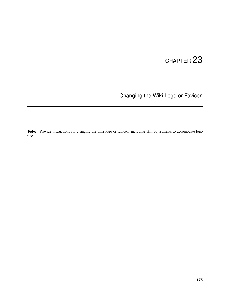### Changing the Wiki Logo or Favicon

Todo: Provide instructions for changing the wiki logo or favicon, including skin adjustments to accomodate logo size.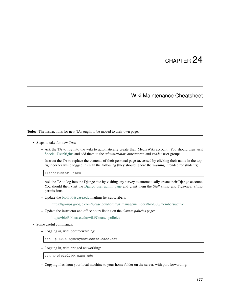# CHAPTER 24

#### Wiki Maintenance Cheatsheet

<span id="page-180-0"></span>Todo: The instructions for new TAs ought to be moved to their own page.

- Steps to take for new TAs:
	- Ask the TA to log into the wiki to automatically create their MediaWiki account. You should then visit [Special:UserRights](https://biol300.case.edu/wiki/Special:UserRights) and add them to the *administrator*, *bureaucrat*, and *grader* user groups.
	- Instruct the TA to replace the contents of their personal page (accessed by clicking their name in the topright corner while logged in) with the following (they should ignore the warning intended for students):

{{instructor links}}

- Ask the TA to log into the Django site by visiting any survey to automatically create their Django account. You should then visit the [Django user admin page](https://biol300.case.edu/django/admin/auth/user/) and grant them the *Staff status* and *Superuser status* permissions.
- Update the [biol300@case.edu](mailto:biol300@case.edu) mailing list subscribers:

<https://groups.google.com/a/case.edu/forum/#!managemembers/biol300/members/active>

– Update the instructor and office hours listing on the *Course policies* page:

[https://biol300.case.edu/wiki/Course\\_policies](https://biol300.case.edu/wiki/Course_policies)

- Some useful commands:
	- Logging in, with port forwarding:

ssh -p 8015 hjc@dynamicshjc.case.edu

– Logging in, with bridged networking:

ssh hjc@biol300.case.edu

– Copying files from your local machine to your home folder on the server, with port forwarding: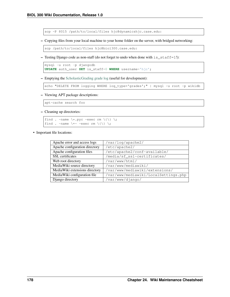scp -P 8015 /path/to/local/files hjc@dynamicshjc.case.edu:

– Copying files from your local machine to your home folder on the server, with bridged networking:

```
scp /path/to/local/files hjc@biol300.case.edu:
```
– Testing Django code as non-staff (do not forget to undo when done with is\_staff=1!):

```
mysql -u root -p djangodb
UPDATE auth_user SET is_staff=0 WHERE username='hjc';
```
– Emptying the [ScholasticGrading grade log](https://biol300.case.edu/wiki/Special:Log/grades) (useful for development):

```
echo "DELETE FROM logging WHERE log_type='grades';" | mysql -u root -p wikidb
```
– Viewing APT package descriptions:

apt-cache search foo

– Cleaning up directories:

```
find . -name \setminus\cdot.pyc -exec rm \setminus\{\setminus\} \setminus\;find . -name \forall x \sim -exec rm \{\{\}\ \rangle;
```
• Important file locations:

| Apache error and access logs   | /var/log/apache2/                    |
|--------------------------------|--------------------------------------|
| Apache configuration directory | /etc/apache2/                        |
| Apache configuration files     | /etc/apache2/conf-available/         |
| <b>SSL</b> certificates        | /media/sf_ssl-certificates/          |
| Web root directory             | /var/www/html/                       |
| MediaWiki source directory     | /var/www/mediawiki/                  |
| MediaWiki extensions directory | /var/www/mediawiki/extensions/       |
| MediaWiki configuration file   | /var/www/mediawiki/LocalSettings.php |
| Django directory               | /var/www/django/                     |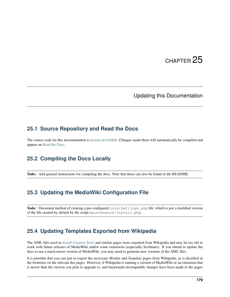# CHAPTER 25

#### Updating this Documentation

#### **25.1 Source Repository and Read the Docs**

The source code for this documentation is [hosted on GitHub.](https://github.com/CWRUChielLab/biol-300-wiki-docs) Changes made there will automatically be compiled and appear on [Read the Docs.](https://biol-300-wiki-docs.readthedocs.io/)

### <span id="page-182-0"></span>**25.2 Compiling the Docs Locally**

Todo: Add general instructions for compiling the docs. Note that these can also be found in the README.

### <span id="page-182-1"></span>**25.3 Updating the MediaWiki Configuration File**

Todo: Document method of creating a pre-configured LocalSettings.php file, which is just a modified version of the file created by default by the script maintenance/install.php.

#### **25.4 Updating Templates Exported from Wikipedia**

The XML files used in *[Install Citation Tools](#page-84-0)* and similar pages were exported from Wikipedia and may be too old to work with future releases of MediaWiki and/or some extensions (especially Scribunto). If you intend to update the docs to use a much newer version of MediaWiki, you may need to generate new versions of the XML files.

It is possible that you can just re-export the necessary *Module* and *Template* pages from Wikipedia, as is decribed in the footnotes on the relevant doc pages. However, if Wikipedia is running a version of MediaWiki or an extension that is newer than the version you plan to upgrade to, and backwards-incompatible changes have been made to the pages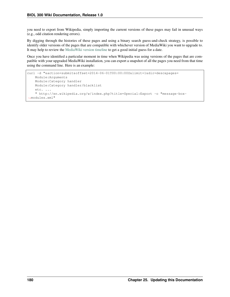you need to export from Wikipedia, simply importing the current versions of these pages may fail in unusual ways (e.g., odd citation rendering errors).

By digging through the histories of these pages and using a binary search guess-and-check strategy, is possible to identify older versions of the pages that are compatible with whichever version of MediaWiki you want to upgrade to. It may help to review the [MediaWiki version timeline](https://www.mediawiki.org/wiki/Version_lifecycle#Version_timeline) to get a good initial guess for a date.

Once you have identified a particular moment in time when Wikipedia was using versions of the pages that are compatible with your upgraded MediaWiki installation, you can export a snapshot of all the pages you need from that time using the command line. Here is an example:

```
curl -d "&action=submit&offset=2014-06-01T00:00:00Z&limit=1&dir=desc&pages=
   Module:Arguments
   Module:Category handler
   Module:Category handler/blacklist
   etc. ...
   " http://en.wikipedia.org/w/index.php?title=Special:Export -o "message-box-
˓→modules.xml"
```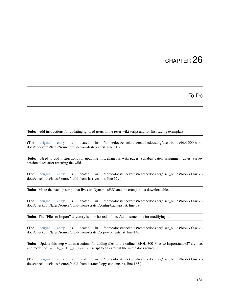# CHAPTER 26

To-Do

Todo: Add instructions for updating ignored users in the reset-wiki script and for first saving exemplars.

(The [original entry](#page-145-0) is located in /home/docs/checkouts/readthedocs.org/user\_builds/biol-300-wikidocs/checkouts/latest/source/build-from-last-year.rst, line 81.)

Todo: Need to add instructions for updating miscellaneous wiki pages, syllabus dates, assignment dates, survey session dates after resetting the wiki.

(The [original entry](#page-145-1) is located in /home/docs/checkouts/readthedocs.org/user\_builds/biol-300-wikidocs/checkouts/latest/source/build-from-last-year.rst, line 129.)

Todo: Make the backup script that lives on DynamicsHJC and the cron job list downloadable.

(The [original entry](#page-67-0) is located in /home/docs/checkouts/readthedocs.org/user\_builds/biol-300-wikidocs/checkouts/latest/source/build-from-scratch/config-backups.rst, line 38.)

Todo: The "Files to Import" directory is now hosted online. Add instructions for modifying it.

(The [original entry](#page-105-0) is located in /home/docs/checkouts/readthedocs.org/user\_builds/biol-300-wikidocs/checkouts/latest/source/build-from-scratch/copy-contents.rst, line 146.)

Todo: Update this step with instructions for adding files to the online "BIOL-300-Files-to-Import.tar.bz2" archive, and move the fetch\_wiki\_files.sh script to an external file in the docs source.

(The [original entry](#page-105-1) is located in /home/docs/checkouts/readthedocs.org/user\_builds/biol-300-wikidocs/checkouts/latest/source/build-from-scratch/copy-contents.rst, line 165.)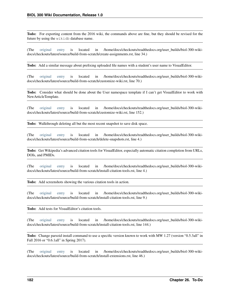Todo: For exporting content from the 2016 wiki, the commands above are fine, but they should be revised for the future by using the wikidb database name.

(The [original entry](#page-109-0) is located in /home/docs/checkouts/readthedocs.org/user\_builds/biol-300-wikidocs/checkouts/latest/source/build-from-scratch/create-assignments.rst, line 34.)

Todo: Add a similar message about prefixing uploaded file names with a student's user name to VisualEditor.

(The [original entry](#page-100-0) is located in /home/docs/checkouts/readthedocs.org/user\_builds/biol-300-wikidocs/checkouts/latest/source/build-from-scratch/customize-wiki.rst, line 70.)

Todo: Consider what should be done about the User namespace template if I can't get VisualEditor to work with NewArticleTemplate.

(The [original entry](#page-102-0) is located in /home/docs/checkouts/readthedocs.org/user\_builds/biol-300-wikidocs/checkouts/latest/source/build-from-scratch/customize-wiki.rst, line 152.)

Todo: Walkthrough deleting all but the most recent snapshot to save disk space.

(The [original entry](#page-111-0) is located in /home/docs/checkouts/readthedocs.org/user\_builds/biol-300-wikidocs/checkouts/latest/source/build-from-scratch/delete-snapshots.rst, line 4.)

Todo: Get Wikipedia's advanced citation tools for VisualEditor, especially automatic citation completion from URLs, DOIs, and PMIDs.

(The [original entry](#page-84-0) is located in /home/docs/checkouts/readthedocs.org/user\_builds/biol-300-wikidocs/checkouts/latest/source/build-from-scratch/install-citation-tools.rst, line 4.)

Todo: Add screenshots showing the various citation tools in action.

(The [original entry](#page-84-0) is located in /home/docs/checkouts/readthedocs.org/user\_builds/biol-300-wikidocs/checkouts/latest/source/build-from-scratch/install-citation-tools.rst, line 9.)

Todo: Add tests for VisualEditor's citation tools.

(The [original entry](#page-88-0) is located in /home/docs/checkouts/readthedocs.org/user\_builds/biol-300-wikidocs/checkouts/latest/source/build-from-scratch/install-citation-tools.rst, line 144.)

Todo: Change parsoid install command to use a specific version known to work with MW 1.27 (version "0.5.3all" in Fall 2016 or "0.6.1all" in Spring 2017).

(The [original entry](#page-69-0) is located in /home/docs/checkouts/readthedocs.org/user\_builds/biol-300-wikidocs/checkouts/latest/source/build-from-scratch/install-extensions.rst, line 46.)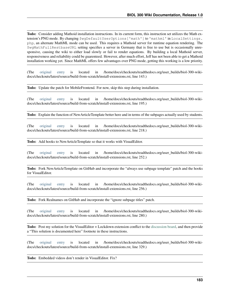Todo: Consider adding Mathoid installation instructions. In its current form, this instruction set utilizes the Math extension's PNG mode. By changing \$wgDefaultUserOptions['math'] to 'mathml' in LocalSettings. php, an alternate MathML mode can be used. This requires a Mathoid server for runtime equation rendering. The \$wgMathFullRestbaseURL setting specifies a server in Germany that is free to use but is occasionally unresponsive, causing the wiki to either load slowly or fail to render equations. By building a local Mathoid server, responsiveness and reliability could be guarenteed. However, after much effort, Jeff has not been able to get a Mathoid installation working yet. Since MathML offers few advantages over PNG mode, getting this working is a low priority.

(The [original entry](#page-70-0) is located in /home/docs/checkouts/readthedocs.org/user\_builds/biol-300-wikidocs/checkouts/latest/source/build-from-scratch/install-extensions.rst, line 143.)

Todo: Update the patch for MobileFrontend. For now, skip this step during installation.

(The [original entry](#page-75-0) is located in /home/docs/checkouts/readthedocs.org/user\_builds/biol-300-wikidocs/checkouts/latest/source/build-from-scratch/install-extensions.rst, line 195.)

Todo: Explain the function of NewArticleTemplate better here and in terms of the subpages actually used by students.

(The [original entry](#page-77-0) is located in /home/docs/checkouts/readthedocs.org/user\_builds/biol-300-wikidocs/checkouts/latest/source/build-from-scratch/install-extensions.rst, line 218.)

Todo: Add hooks to NewArticleTemplate so that it works with VisualEditor.

(The [original entry](#page-77-0) is located in /home/docs/checkouts/readthedocs.org/user\_builds/biol-300-wikidocs/checkouts/latest/source/build-from-scratch/install-extensions.rst, line 252.)

Todo: Fork NewArticleTemplate on GitHub and incorporate the "always use subpage template" patch and the hooks for VisualEditor.

(The [original entry](#page-77-0) is located in /home/docs/checkouts/readthedocs.org/user\_builds/biol-300-wikidocs/checkouts/latest/source/build-from-scratch/install-extensions.rst, line 256.)

Todo: Fork Realnames on GitHub and incorporate the "ignore subpage titles" patch.

(The [original entry](#page-78-0) is located in /home/docs/checkouts/readthedocs.org/user\_builds/biol-300-wikidocs/checkouts/latest/source/build-from-scratch/install-extensions.rst, line 280.)

Todo: Post my solution for the VisualEditor + Lockdown extension conflict to the [discussion board,](https://www.mediawiki.org/wiki/Topic:Rpj13q6rjc1bo377) and then provide a "This solution is documented here" footnote in these instructions.

(The [original entry](#page-79-0) is located in /home/docs/checkouts/readthedocs.org/user\_builds/biol-300-wikidocs/checkouts/latest/source/build-from-scratch/install-extensions.rst, line 329.)

Todo: Embedded videos don't render in VisualEditor. Fix?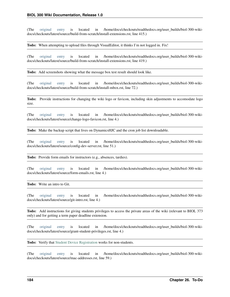(The [original entry](#page-84-1) is located in /home/docs/checkouts/readthedocs.org/user\_builds/biol-300-wikidocs/checkouts/latest/source/build-from-scratch/install-extensions.rst, line 415.)

Todo: When attempting to upload files through VisualEditor, it thinks I'm not logged in. Fix!

(The [original entry](#page-84-1) is located in /home/docs/checkouts/readthedocs.org/user\_builds/biol-300-wikidocs/checkouts/latest/source/build-from-scratch/install-extensions.rst, line 419.)

Todo: Add screenshots showing what the message box test result should look like.

(The [original entry](#page-97-0) is located in /home/docs/checkouts/readthedocs.org/user\_builds/biol-300-wikidocs/checkouts/latest/source/build-from-scratch/install-mbox.rst, line 72.)

Todo: Provide instructions for changing the wiki logo or favicon, including skin adjustments to accomodate logo size.

(The [original entry](#page-178-0) is located in /home/docs/checkouts/readthedocs.org/user\_builds/biol-300-wikidocs/checkouts/latest/source/change-logo-favicon.rst, line 4.)

Todo: Make the backup script that lives on DynamicsHJC and the cron job list downloadable.

(The [original entry](#page-147-0) is located in /home/docs/checkouts/readthedocs.org/user\_builds/biol-300-wikidocs/checkouts/latest/source/config-dev-server.rst, line 51.)

Todo: Provide form emails for instructors (e.g., absences, tardies).

(The [original entry](#page-22-0) is located in /home/docs/checkouts/readthedocs.org/user\_builds/biol-300-wikidocs/checkouts/latest/source/form-emails.rst, line 4.)

Todo: Write an intro to Git.

(The [original entry](#page-34-0) is located in /home/docs/checkouts/readthedocs.org/user\_builds/biol-300-wikidocs/checkouts/latest/source/git-intro.rst, line 4.)

Todo: Add instructions for giving students privileges to access the private areas of the wiki (relevant to BIOL 373 only) and for getting a term paper deadline extension.

(The [original entry](#page-26-0) is located in /home/docs/checkouts/readthedocs.org/user\_builds/biol-300-wikidocs/checkouts/latest/source/grant-student-privileges.rst, line 4.)

Todo: Verify that [Student Device Registration](https://www.case.edu/its/devreg) works for non-students.

(The [original entry](#page-162-0) is located in /home/docs/checkouts/readthedocs.org/user\_builds/biol-300-wikidocs/checkouts/latest/source/mac-addresses.rst, line 59.)